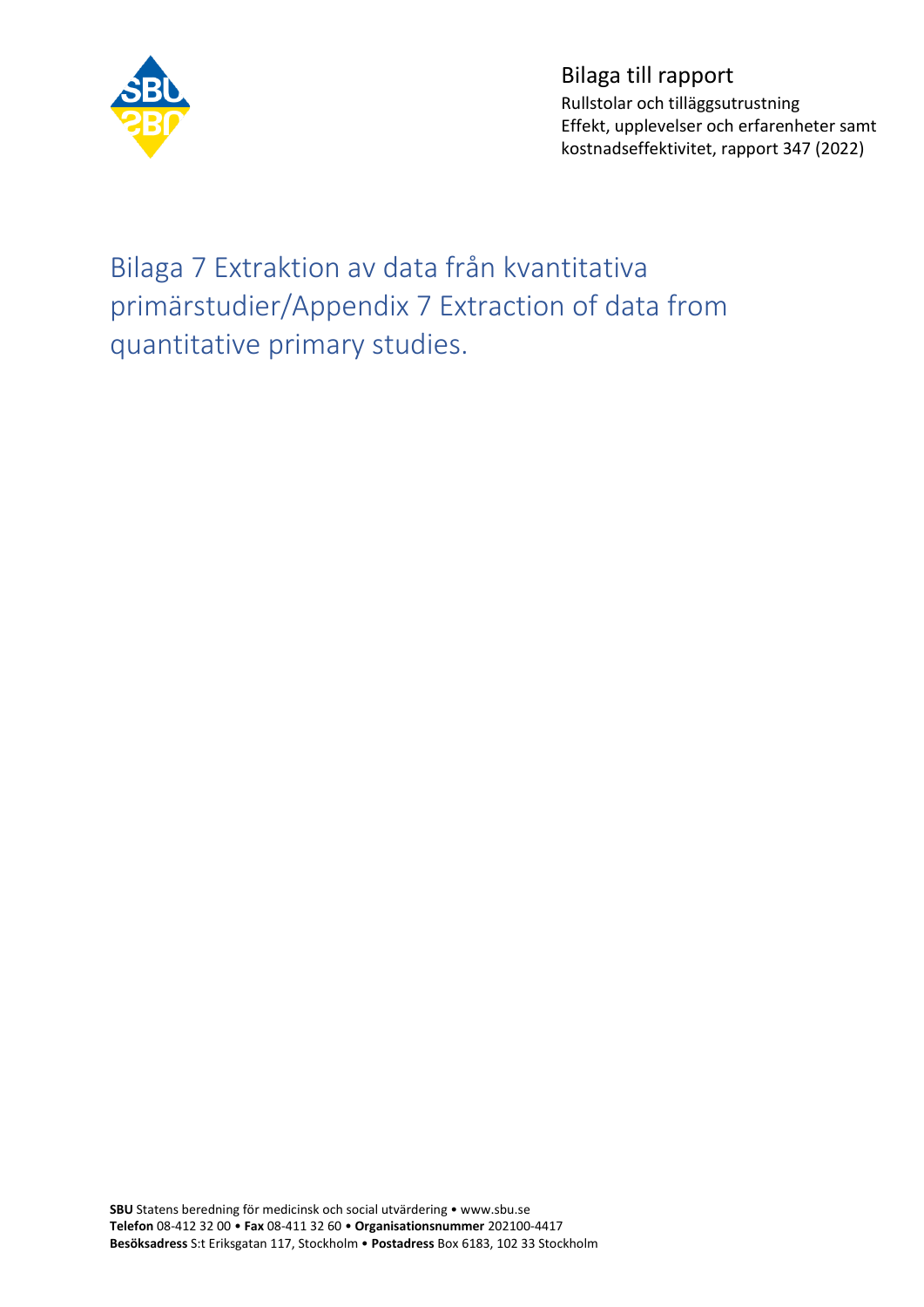

Bilaga till rapport Rullstolar och tilläggsutrustning Effekt, upplevelser och erfarenheter samt kostnadseffektivitet, rapport 347 (2022)

Bilaga 7 Extraktion av data från kvantitativa primärstudier/Appendix 7 Extraction of data from quantitative primary studies.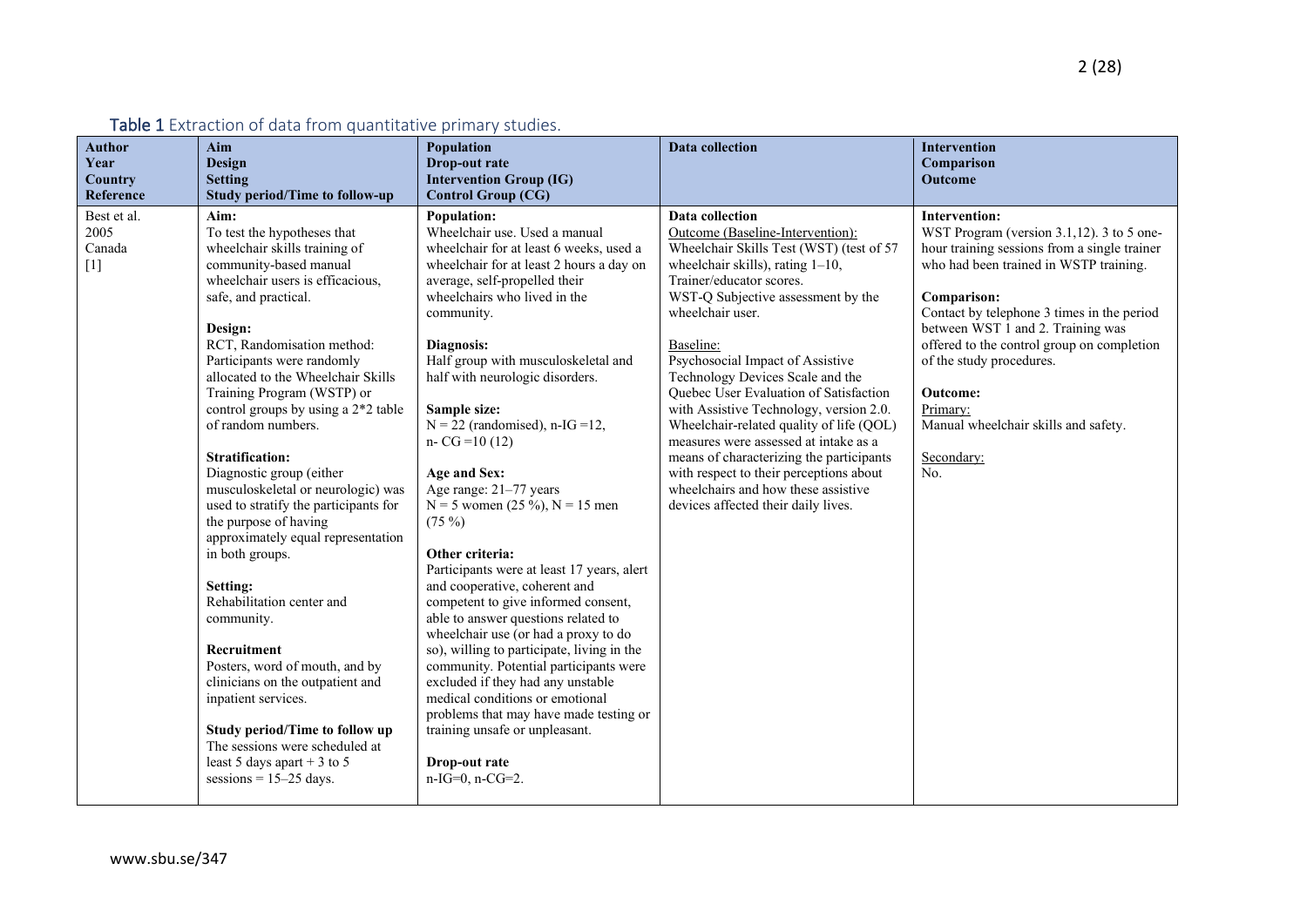| Table 1 Extraction of data from quantitative primary studies. |                                                                                                                                                                                                                                                                                                                                                                                                                                                                                                                                                                                                                                                                                                                                                                                                                                                                                             |                                                                                                                                                                                                                                                                                                                                                                                                                                                                                                                                                                                                                                                                                                                                                                                                                                                                                                                                                                                               |                                                                                                                                                                                                                                                                                                                                                                                                                                                                                                                                                                                                                                                                         |                                                                                                                                                                                                                                                                                                                                                                                                                                        |
|---------------------------------------------------------------|---------------------------------------------------------------------------------------------------------------------------------------------------------------------------------------------------------------------------------------------------------------------------------------------------------------------------------------------------------------------------------------------------------------------------------------------------------------------------------------------------------------------------------------------------------------------------------------------------------------------------------------------------------------------------------------------------------------------------------------------------------------------------------------------------------------------------------------------------------------------------------------------|-----------------------------------------------------------------------------------------------------------------------------------------------------------------------------------------------------------------------------------------------------------------------------------------------------------------------------------------------------------------------------------------------------------------------------------------------------------------------------------------------------------------------------------------------------------------------------------------------------------------------------------------------------------------------------------------------------------------------------------------------------------------------------------------------------------------------------------------------------------------------------------------------------------------------------------------------------------------------------------------------|-------------------------------------------------------------------------------------------------------------------------------------------------------------------------------------------------------------------------------------------------------------------------------------------------------------------------------------------------------------------------------------------------------------------------------------------------------------------------------------------------------------------------------------------------------------------------------------------------------------------------------------------------------------------------|----------------------------------------------------------------------------------------------------------------------------------------------------------------------------------------------------------------------------------------------------------------------------------------------------------------------------------------------------------------------------------------------------------------------------------------|
| <b>Author</b><br>Year<br>Country<br>Reference                 | Aim<br><b>Design</b><br><b>Setting</b><br><b>Study period/Time to follow-up</b>                                                                                                                                                                                                                                                                                                                                                                                                                                                                                                                                                                                                                                                                                                                                                                                                             | Population<br>Drop-out rate<br><b>Intervention Group (IG)</b><br><b>Control Group (CG)</b>                                                                                                                                                                                                                                                                                                                                                                                                                                                                                                                                                                                                                                                                                                                                                                                                                                                                                                    | <b>Data collection</b>                                                                                                                                                                                                                                                                                                                                                                                                                                                                                                                                                                                                                                                  | <b>Intervention</b><br>Comparison<br>Outcome                                                                                                                                                                                                                                                                                                                                                                                           |
| Best et al.<br>2005<br>Canada<br>$[1]$                        | Aim:<br>To test the hypotheses that<br>wheelchair skills training of<br>community-based manual<br>wheelchair users is efficacious,<br>safe, and practical.<br>Design:<br>RCT, Randomisation method:<br>Participants were randomly<br>allocated to the Wheelchair Skills<br>Training Program (WSTP) or<br>control groups by using a 2*2 table<br>of random numbers.<br><b>Stratification:</b><br>Diagnostic group (either<br>musculoskeletal or neurologic) was<br>used to stratify the participants for<br>the purpose of having<br>approximately equal representation<br>in both groups.<br>Setting:<br>Rehabilitation center and<br>community.<br>Recruitment<br>Posters, word of mouth, and by<br>clinicians on the outpatient and<br>inpatient services.<br>Study period/Time to follow up<br>The sessions were scheduled at<br>least 5 days apart + 3 to 5<br>sessions = $15-25$ days. | <b>Population:</b><br>Wheelchair use. Used a manual<br>wheelchair for at least 6 weeks, used a<br>wheelchair for at least 2 hours a day on<br>average, self-propelled their<br>wheelchairs who lived in the<br>community.<br>Diagnosis:<br>Half group with musculoskeletal and<br>half with neurologic disorders.<br>Sample size:<br>$N = 22$ (randomised), n-IG = 12,<br>$n-CG = 10(12)$<br>Age and Sex:<br>Age range: 21-77 years<br>$N = 5$ women (25 %), $N = 15$ men<br>$(75\%)$<br>Other criteria:<br>Participants were at least 17 years, alert<br>and cooperative, coherent and<br>competent to give informed consent,<br>able to answer questions related to<br>wheelchair use (or had a proxy to do<br>so), willing to participate, living in the<br>community. Potential participants were<br>excluded if they had any unstable<br>medical conditions or emotional<br>problems that may have made testing or<br>training unsafe or unpleasant.<br>Drop-out rate<br>n-IG=0, n-CG=2. | <b>Data</b> collection<br>Outcome (Baseline-Intervention):<br>Wheelchair Skills Test (WST) (test of 57<br>wheelchair skills), rating $1-10$ ,<br>Trainer/educator scores.<br>WST-Q Subjective assessment by the<br>wheelchair user.<br>Baseline:<br>Psychosocial Impact of Assistive<br>Technology Devices Scale and the<br>Quebec User Evaluation of Satisfaction<br>with Assistive Technology, version 2.0.<br>Wheelchair-related quality of life (QOL)<br>measures were assessed at intake as a<br>means of characterizing the participants<br>with respect to their perceptions about<br>wheelchairs and how these assistive<br>devices affected their daily lives. | <b>Intervention:</b><br>WST Program (version $3.1,12$ ). 3 to 5 one-<br>hour training sessions from a single trainer<br>who had been trained in WSTP training.<br>Comparison:<br>Contact by telephone 3 times in the period<br>between WST 1 and 2. Training was<br>offered to the control group on completion<br>of the study procedures.<br><b>Outcome:</b><br>Primary:<br>Manual wheelchair skills and safety.<br>Secondary:<br>No. |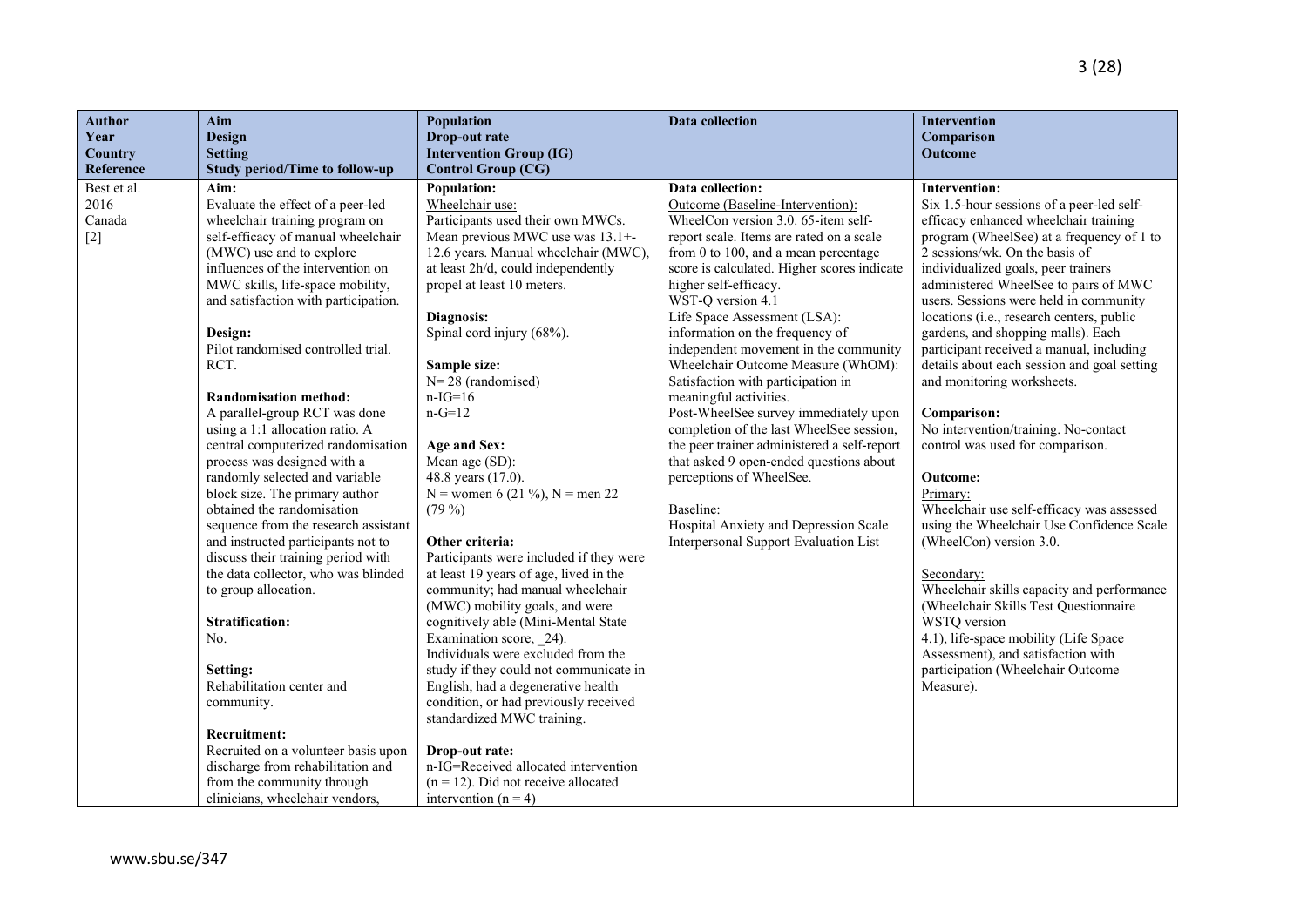| <b>Author</b> | Aim                                   | Population                                                     | <b>Data collection</b>                      | Intervention                                          |
|---------------|---------------------------------------|----------------------------------------------------------------|---------------------------------------------|-------------------------------------------------------|
| Year          | <b>Design</b>                         | Drop-out rate                                                  |                                             | Comparison                                            |
| Country       | <b>Setting</b>                        | <b>Intervention Group (IG)</b>                                 |                                             | <b>Outcome</b>                                        |
| Reference     | <b>Study period/Time to follow-up</b> | <b>Control Group (CG)</b>                                      |                                             |                                                       |
| Best et al.   | Aim:                                  | <b>Population:</b>                                             | Data collection:                            | <b>Intervention:</b>                                  |
| 2016          | Evaluate the effect of a peer-led     | Wheelchair use:                                                | Outcome (Baseline-Intervention):            | Six 1.5-hour sessions of a peer-led self-             |
| Canada        | wheelchair training program on        | Participants used their own MWCs.                              | WheelCon version 3.0. 65-item self-         | efficacy enhanced wheelchair training                 |
| $[2]$         | self-efficacy of manual wheelchair    | Mean previous MWC use was 13.1+-                               | report scale. Items are rated on a scale    | program (WheelSee) at a frequency of 1 to             |
|               | (MWC) use and to explore              | 12.6 years. Manual wheelchair (MWC),                           | from 0 to 100, and a mean percentage        | 2 sessions/wk. On the basis of                        |
|               | influences of the intervention on     | at least 2h/d, could independently                             | score is calculated. Higher scores indicate | individualized goals, peer trainers                   |
|               | MWC skills, life-space mobility,      | propel at least 10 meters.                                     | higher self-efficacy.                       | administered WheelSee to pairs of MWC                 |
|               | and satisfaction with participation.  |                                                                | WST-Q version 4.1                           | users. Sessions were held in community                |
|               |                                       | Diagnosis:                                                     | Life Space Assessment (LSA):                | locations (i.e., research centers, public             |
|               | Design:                               | Spinal cord injury (68%).                                      | information on the frequency of             | gardens, and shopping malls). Each                    |
|               | Pilot randomised controlled trial.    |                                                                | independent movement in the community       | participant received a manual, including              |
|               | RCT.                                  | Sample size:                                                   | Wheelchair Outcome Measure (WhOM):          | details about each session and goal setting           |
|               |                                       | $N = 28$ (randomised)                                          | Satisfaction with participation in          | and monitoring worksheets.                            |
|               | <b>Randomisation method:</b>          | $n-IG=16$                                                      | meaningful activities.                      |                                                       |
|               | A parallel-group RCT was done         | $n-G=12$                                                       | Post-WheelSee survey immediately upon       | Comparison:                                           |
|               | using a 1:1 allocation ratio. A       |                                                                | completion of the last WheelSee session,    | No intervention/training. No-contact                  |
|               | central computerized randomisation    | Age and Sex:                                                   | the peer trainer administered a self-report | control was used for comparison.                      |
|               | process was designed with a           | Mean age (SD):                                                 | that asked 9 open-ended questions about     |                                                       |
|               | randomly selected and variable        | 48.8 years (17.0).                                             | perceptions of WheelSee.                    | Outcome:                                              |
|               | block size. The primary author        | N = women 6 (21 %), N = men 22                                 |                                             | Primary:                                              |
|               | obtained the randomisation            | $(79\%)$                                                       | Baseline:                                   | Wheelchair use self-efficacy was assessed             |
|               | sequence from the research assistant  |                                                                | Hospital Anxiety and Depression Scale       | using the Wheelchair Use Confidence Scale             |
|               | and instructed participants not to    | Other criteria:                                                | Interpersonal Support Evaluation List       | (WheelCon) version 3.0.                               |
|               | discuss their training period with    | Participants were included if they were                        |                                             |                                                       |
|               | the data collector, who was blinded   | at least 19 years of age, lived in the                         |                                             | Secondary:                                            |
|               | to group allocation.                  | community; had manual wheelchair                               |                                             | Wheelchair skills capacity and performance            |
|               |                                       | (MWC) mobility goals, and were                                 |                                             | (Wheelchair Skills Test Questionnaire<br>WSTQ version |
|               | <b>Stratification:</b><br>No.         | cognitively able (Mini-Mental State<br>Examination score, 24). |                                             | 4.1), life-space mobility (Life Space                 |
|               |                                       | Individuals were excluded from the                             |                                             | Assessment), and satisfaction with                    |
|               | Setting:                              | study if they could not communicate in                         |                                             | participation (Wheelchair Outcome                     |
|               | Rehabilitation center and             | English, had a degenerative health                             |                                             | Measure).                                             |
|               | community.                            | condition, or had previously received                          |                                             |                                                       |
|               |                                       | standardized MWC training.                                     |                                             |                                                       |
|               | <b>Recruitment:</b>                   |                                                                |                                             |                                                       |
|               | Recruited on a volunteer basis upon   | Drop-out rate:                                                 |                                             |                                                       |
|               | discharge from rehabilitation and     | n-IG=Received allocated intervention                           |                                             |                                                       |
|               | from the community through            | $(n = 12)$ . Did not receive allocated                         |                                             |                                                       |
|               |                                       |                                                                |                                             |                                                       |

clinicians, wheelchair vendors,

intervention  $(n = 4)$ 

**Author Year Country**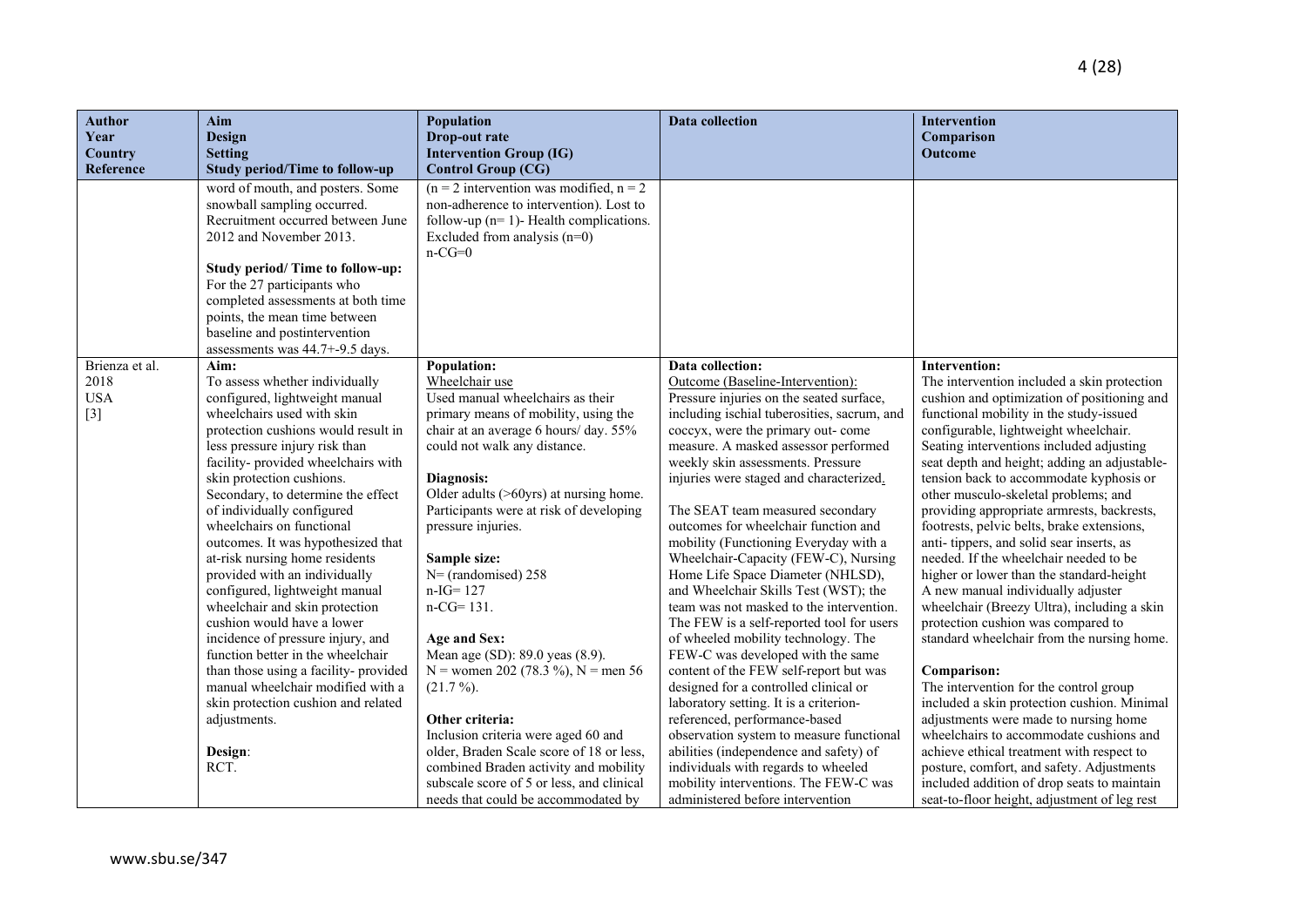| <b>Author</b><br>Year<br><b>Country</b> | <b>Aim</b><br><b>Design</b><br><b>Setting</b>                                                                                                                                                                                                                                                                                                                                                                         | Population<br>Drop-out rate<br><b>Intervention Group (IG)</b>                                                                                                                                                                                                                                | <b>Data collection</b>                                                                                                                                                                                                                                                                                                                                                                                                                                                                         | Intervention<br>Comparison<br>Outcome                                                                                                                                                                                                                                                                                                                                                                                                                     |
|-----------------------------------------|-----------------------------------------------------------------------------------------------------------------------------------------------------------------------------------------------------------------------------------------------------------------------------------------------------------------------------------------------------------------------------------------------------------------------|----------------------------------------------------------------------------------------------------------------------------------------------------------------------------------------------------------------------------------------------------------------------------------------------|------------------------------------------------------------------------------------------------------------------------------------------------------------------------------------------------------------------------------------------------------------------------------------------------------------------------------------------------------------------------------------------------------------------------------------------------------------------------------------------------|-----------------------------------------------------------------------------------------------------------------------------------------------------------------------------------------------------------------------------------------------------------------------------------------------------------------------------------------------------------------------------------------------------------------------------------------------------------|
| Reference                               | <b>Study period/Time to follow-up</b>                                                                                                                                                                                                                                                                                                                                                                                 | <b>Control Group (CG)</b>                                                                                                                                                                                                                                                                    |                                                                                                                                                                                                                                                                                                                                                                                                                                                                                                |                                                                                                                                                                                                                                                                                                                                                                                                                                                           |
|                                         | word of mouth, and posters. Some<br>snowball sampling occurred.<br>Recruitment occurred between June<br>2012 and November 2013.                                                                                                                                                                                                                                                                                       | $(n = 2$ intervention was modified, $n = 2$<br>non-adherence to intervention). Lost to<br>follow-up ( $n=1$ )- Health complications.<br>Excluded from analysis $(n=0)$<br>$n-CG=0$                                                                                                           |                                                                                                                                                                                                                                                                                                                                                                                                                                                                                                |                                                                                                                                                                                                                                                                                                                                                                                                                                                           |
|                                         | Study period/ Time to follow-up:<br>For the 27 participants who<br>completed assessments at both time<br>points, the mean time between<br>baseline and postintervention<br>assessments was 44.7+-9.5 days.                                                                                                                                                                                                            |                                                                                                                                                                                                                                                                                              |                                                                                                                                                                                                                                                                                                                                                                                                                                                                                                |                                                                                                                                                                                                                                                                                                                                                                                                                                                           |
| Brienza et al.                          | Aim:                                                                                                                                                                                                                                                                                                                                                                                                                  | <b>Population:</b>                                                                                                                                                                                                                                                                           | Data collection:                                                                                                                                                                                                                                                                                                                                                                                                                                                                               | <b>Intervention:</b>                                                                                                                                                                                                                                                                                                                                                                                                                                      |
| 2018<br><b>USA</b><br>$[3]$             | To assess whether individually<br>configured, lightweight manual<br>wheelchairs used with skin<br>protection cushions would result in<br>less pressure injury risk than<br>facility-provided wheelchairs with<br>skin protection cushions.<br>Secondary, to determine the effect<br>of individually configured<br>wheelchairs on functional                                                                           | Wheelchair use<br>Used manual wheelchairs as their<br>primary means of mobility, using the<br>chair at an average 6 hours/ day. 55%<br>could not walk any distance.<br>Diagnosis:<br>Older adults (>60yrs) at nursing home.<br>Participants were at risk of developing<br>pressure injuries. | Outcome (Baseline-Intervention):<br>Pressure injuries on the seated surface,<br>including ischial tuberosities, sacrum, and<br>coccyx, were the primary out- come<br>measure. A masked assessor performed<br>weekly skin assessments. Pressure<br>injuries were staged and characterized.<br>The SEAT team measured secondary<br>outcomes for wheelchair function and                                                                                                                          | The intervention included a skin protection<br>cushion and optimization of positioning and<br>functional mobility in the study-issued<br>configurable, lightweight wheelchair.<br>Seating interventions included adjusting<br>seat depth and height; adding an adjustable-<br>tension back to accommodate kyphosis or<br>other musculo-skeletal problems; and<br>providing appropriate armrests, backrests,<br>footrests, pelvic belts, brake extensions, |
|                                         | outcomes. It was hypothesized that<br>at-risk nursing home residents<br>provided with an individually<br>configured, lightweight manual<br>wheelchair and skin protection<br>cushion would have a lower<br>incidence of pressure injury, and<br>function better in the wheelchair<br>than those using a facility-provided<br>manual wheelchair modified with a<br>skin protection cushion and related<br>adjustments. | Sample size:<br>$N = (randomised) 258$<br>$n-IG=127$<br>$n-CG = 131.$<br>Age and Sex:<br>Mean age (SD): 89.0 yeas (8.9).<br>N = women 202 (78.3 %), N = men 56<br>$(21.7\%)$ .<br>Other criteria:                                                                                            | mobility (Functioning Everyday with a<br>Wheelchair-Capacity (FEW-C), Nursing<br>Home Life Space Diameter (NHLSD),<br>and Wheelchair Skills Test (WST); the<br>team was not masked to the intervention.<br>The FEW is a self-reported tool for users<br>of wheeled mobility technology. The<br>FEW-C was developed with the same<br>content of the FEW self-report but was<br>designed for a controlled clinical or<br>laboratory setting. It is a criterion-<br>referenced, performance-based | anti-tippers, and solid sear inserts, as<br>needed. If the wheelchair needed to be<br>higher or lower than the standard-height<br>A new manual individually adjuster<br>wheelchair (Breezy Ultra), including a skin<br>protection cushion was compared to<br>standard wheelchair from the nursing home.<br>Comparison:<br>The intervention for the control group<br>included a skin protection cushion. Minimal<br>adjustments were made to nursing home  |
|                                         | Design:<br>RCT.                                                                                                                                                                                                                                                                                                                                                                                                       | Inclusion criteria were aged 60 and<br>older, Braden Scale score of 18 or less,<br>combined Braden activity and mobility<br>subscale score of 5 or less, and clinical<br>needs that could be accommodated by                                                                                 | observation system to measure functional<br>abilities (independence and safety) of<br>individuals with regards to wheeled<br>mobility interventions. The FEW-C was<br>administered before intervention                                                                                                                                                                                                                                                                                         | wheelchairs to accommodate cushions and<br>achieve ethical treatment with respect to<br>posture, comfort, and safety. Adjustments<br>included addition of drop seats to maintain<br>seat-to-floor height, adjustment of leg rest                                                                                                                                                                                                                          |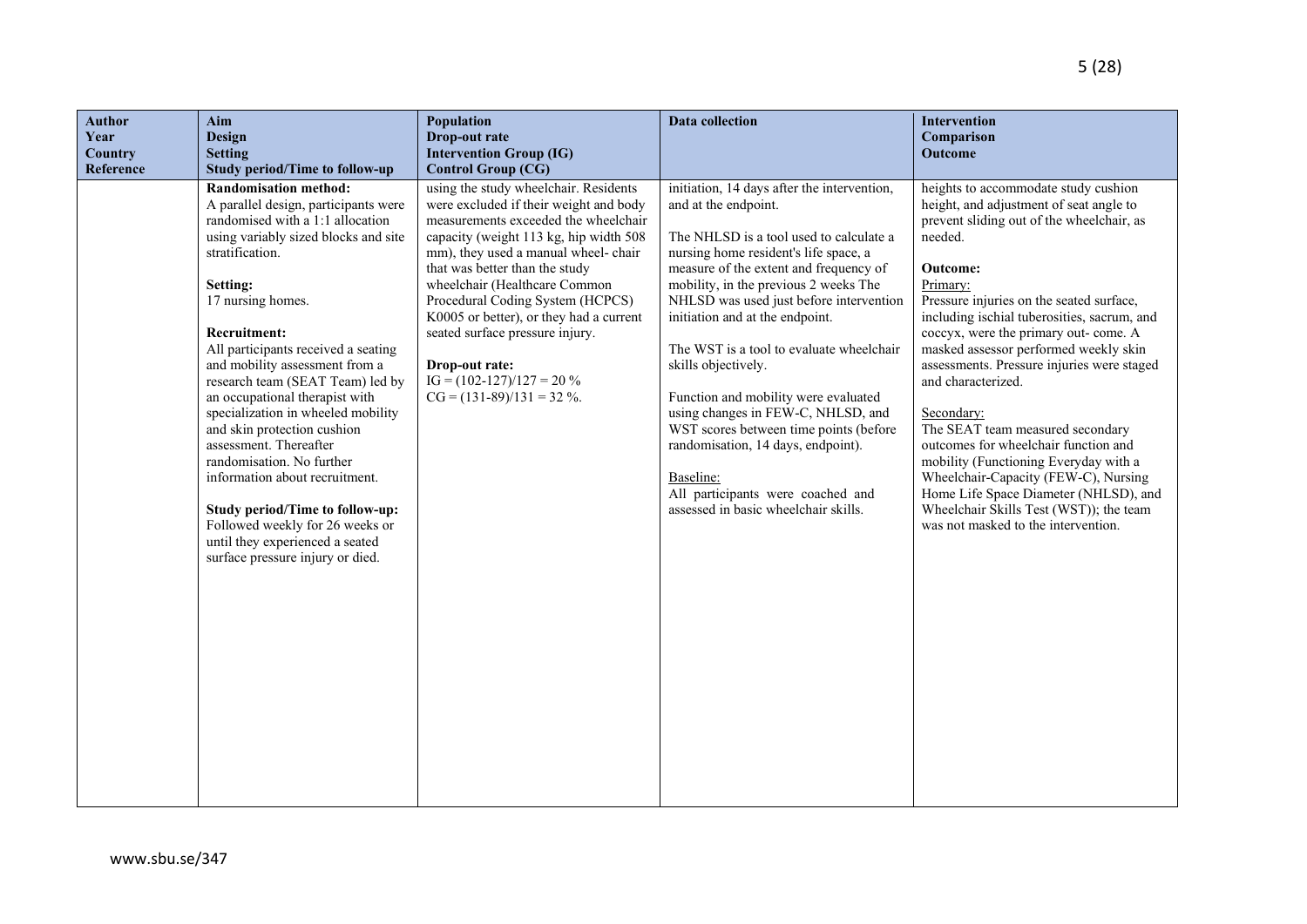| <b>Author</b><br>Year<br><b>Country</b><br>Reference | Aim<br><b>Design</b><br><b>Setting</b><br><b>Study period/Time to follow-up</b>                                                                                                                                                                                                                                                                                                                                                                                                                                                                                                                                                                                                       | Population<br>Drop-out rate<br><b>Intervention Group (IG)</b><br><b>Control Group (CG)</b>                                                                                                                                                                                                                                                                                                                                                                                      | <b>Data</b> collection                                                                                                                                                                                                                                                                                                                                                                                                                                                                                                                                                                                                                              | Intervention<br>Comparison<br><b>Outcome</b>                                                                                                                                                                                                                                                                                                                                                                                                                                                                                                                                                                                                                                                                           |
|------------------------------------------------------|---------------------------------------------------------------------------------------------------------------------------------------------------------------------------------------------------------------------------------------------------------------------------------------------------------------------------------------------------------------------------------------------------------------------------------------------------------------------------------------------------------------------------------------------------------------------------------------------------------------------------------------------------------------------------------------|---------------------------------------------------------------------------------------------------------------------------------------------------------------------------------------------------------------------------------------------------------------------------------------------------------------------------------------------------------------------------------------------------------------------------------------------------------------------------------|-----------------------------------------------------------------------------------------------------------------------------------------------------------------------------------------------------------------------------------------------------------------------------------------------------------------------------------------------------------------------------------------------------------------------------------------------------------------------------------------------------------------------------------------------------------------------------------------------------------------------------------------------------|------------------------------------------------------------------------------------------------------------------------------------------------------------------------------------------------------------------------------------------------------------------------------------------------------------------------------------------------------------------------------------------------------------------------------------------------------------------------------------------------------------------------------------------------------------------------------------------------------------------------------------------------------------------------------------------------------------------------|
|                                                      | <b>Randomisation method:</b><br>A parallel design, participants were<br>randomised with a 1:1 allocation<br>using variably sized blocks and site<br>stratification.<br>Setting:<br>17 nursing homes.<br><b>Recruitment:</b><br>All participants received a seating<br>and mobility assessment from a<br>research team (SEAT Team) led by<br>an occupational therapist with<br>specialization in wheeled mobility<br>and skin protection cushion<br>assessment. Thereafter<br>randomisation. No further<br>information about recruitment.<br>Study period/Time to follow-up:<br>Followed weekly for 26 weeks or<br>until they experienced a seated<br>surface pressure injury or died. | using the study wheelchair. Residents<br>were excluded if their weight and body<br>measurements exceeded the wheelchair<br>capacity (weight 113 kg, hip width 508<br>mm), they used a manual wheel-chair<br>that was better than the study<br>wheelchair (Healthcare Common<br>Procedural Coding System (HCPCS)<br>K0005 or better), or they had a current<br>seated surface pressure injury.<br>Drop-out rate:<br>$IG = (102-127)/127 = 20\%$<br>$CG = (131-89)/131 = 32 \%$ . | initiation, 14 days after the intervention,<br>and at the endpoint.<br>The NHLSD is a tool used to calculate a<br>nursing home resident's life space, a<br>measure of the extent and frequency of<br>mobility, in the previous 2 weeks The<br>NHLSD was used just before intervention<br>initiation and at the endpoint.<br>The WST is a tool to evaluate wheelchair<br>skills objectively.<br>Function and mobility were evaluated<br>using changes in FEW-C, NHLSD, and<br>WST scores between time points (before<br>randomisation, 14 days, endpoint).<br>Baseline:<br>All participants were coached and<br>assessed in basic wheelchair skills. | heights to accommodate study cushion<br>height, and adjustment of seat angle to<br>prevent sliding out of the wheelchair, as<br>needed.<br>Outcome:<br>Primary:<br>Pressure injuries on the seated surface,<br>including ischial tuberosities, sacrum, and<br>coccyx, were the primary out- come. A<br>masked assessor performed weekly skin<br>assessments. Pressure injuries were staged<br>and characterized.<br>Secondary:<br>The SEAT team measured secondary<br>outcomes for wheelchair function and<br>mobility (Functioning Everyday with a<br>Wheelchair-Capacity (FEW-C), Nursing<br>Home Life Space Diameter (NHLSD), and<br>Wheelchair Skills Test (WST)); the team<br>was not masked to the intervention. |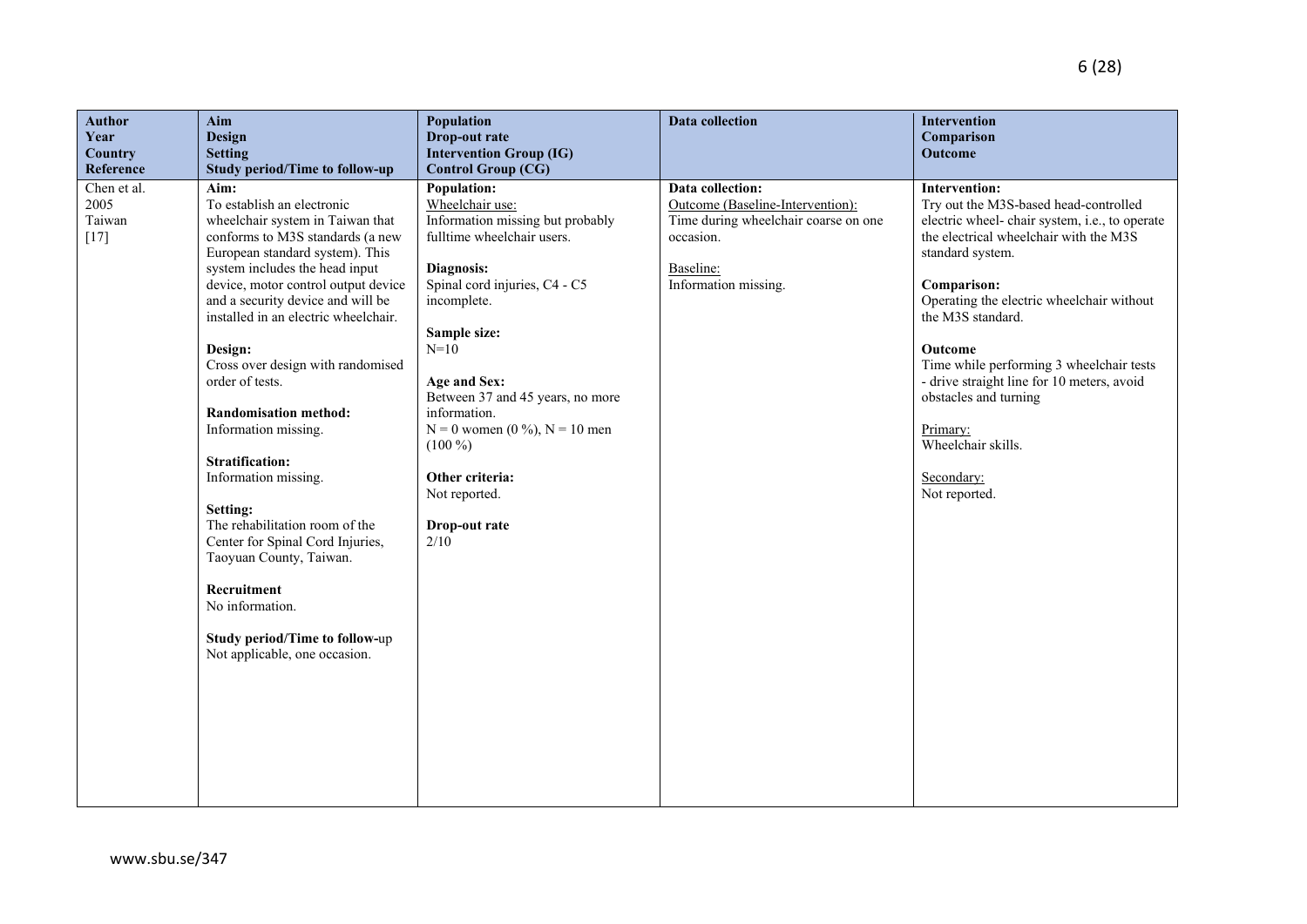| <b>Author</b><br>Year<br>Country<br>Reference | Aim<br><b>Design</b><br><b>Setting</b><br><b>Study period/Time to follow-up</b>                                                                                                                                                                                                                                                                                                                                                                                                                                                                                                                                                                                                                    | Population<br>Drop-out rate<br><b>Intervention Group (IG)</b><br><b>Control Group (CG)</b>                                                                                                                                                                                                                                                                                            | Data collection                                                                                                                                | Intervention<br>Comparison<br>Outcome                                                                                                                                                                                                                                                                                                                                                                                                                  |
|-----------------------------------------------|----------------------------------------------------------------------------------------------------------------------------------------------------------------------------------------------------------------------------------------------------------------------------------------------------------------------------------------------------------------------------------------------------------------------------------------------------------------------------------------------------------------------------------------------------------------------------------------------------------------------------------------------------------------------------------------------------|---------------------------------------------------------------------------------------------------------------------------------------------------------------------------------------------------------------------------------------------------------------------------------------------------------------------------------------------------------------------------------------|------------------------------------------------------------------------------------------------------------------------------------------------|--------------------------------------------------------------------------------------------------------------------------------------------------------------------------------------------------------------------------------------------------------------------------------------------------------------------------------------------------------------------------------------------------------------------------------------------------------|
| Chen et al.<br>2005<br>Taiwan<br>$[17]$       | Aim:<br>To establish an electronic<br>wheelchair system in Taiwan that<br>conforms to M3S standards (a new<br>European standard system). This<br>system includes the head input<br>device, motor control output device<br>and a security device and will be<br>installed in an electric wheelchair.<br>Design:<br>Cross over design with randomised<br>order of tests.<br><b>Randomisation method:</b><br>Information missing.<br><b>Stratification:</b><br>Information missing.<br>Setting:<br>The rehabilitation room of the<br>Center for Spinal Cord Injuries,<br>Taoyuan County, Taiwan.<br>Recruitment<br>No information.<br>Study period/Time to follow-up<br>Not applicable, one occasion. | <b>Population:</b><br>Wheelchair use:<br>Information missing but probably<br>fulltime wheelchair users.<br>Diagnosis:<br>Spinal cord injuries, C4 - C5<br>incomplete.<br>Sample size:<br>$N=10$<br>Age and Sex:<br>Between 37 and 45 years, no more<br>information.<br>$N = 0$ women $(0\%)$ , $N = 10$ men<br>$(100\%)$<br>Other criteria:<br>Not reported.<br>Drop-out rate<br>2/10 | Data collection:<br>Outcome (Baseline-Intervention):<br>Time during wheelchair coarse on one<br>occasion.<br>Baseline:<br>Information missing. | Intervention:<br>Try out the M3S-based head-controlled<br>electric wheel- chair system, i.e., to operate<br>the electrical wheelchair with the M3S<br>standard system.<br>Comparison:<br>Operating the electric wheelchair without<br>the M3S standard.<br>Outcome<br>Time while performing 3 wheelchair tests<br>- drive straight line for 10 meters, avoid<br>obstacles and turning<br>Primary:<br>Wheelchair skills.<br>Secondary:<br>Not reported. |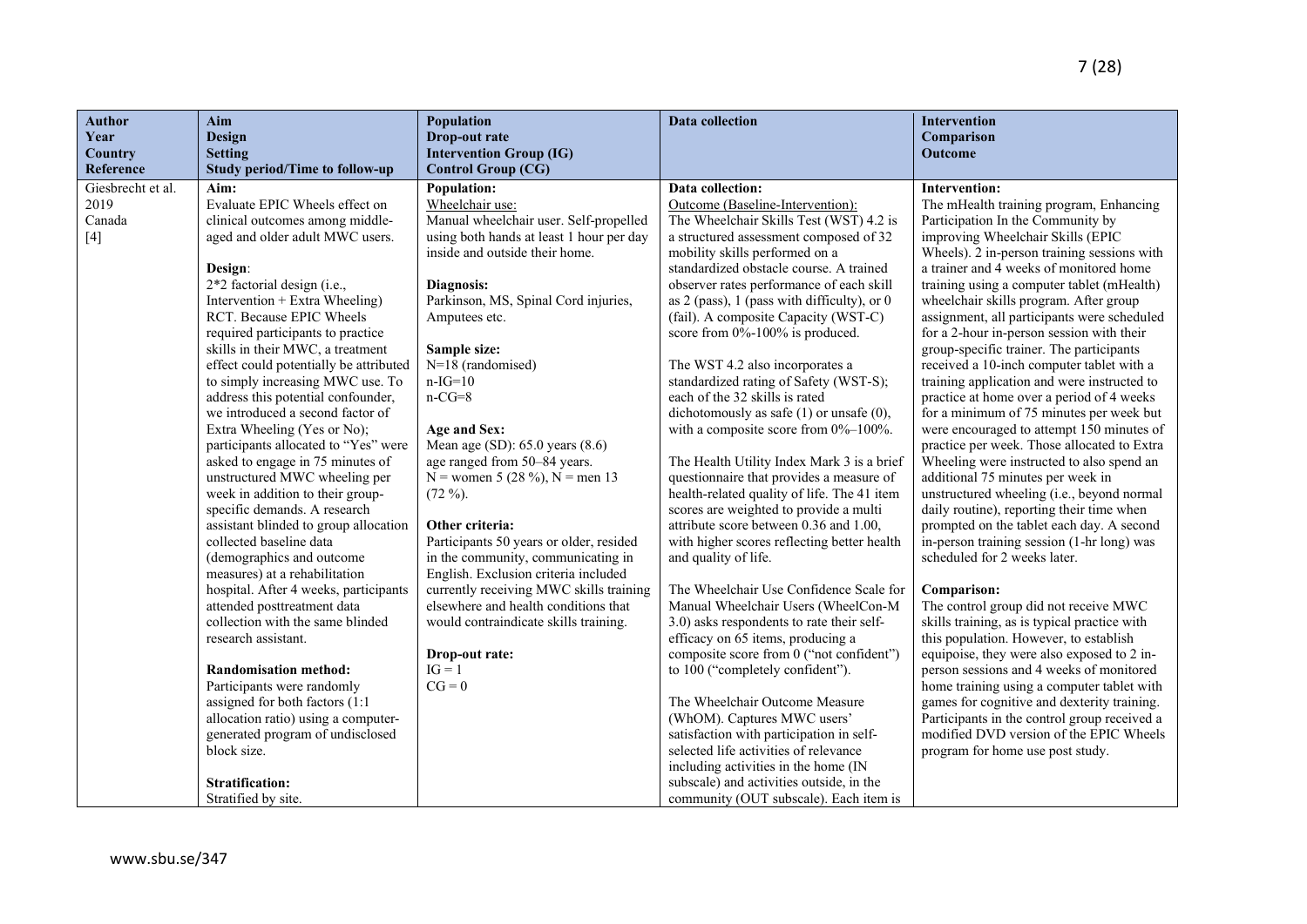| <b>Author</b><br>Aim<br>Year<br>Design<br><b>Setting</b><br>Country |                                                                    | Population<br>Drop-out rate<br><b>Intervention Group (IG)</b>                      | <b>Data collection</b>                                                                | Intervention<br>Comparison<br>Outcome                                                   |
|---------------------------------------------------------------------|--------------------------------------------------------------------|------------------------------------------------------------------------------------|---------------------------------------------------------------------------------------|-----------------------------------------------------------------------------------------|
| Reference                                                           | <b>Study period/Time to follow-up</b>                              | <b>Control Group (CG)</b>                                                          |                                                                                       |                                                                                         |
| Giesbrecht et al.<br>Aim:                                           |                                                                    | <b>Population:</b>                                                                 | Data collection:                                                                      | <b>Intervention:</b>                                                                    |
| 2019<br>Evaluate EPIC Wheels effect on                              |                                                                    | Wheelchair use:                                                                    | Outcome (Baseline-Intervention):                                                      | The mHealth training program, Enhancing                                                 |
| Canada<br>$[4]$                                                     | clinical outcomes among middle-<br>aged and older adult MWC users. | Manual wheelchair user. Self-propelled<br>using both hands at least 1 hour per day | The Wheelchair Skills Test (WST) 4.2 is<br>a structured assessment composed of 32     | Participation In the Community by<br>improving Wheelchair Skills (EPIC                  |
|                                                                     |                                                                    | inside and outside their home.                                                     | mobility skills performed on a                                                        | Wheels). 2 in-person training sessions with                                             |
| Design:                                                             |                                                                    |                                                                                    | standardized obstacle course. A trained                                               | a trainer and 4 weeks of monitored home                                                 |
| 2*2 factorial design (i.e.,                                         |                                                                    | Diagnosis:                                                                         | observer rates performance of each skill                                              | training using a computer tablet (mHealth)                                              |
| Intervention + Extra Wheeling)                                      |                                                                    | Parkinson, MS, Spinal Cord injuries,                                               | as 2 (pass), 1 (pass with difficulty), or 0                                           | wheelchair skills program. After group                                                  |
| RCT. Because EPIC Wheels                                            |                                                                    | Amputees etc.                                                                      | (fail). A composite Capacity (WST-C)                                                  | assignment, all participants were scheduled                                             |
| required participants to practice                                   |                                                                    |                                                                                    | score from 0%-100% is produced.                                                       | for a 2-hour in-person session with their                                               |
| skills in their MWC, a treatment                                    | effect could potentially be attributed                             | Sample size:<br>$N=18$ (randomised)                                                |                                                                                       | group-specific trainer. The participants<br>received a 10-inch computer tablet with a   |
|                                                                     | to simply increasing MWC use. To                                   | $n-IG=10$                                                                          | The WST 4.2 also incorporates a<br>standardized rating of Safety (WST-S);             | training application and were instructed to                                             |
|                                                                     | address this potential confounder,                                 | $n-CG=8$                                                                           | each of the 32 skills is rated                                                        | practice at home over a period of 4 weeks                                               |
|                                                                     | we introduced a second factor of                                   |                                                                                    | dichotomously as safe $(1)$ or unsafe $(0)$ ,                                         | for a minimum of 75 minutes per week but                                                |
| Extra Wheeling (Yes or No);                                         |                                                                    | Age and Sex:                                                                       | with a composite score from 0%-100%.                                                  | were encouraged to attempt 150 minutes of                                               |
|                                                                     | participants allocated to "Yes" were                               | Mean age (SD): 65.0 years (8.6)                                                    |                                                                                       | practice per week. Those allocated to Extra                                             |
|                                                                     | asked to engage in 75 minutes of                                   | age ranged from 50-84 years.                                                       | The Health Utility Index Mark 3 is a brief                                            | Wheeling were instructed to also spend an                                               |
|                                                                     | unstructured MWC wheeling per                                      | N = women 5 (28 %), N = men 13                                                     | questionnaire that provides a measure of                                              | additional 75 minutes per week in                                                       |
| week in addition to their group-<br>specific demands. A research    |                                                                    | $(72\%)$ .                                                                         | health-related quality of life. The 41 item<br>scores are weighted to provide a multi | unstructured wheeling (i.e., beyond normal<br>daily routine), reporting their time when |
|                                                                     | assistant blinded to group allocation                              | Other criteria:                                                                    | attribute score between 0.36 and 1.00,                                                | prompted on the tablet each day. A second                                               |
| collected baseline data                                             |                                                                    | Participants 50 years or older, resided                                            | with higher scores reflecting better health                                           | in-person training session (1-hr long) was                                              |
| (demographics and outcome                                           |                                                                    | in the community, communicating in                                                 | and quality of life.                                                                  | scheduled for 2 weeks later.                                                            |
| measures) at a rehabilitation                                       |                                                                    | English. Exclusion criteria included                                               |                                                                                       |                                                                                         |
|                                                                     | hospital. After 4 weeks, participants                              | currently receiving MWC skills training                                            | The Wheelchair Use Confidence Scale for                                               | Comparison:                                                                             |
| attended posttreatment data                                         |                                                                    | elsewhere and health conditions that                                               | Manual Wheelchair Users (WheelCon-M                                                   | The control group did not receive MWC                                                   |
| collection with the same blinded<br>research assistant.             |                                                                    | would contraindicate skills training.                                              | 3.0) asks respondents to rate their self-<br>efficacy on 65 items, producing a        | skills training, as is typical practice with<br>this population. However, to establish  |
|                                                                     |                                                                    | Drop-out rate:                                                                     | composite score from 0 ("not confident")                                              | equipoise, they were also exposed to 2 in-                                              |
| <b>Randomisation method:</b>                                        |                                                                    | $IG = 1$                                                                           | to 100 ("completely confident").                                                      | person sessions and 4 weeks of monitored                                                |
| Participants were randomly                                          |                                                                    | $CG = 0$                                                                           |                                                                                       | home training using a computer tablet with                                              |
| assigned for both factors (1:1                                      |                                                                    |                                                                                    | The Wheelchair Outcome Measure                                                        | games for cognitive and dexterity training.                                             |
|                                                                     | allocation ratio) using a computer-                                |                                                                                    | (WhOM). Captures MWC users'                                                           | Participants in the control group received a                                            |
|                                                                     | generated program of undisclosed                                   |                                                                                    | satisfaction with participation in self-                                              | modified DVD version of the EPIC Wheels                                                 |
| block size.                                                         |                                                                    |                                                                                    | selected life activities of relevance                                                 | program for home use post study.                                                        |
| <b>Stratification:</b>                                              |                                                                    |                                                                                    | including activities in the home (IN<br>subscale) and activities outside, in the      |                                                                                         |
| Stratified by site.                                                 |                                                                    |                                                                                    | community (OUT subscale). Each item is                                                |                                                                                         |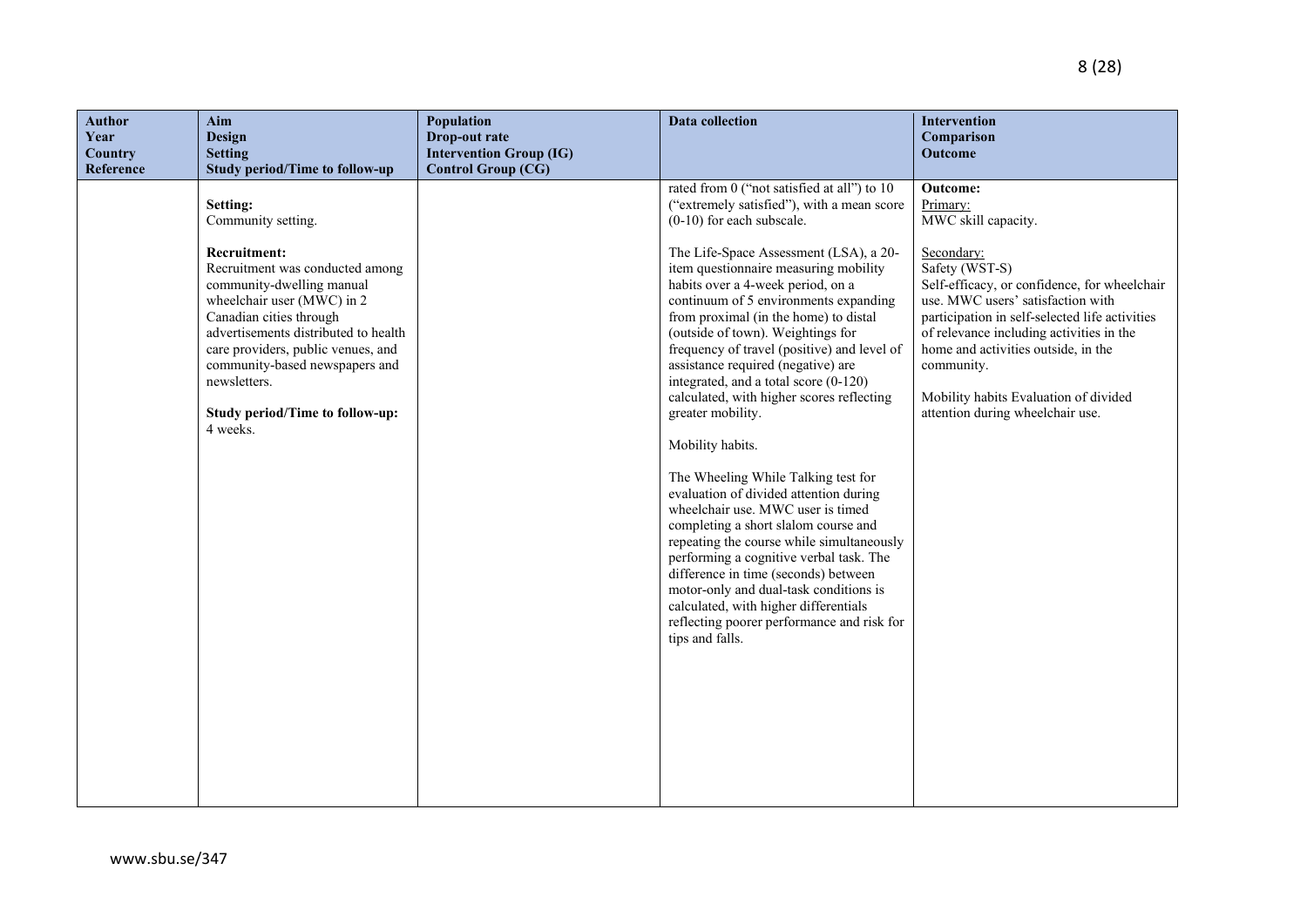| <b>Author</b><br>Year<br>Country<br>Reference | Aim<br><b>Design</b><br><b>Setting</b><br><b>Study period/Time to follow-up</b>                                                                                                                                                                                                                                                                               | Population<br>Drop-out rate<br><b>Intervention Group (IG)</b><br><b>Control Group (CG)</b> | <b>Data collection</b>                                                                                                                                                                                                                                                                                                                                                                                                                                                                                                                                                                                                                                                                                                                                                                                                                                                                                                                                                                                                                        | Intervention<br>Comparison<br>Outcome                                                                                                                                                                                                                                                                                                                                                            |
|-----------------------------------------------|---------------------------------------------------------------------------------------------------------------------------------------------------------------------------------------------------------------------------------------------------------------------------------------------------------------------------------------------------------------|--------------------------------------------------------------------------------------------|-----------------------------------------------------------------------------------------------------------------------------------------------------------------------------------------------------------------------------------------------------------------------------------------------------------------------------------------------------------------------------------------------------------------------------------------------------------------------------------------------------------------------------------------------------------------------------------------------------------------------------------------------------------------------------------------------------------------------------------------------------------------------------------------------------------------------------------------------------------------------------------------------------------------------------------------------------------------------------------------------------------------------------------------------|--------------------------------------------------------------------------------------------------------------------------------------------------------------------------------------------------------------------------------------------------------------------------------------------------------------------------------------------------------------------------------------------------|
|                                               | Setting:<br>Community setting.<br><b>Recruitment:</b><br>Recruitment was conducted among<br>community-dwelling manual<br>wheelchair user (MWC) in 2<br>Canadian cities through<br>advertisements distributed to health<br>care providers, public venues, and<br>community-based newspapers and<br>newsletters.<br>Study period/Time to follow-up:<br>4 weeks. |                                                                                            | rated from 0 ("not satisfied at all") to 10<br>("extremely satisfied"), with a mean score<br>$(0-10)$ for each subscale.<br>The Life-Space Assessment (LSA), a 20-<br>item questionnaire measuring mobility<br>habits over a 4-week period, on a<br>continuum of 5 environments expanding<br>from proximal (in the home) to distal<br>(outside of town). Weightings for<br>frequency of travel (positive) and level of<br>assistance required (negative) are<br>integrated, and a total score (0-120)<br>calculated, with higher scores reflecting<br>greater mobility.<br>Mobility habits.<br>The Wheeling While Talking test for<br>evaluation of divided attention during<br>wheelchair use. MWC user is timed<br>completing a short slalom course and<br>repeating the course while simultaneously<br>performing a cognitive verbal task. The<br>difference in time (seconds) between<br>motor-only and dual-task conditions is<br>calculated, with higher differentials<br>reflecting poorer performance and risk for<br>tips and falls. | Outcome:<br>Primary:<br>MWC skill capacity.<br>Secondary:<br>Safety (WST-S)<br>Self-efficacy, or confidence, for wheelchair<br>use. MWC users' satisfaction with<br>participation in self-selected life activities<br>of relevance including activities in the<br>home and activities outside, in the<br>community.<br>Mobility habits Evaluation of divided<br>attention during wheelchair use. |
|                                               |                                                                                                                                                                                                                                                                                                                                                               |                                                                                            |                                                                                                                                                                                                                                                                                                                                                                                                                                                                                                                                                                                                                                                                                                                                                                                                                                                                                                                                                                                                                                               |                                                                                                                                                                                                                                                                                                                                                                                                  |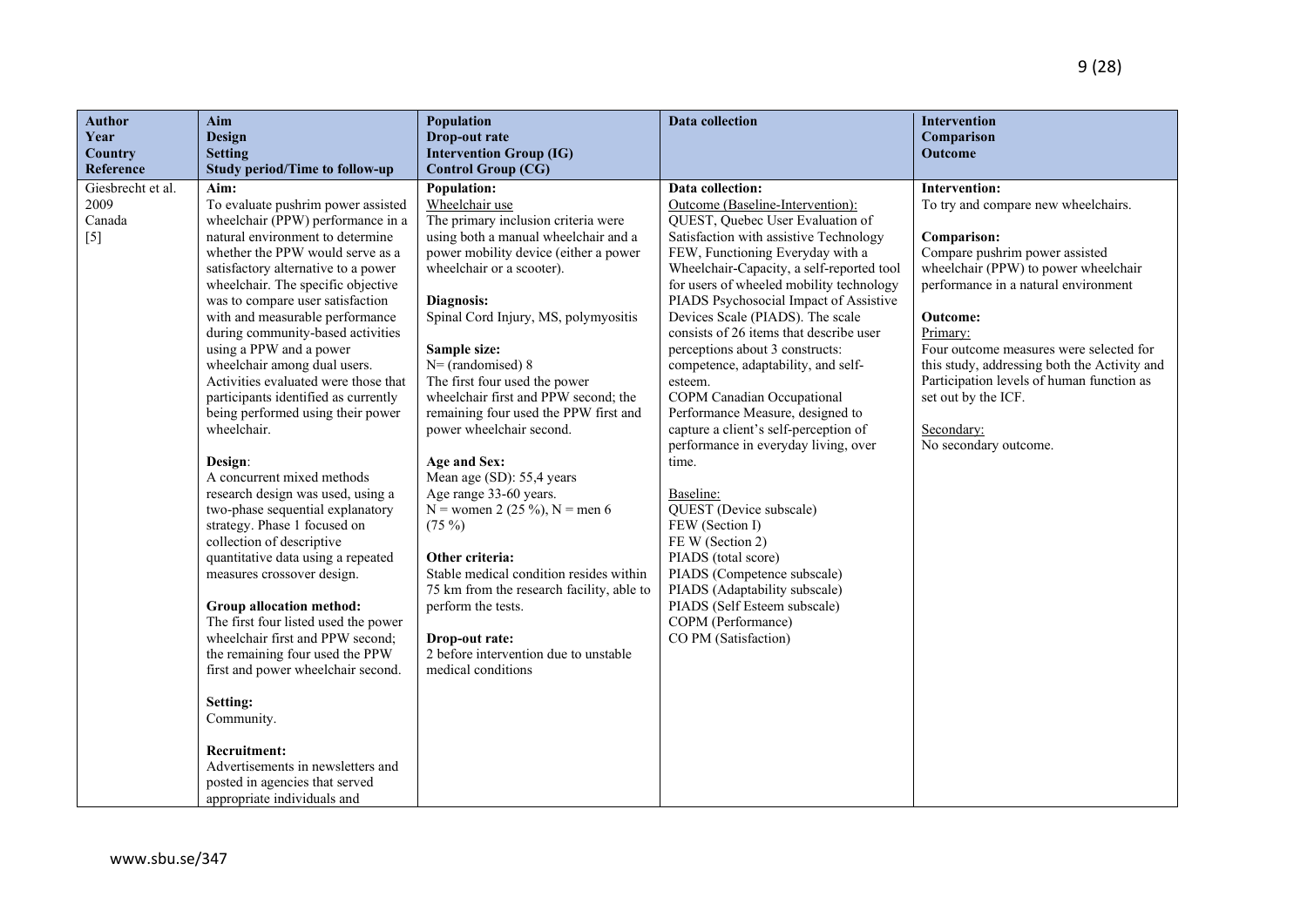| <b>Author</b>             | Aim                                                                   | Population                                              | Data collection                           | Intervention                                                |
|---------------------------|-----------------------------------------------------------------------|---------------------------------------------------------|-------------------------------------------|-------------------------------------------------------------|
| Year                      | <b>Design</b>                                                         | Drop-out rate                                           |                                           | Comparison                                                  |
| Country                   | <b>Setting</b>                                                        | <b>Intervention Group (IG)</b>                          |                                           | Outcome                                                     |
| Reference                 | <b>Study period/Time to follow-up</b>                                 | <b>Control Group (CG)</b>                               | <b>Data collection:</b>                   |                                                             |
| Giesbrecht et al.<br>2009 | Aim:<br>To evaluate pushrim power assisted                            | Population:<br>Wheelchair use                           | Outcome (Baseline-Intervention):          | <b>Intervention:</b><br>To try and compare new wheelchairs. |
| Canada                    | wheelchair (PPW) performance in a                                     | The primary inclusion criteria were                     | QUEST, Quebec User Evaluation of          |                                                             |
| $[5]$                     | natural environment to determine                                      | using both a manual wheelchair and a                    | Satisfaction with assistive Technology    | Comparison:                                                 |
|                           | whether the PPW would serve as a                                      | power mobility device (either a power                   | FEW, Functioning Everyday with a          | Compare pushrim power assisted                              |
|                           | satisfactory alternative to a power                                   | wheelchair or a scooter).                               | Wheelchair-Capacity, a self-reported tool | wheelchair (PPW) to power wheelchair                        |
|                           | wheelchair. The specific objective                                    |                                                         | for users of wheeled mobility technology  | performance in a natural environment                        |
|                           | was to compare user satisfaction                                      | Diagnosis:                                              | PIADS Psychosocial Impact of Assistive    |                                                             |
|                           | with and measurable performance                                       | Spinal Cord Injury, MS, polymyositis                    | Devices Scale (PIADS). The scale          | Outcome:                                                    |
|                           | during community-based activities                                     |                                                         | consists of 26 items that describe user   | Primary:                                                    |
|                           | using a PPW and a power                                               | Sample size:                                            | perceptions about 3 constructs:           | Four outcome measures were selected for                     |
|                           | wheelchair among dual users.                                          | $N=$ (randomised) 8                                     | competence, adaptability, and self-       | this study, addressing both the Activity and                |
|                           | Activities evaluated were those that                                  | The first four used the power                           | esteem.                                   | Participation levels of human function as                   |
|                           | participants identified as currently                                  | wheelchair first and PPW second; the                    | COPM Canadian Occupational                | set out by the ICF.                                         |
|                           | being performed using their power                                     | remaining four used the PPW first and                   | Performance Measure, designed to          |                                                             |
|                           | wheelchair.                                                           | power wheelchair second.                                | capture a client's self-perception of     | Secondary:                                                  |
|                           |                                                                       |                                                         | performance in everyday living, over      | No secondary outcome.                                       |
|                           | Design:                                                               | Age and Sex:                                            | time.                                     |                                                             |
|                           | A concurrent mixed methods                                            | Mean age (SD): 55,4 years                               |                                           |                                                             |
|                           | research design was used, using a<br>two-phase sequential explanatory | Age range 33-60 years.<br>N = women 2 (25 %), N = men 6 | Baseline:<br>QUEST (Device subscale)      |                                                             |
|                           | strategy. Phase 1 focused on                                          | $(75\%)$                                                | FEW (Section I)                           |                                                             |
|                           | collection of descriptive                                             |                                                         | FE W (Section 2)                          |                                                             |
|                           | quantitative data using a repeated                                    | Other criteria:                                         | PIADS (total score)                       |                                                             |
|                           | measures crossover design.                                            | Stable medical condition resides within                 | PIADS (Competence subscale)               |                                                             |
|                           |                                                                       | 75 km from the research facility, able to               | PIADS (Adaptability subscale)             |                                                             |
|                           | Group allocation method:                                              | perform the tests.                                      | PIADS (Self Esteem subscale)              |                                                             |
|                           | The first four listed used the power                                  |                                                         | COPM (Performance)                        |                                                             |
|                           | wheelchair first and PPW second;                                      | Drop-out rate:                                          | CO PM (Satisfaction)                      |                                                             |
|                           | the remaining four used the PPW                                       | 2 before intervention due to unstable                   |                                           |                                                             |
|                           | first and power wheelchair second.                                    | medical conditions                                      |                                           |                                                             |
|                           | Setting:                                                              |                                                         |                                           |                                                             |
|                           | Community.                                                            |                                                         |                                           |                                                             |
|                           |                                                                       |                                                         |                                           |                                                             |
|                           | <b>Recruitment:</b>                                                   |                                                         |                                           |                                                             |
|                           | Advertisements in newsletters and                                     |                                                         |                                           |                                                             |
|                           | posted in agencies that served                                        |                                                         |                                           |                                                             |
|                           | appropriate individuals and                                           |                                                         |                                           |                                                             |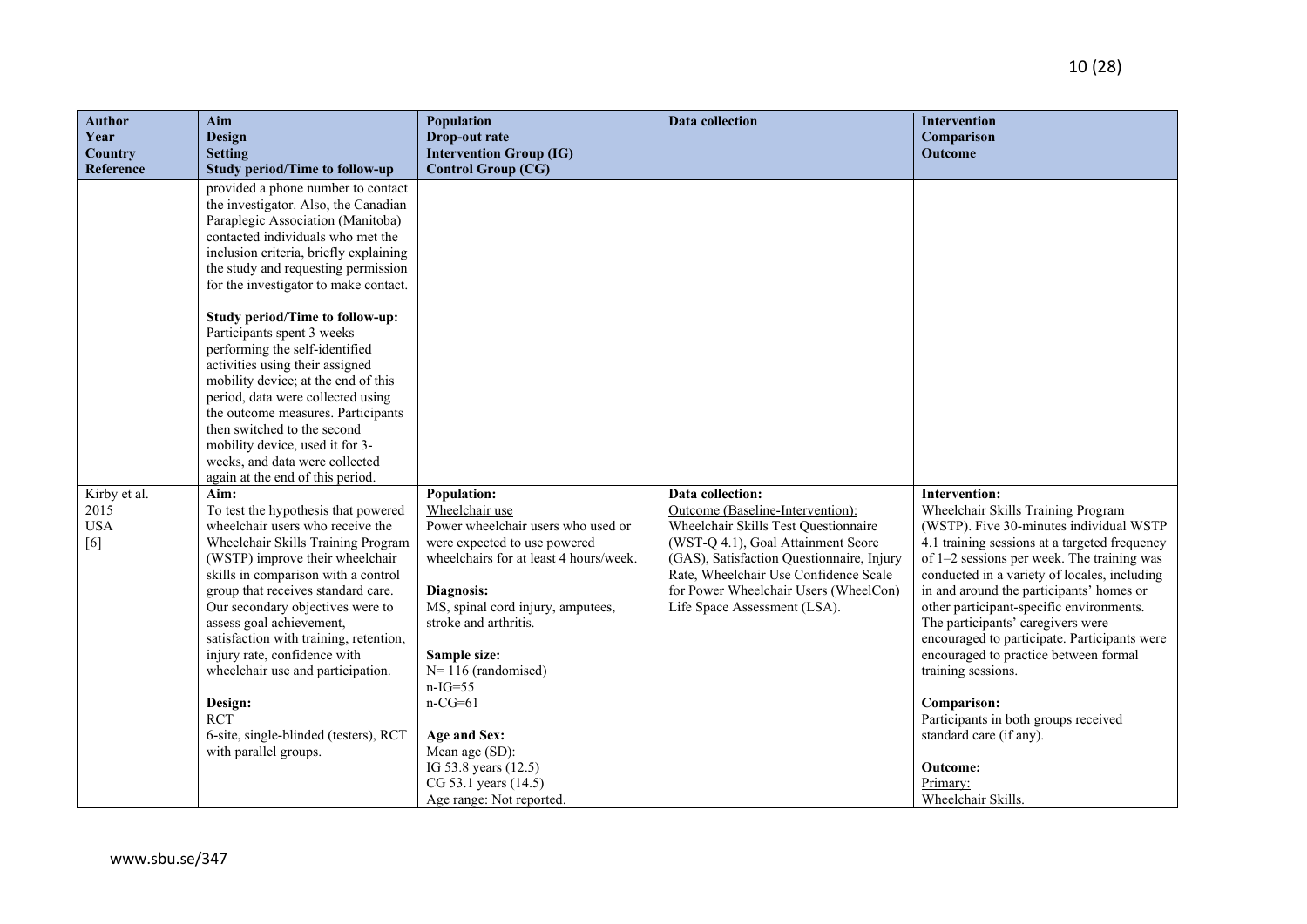| <b>Author</b>                                          | Aim                                                                                                                                                                                                                                                                                                                                                                                                                                                                                                                                                                                                                                                                                                                                                                                                                                                                                                                                                                                                                                                                                                                                                                                                                                        | Population                                                                                                                                                                                                                                                                                                                                                                                                                                    | <b>Data collection</b>                                                                                                                                                                                                                                                                            | <b>Intervention</b>                                                                                                                                                                                                                                                                                                                                                                                                                                                                                                                                                                                                              |
|--------------------------------------------------------|--------------------------------------------------------------------------------------------------------------------------------------------------------------------------------------------------------------------------------------------------------------------------------------------------------------------------------------------------------------------------------------------------------------------------------------------------------------------------------------------------------------------------------------------------------------------------------------------------------------------------------------------------------------------------------------------------------------------------------------------------------------------------------------------------------------------------------------------------------------------------------------------------------------------------------------------------------------------------------------------------------------------------------------------------------------------------------------------------------------------------------------------------------------------------------------------------------------------------------------------|-----------------------------------------------------------------------------------------------------------------------------------------------------------------------------------------------------------------------------------------------------------------------------------------------------------------------------------------------------------------------------------------------------------------------------------------------|---------------------------------------------------------------------------------------------------------------------------------------------------------------------------------------------------------------------------------------------------------------------------------------------------|----------------------------------------------------------------------------------------------------------------------------------------------------------------------------------------------------------------------------------------------------------------------------------------------------------------------------------------------------------------------------------------------------------------------------------------------------------------------------------------------------------------------------------------------------------------------------------------------------------------------------------|
| Year                                                   | <b>Design</b>                                                                                                                                                                                                                                                                                                                                                                                                                                                                                                                                                                                                                                                                                                                                                                                                                                                                                                                                                                                                                                                                                                                                                                                                                              | Drop-out rate                                                                                                                                                                                                                                                                                                                                                                                                                                 |                                                                                                                                                                                                                                                                                                   | Comparison                                                                                                                                                                                                                                                                                                                                                                                                                                                                                                                                                                                                                       |
| <b>Country</b>                                         | <b>Setting</b>                                                                                                                                                                                                                                                                                                                                                                                                                                                                                                                                                                                                                                                                                                                                                                                                                                                                                                                                                                                                                                                                                                                                                                                                                             | <b>Intervention Group (IG)</b>                                                                                                                                                                                                                                                                                                                                                                                                                |                                                                                                                                                                                                                                                                                                   | <b>Outcome</b>                                                                                                                                                                                                                                                                                                                                                                                                                                                                                                                                                                                                                   |
| Reference<br>Kirby et al.<br>2015<br><b>USA</b><br>[6] | <b>Study period/Time to follow-up</b><br>provided a phone number to contact<br>the investigator. Also, the Canadian<br>Paraplegic Association (Manitoba)<br>contacted individuals who met the<br>inclusion criteria, briefly explaining<br>the study and requesting permission<br>for the investigator to make contact.<br>Study period/Time to follow-up:<br>Participants spent 3 weeks<br>performing the self-identified<br>activities using their assigned<br>mobility device; at the end of this<br>period, data were collected using<br>the outcome measures. Participants<br>then switched to the second<br>mobility device, used it for 3-<br>weeks, and data were collected<br>again at the end of this period.<br>Aim:<br>To test the hypothesis that powered<br>wheelchair users who receive the<br>Wheelchair Skills Training Program<br>(WSTP) improve their wheelchair<br>skills in comparison with a control<br>group that receives standard care.<br>Our secondary objectives were to<br>assess goal achievement,<br>satisfaction with training, retention,<br>injury rate, confidence with<br>wheelchair use and participation.<br>Design:<br><b>RCT</b><br>6-site, single-blinded (testers), RCT<br>with parallel groups. | <b>Control Group (CG)</b><br><b>Population:</b><br>Wheelchair use<br>Power wheelchair users who used or<br>were expected to use powered<br>wheelchairs for at least 4 hours/week.<br>Diagnosis:<br>MS, spinal cord injury, amputees,<br>stroke and arthritis.<br>Sample size:<br>$N=116$ (randomised)<br>$n-IG=55$<br>$n-CG=61$<br>Age and Sex:<br>Mean age (SD):<br>IG 53.8 years (12.5)<br>CG 53.1 years (14.5)<br>Age range: Not reported. | Data collection:<br>Outcome (Baseline-Intervention):<br>Wheelchair Skills Test Questionnaire<br>(WST-Q 4.1), Goal Attainment Score<br>(GAS), Satisfaction Questionnaire, Injury<br>Rate, Wheelchair Use Confidence Scale<br>for Power Wheelchair Users (WheelCon)<br>Life Space Assessment (LSA). | Intervention:<br>Wheelchair Skills Training Program<br>(WSTP). Five 30-minutes individual WSTP<br>4.1 training sessions at a targeted frequency<br>of 1–2 sessions per week. The training was<br>conducted in a variety of locales, including<br>in and around the participants' homes or<br>other participant-specific environments.<br>The participants' caregivers were<br>encouraged to participate. Participants were<br>encouraged to practice between formal<br>training sessions.<br>Comparison:<br>Participants in both groups received<br>standard care (if any).<br><b>Outcome:</b><br>Primary:<br>Wheelchair Skills. |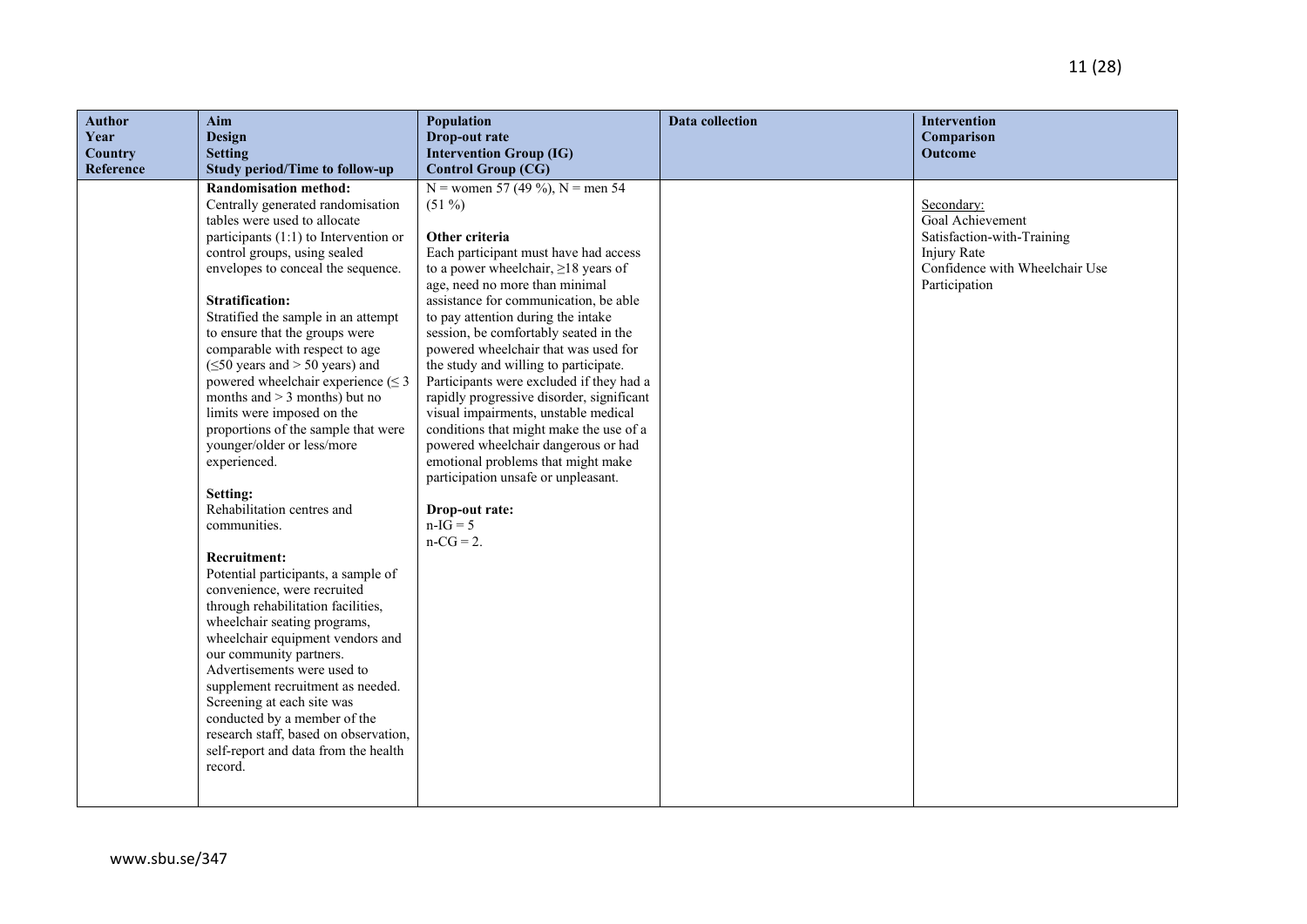| <b>Author</b> | Aim                                                                                                                                                                                                                                                                                                                                                                                                                                                                                                                                                                                                                                                                                                                                                                                                                                                                                                                                                                                                                                                                                                                                                                | Population                                                                                                                                                                                                                                                                                                                                                                                                                                                                                                                                                                                                                                                                                                                                                                  | Data collection | Intervention                                                                                                                   |
|---------------|--------------------------------------------------------------------------------------------------------------------------------------------------------------------------------------------------------------------------------------------------------------------------------------------------------------------------------------------------------------------------------------------------------------------------------------------------------------------------------------------------------------------------------------------------------------------------------------------------------------------------------------------------------------------------------------------------------------------------------------------------------------------------------------------------------------------------------------------------------------------------------------------------------------------------------------------------------------------------------------------------------------------------------------------------------------------------------------------------------------------------------------------------------------------|-----------------------------------------------------------------------------------------------------------------------------------------------------------------------------------------------------------------------------------------------------------------------------------------------------------------------------------------------------------------------------------------------------------------------------------------------------------------------------------------------------------------------------------------------------------------------------------------------------------------------------------------------------------------------------------------------------------------------------------------------------------------------------|-----------------|--------------------------------------------------------------------------------------------------------------------------------|
| Year          | <b>Design</b>                                                                                                                                                                                                                                                                                                                                                                                                                                                                                                                                                                                                                                                                                                                                                                                                                                                                                                                                                                                                                                                                                                                                                      | Drop-out rate                                                                                                                                                                                                                                                                                                                                                                                                                                                                                                                                                                                                                                                                                                                                                               |                 | Comparison                                                                                                                     |
| Country       | <b>Setting</b>                                                                                                                                                                                                                                                                                                                                                                                                                                                                                                                                                                                                                                                                                                                                                                                                                                                                                                                                                                                                                                                                                                                                                     | <b>Intervention Group (IG)</b>                                                                                                                                                                                                                                                                                                                                                                                                                                                                                                                                                                                                                                                                                                                                              |                 | Outcome                                                                                                                        |
| Reference     | <b>Study period/Time to follow-up</b><br><b>Randomisation method:</b><br>Centrally generated randomisation<br>tables were used to allocate<br>participants (1:1) to Intervention or<br>control groups, using sealed<br>envelopes to conceal the sequence.<br><b>Stratification:</b><br>Stratified the sample in an attempt<br>to ensure that the groups were<br>comparable with respect to age<br>$(\leq 50$ years and > 50 years) and<br>powered wheelchair experience $(\leq 3)$<br>months and $>$ 3 months) but no<br>limits were imposed on the<br>proportions of the sample that were<br>younger/older or less/more<br>experienced.<br>Setting:<br>Rehabilitation centres and<br>communities.<br><b>Recruitment:</b><br>Potential participants, a sample of<br>convenience, were recruited<br>through rehabilitation facilities,<br>wheelchair seating programs,<br>wheelchair equipment vendors and<br>our community partners.<br>Advertisements were used to<br>supplement recruitment as needed.<br>Screening at each site was<br>conducted by a member of the<br>research staff, based on observation,<br>self-report and data from the health<br>record. | <b>Control Group (CG)</b><br>N = women 57 (49 %), N = men 54<br>$(51\%)$<br>Other criteria<br>Each participant must have had access<br>to a power wheelchair, $\geq$ 18 years of<br>age, need no more than minimal<br>assistance for communication, be able<br>to pay attention during the intake<br>session, be comfortably seated in the<br>powered wheelchair that was used for<br>the study and willing to participate.<br>Participants were excluded if they had a<br>rapidly progressive disorder, significant<br>visual impairments, unstable medical<br>conditions that might make the use of a<br>powered wheelchair dangerous or had<br>emotional problems that might make<br>participation unsafe or unpleasant.<br>Drop-out rate:<br>$n-IG = 5$<br>$n-CG = 2$ . |                 | Secondary:<br>Goal Achievement<br>Satisfaction-with-Training<br>Injury Rate<br>Confidence with Wheelchair Use<br>Participation |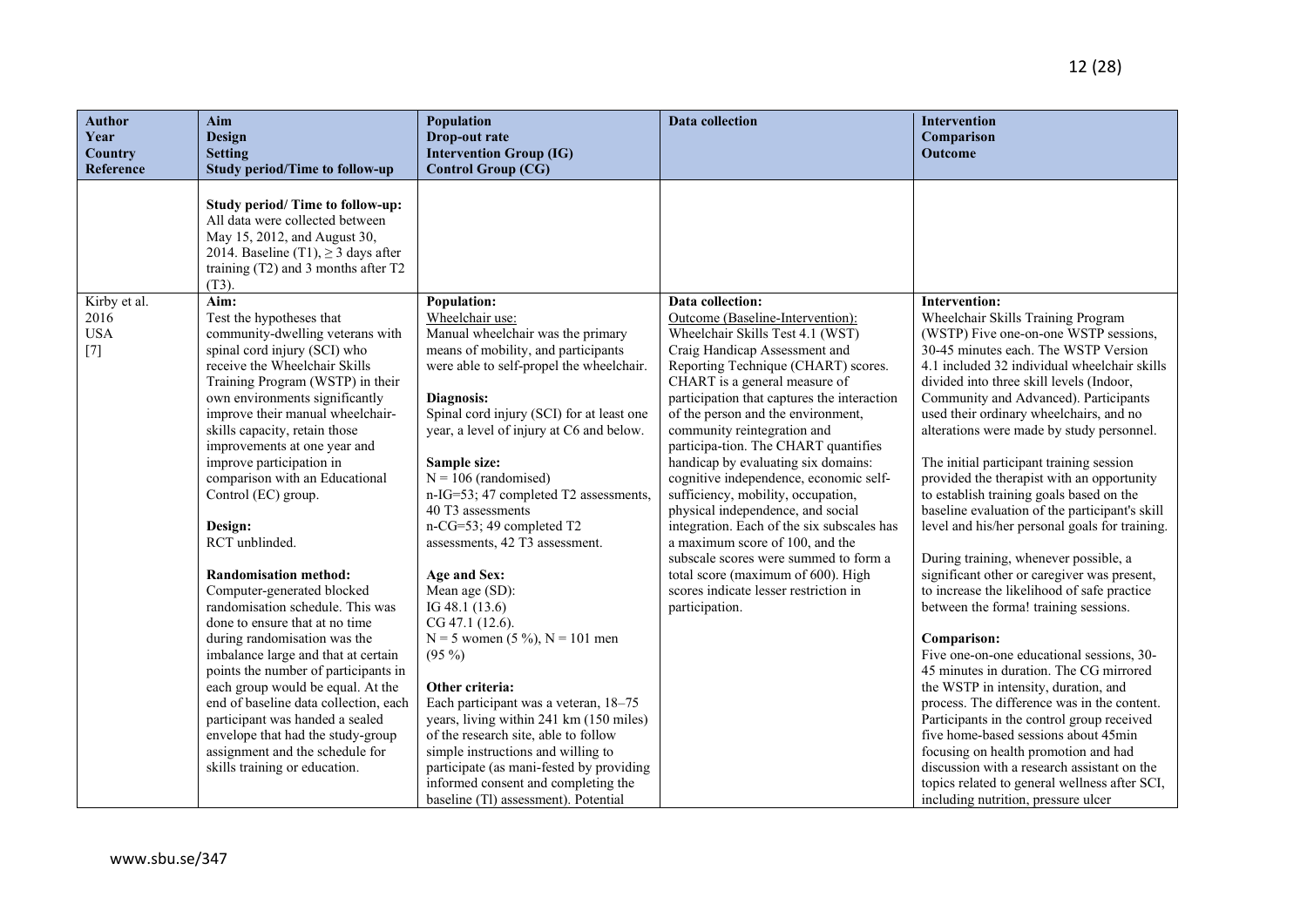| <b>Author</b>               | Aim                                                                      | Population                                                                       | <b>Data collection</b>                                                        | <b>Intervention</b>                                                                       |
|-----------------------------|--------------------------------------------------------------------------|----------------------------------------------------------------------------------|-------------------------------------------------------------------------------|-------------------------------------------------------------------------------------------|
| Year                        | <b>Design</b>                                                            | Drop-out rate                                                                    |                                                                               | Comparison                                                                                |
| <b>Country</b><br>Reference | <b>Setting</b><br><b>Study period/Time to follow-up</b>                  | <b>Intervention Group (IG)</b><br><b>Control Group (CG)</b>                      |                                                                               | Outcome                                                                                   |
|                             |                                                                          |                                                                                  |                                                                               |                                                                                           |
|                             | Study period/ Time to follow-up:                                         |                                                                                  |                                                                               |                                                                                           |
|                             | All data were collected between                                          |                                                                                  |                                                                               |                                                                                           |
|                             | May 15, 2012, and August 30,                                             |                                                                                  |                                                                               |                                                                                           |
|                             | 2014. Baseline (T1), $\geq$ 3 days after                                 |                                                                                  |                                                                               |                                                                                           |
|                             | training (T2) and 3 months after T2                                      |                                                                                  |                                                                               |                                                                                           |
|                             | $(T3)$ .                                                                 |                                                                                  |                                                                               |                                                                                           |
| Kirby et al.                | Aim:                                                                     | <b>Population:</b>                                                               | Data collection:                                                              | <b>Intervention:</b>                                                                      |
| 2016                        | Test the hypotheses that                                                 | Wheelchair use:                                                                  | Outcome (Baseline-Intervention):                                              | Wheelchair Skills Training Program                                                        |
| <b>USA</b>                  | community-dwelling veterans with                                         | Manual wheelchair was the primary                                                | Wheelchair Skills Test 4.1 (WST)                                              | (WSTP) Five one-on-one WSTP sessions,                                                     |
| $[7]$                       | spinal cord injury (SCI) who<br>receive the Wheelchair Skills            | means of mobility, and participants<br>were able to self-propel the wheelchair.  | Craig Handicap Assessment and<br>Reporting Technique (CHART) scores.          | 30-45 minutes each. The WSTP Version<br>4.1 included 32 individual wheelchair skills      |
|                             | Training Program (WSTP) in their                                         |                                                                                  | CHART is a general measure of                                                 | divided into three skill levels (Indoor,                                                  |
|                             | own environments significantly                                           | Diagnosis:                                                                       | participation that captures the interaction                                   | Community and Advanced). Participants                                                     |
|                             | improve their manual wheelchair-                                         | Spinal cord injury (SCI) for at least one                                        | of the person and the environment,                                            | used their ordinary wheelchairs, and no                                                   |
|                             | skills capacity, retain those                                            | year, a level of injury at C6 and below.                                         | community reintegration and                                                   | alterations were made by study personnel.                                                 |
|                             | improvements at one year and                                             |                                                                                  | participa-tion. The CHART quantifies                                          |                                                                                           |
|                             | improve participation in                                                 | Sample size:                                                                     | handicap by evaluating six domains:                                           | The initial participant training session                                                  |
|                             | comparison with an Educational                                           | $N = 106$ (randomised)                                                           | cognitive independence, economic self-                                        | provided the therapist with an opportunity                                                |
|                             | Control (EC) group.                                                      | n-IG=53; 47 completed T2 assessments,                                            | sufficiency, mobility, occupation,                                            | to establish training goals based on the                                                  |
|                             |                                                                          | 40 T3 assessments                                                                | physical independence, and social                                             | baseline evaluation of the participant's skill                                            |
|                             | Design:<br>RCT unblinded.                                                | n-CG=53; 49 completed T2<br>assessments, 42 T3 assessment.                       | integration. Each of the six subscales has<br>a maximum score of 100, and the | level and his/her personal goals for training.                                            |
|                             |                                                                          |                                                                                  | subscale scores were summed to form a                                         | During training, whenever possible, a                                                     |
|                             | <b>Randomisation method:</b>                                             | Age and Sex:                                                                     | total score (maximum of 600). High                                            | significant other or caregiver was present,                                               |
|                             | Computer-generated blocked                                               | Mean age (SD):                                                                   | scores indicate lesser restriction in                                         | to increase the likelihood of safe practice                                               |
|                             | randomisation schedule. This was                                         | IG 48.1 (13.6)                                                                   | participation.                                                                | between the forma! training sessions.                                                     |
|                             | done to ensure that at no time                                           | CG 47.1 (12.6).                                                                  |                                                                               |                                                                                           |
|                             | during randomisation was the                                             | $N = 5$ women (5 %), $N = 101$ men                                               |                                                                               | Comparison:                                                                               |
|                             | imbalance large and that at certain                                      | $(95\%)$                                                                         |                                                                               | Five one-on-one educational sessions, 30-                                                 |
|                             | points the number of participants in                                     |                                                                                  |                                                                               | 45 minutes in duration. The CG mirrored                                                   |
|                             | each group would be equal. At the                                        | Other criteria:                                                                  |                                                                               | the WSTP in intensity, duration, and                                                      |
|                             | end of baseline data collection, each<br>participant was handed a sealed | Each participant was a veteran, 18-75<br>years, living within 241 km (150 miles) |                                                                               | process. The difference was in the content.<br>Participants in the control group received |
|                             | envelope that had the study-group                                        | of the research site, able to follow                                             |                                                                               | five home-based sessions about 45min                                                      |
|                             | assignment and the schedule for                                          | simple instructions and willing to                                               |                                                                               | focusing on health promotion and had                                                      |
|                             | skills training or education.                                            | participate (as mani-fested by providing                                         |                                                                               | discussion with a research assistant on the                                               |
|                             |                                                                          | informed consent and completing the                                              |                                                                               | topics related to general wellness after SCI,                                             |
|                             |                                                                          | baseline (Tl) assessment). Potential                                             |                                                                               | including nutrition, pressure ulcer                                                       |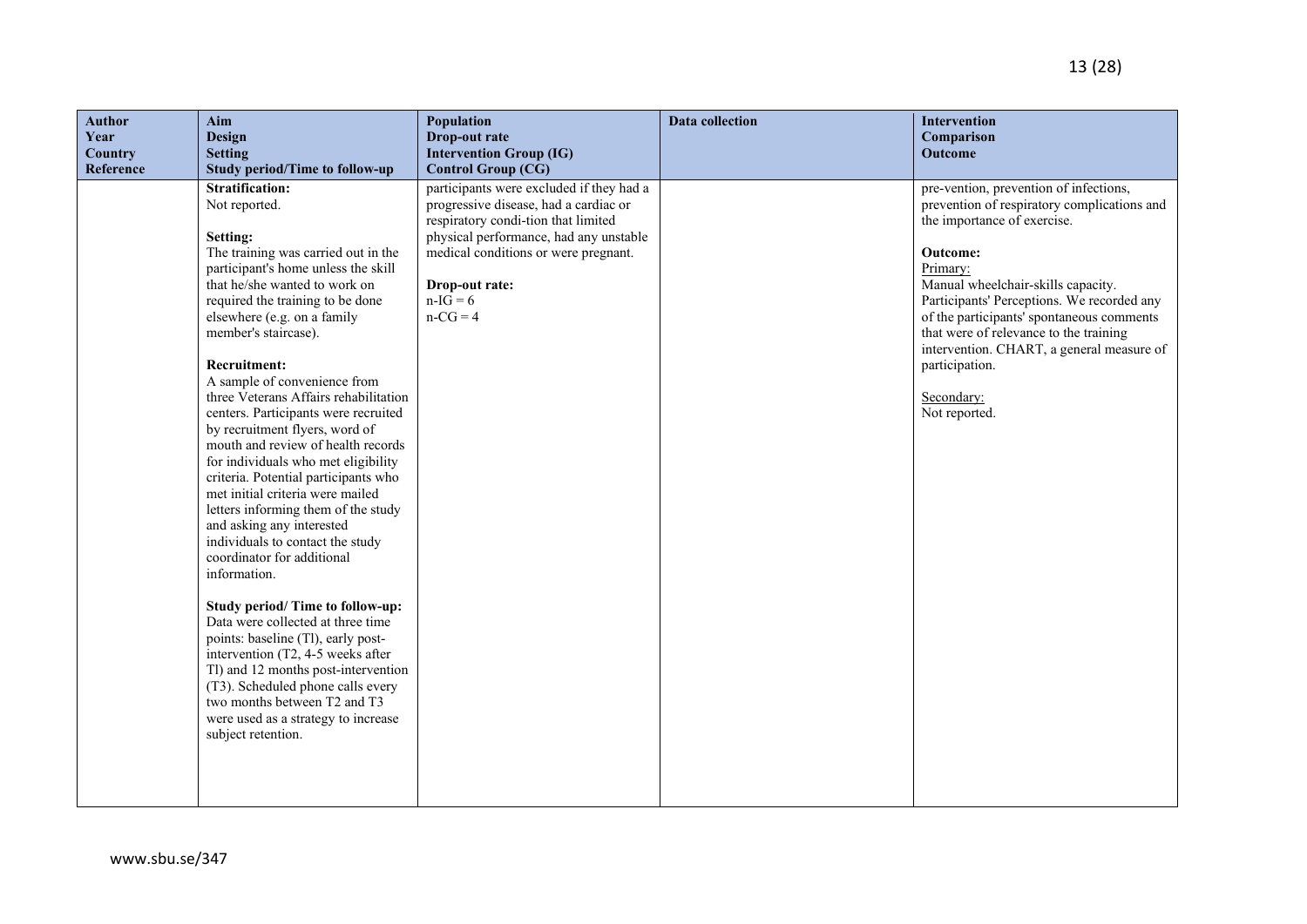| <b>Author</b><br>Year<br><b>Country</b><br>Reference | Aim<br><b>Design</b><br><b>Setting</b><br><b>Study period/Time to follow-up</b>                                                                                                                                                                                                                                                                                                                                                                                                                                                                                                                                                                                                                                                                                                                                                                                                                                                                                                                                                                                                     | <b>Population</b><br>Drop-out rate<br><b>Intervention Group (IG)</b><br><b>Control Group (CG)</b>                                                                                                                                                        | <b>Data collection</b> | <b>Intervention</b><br>Comparison<br>Outcome                                                                                                                                                                                                                                                                                                                                                                                 |
|------------------------------------------------------|-------------------------------------------------------------------------------------------------------------------------------------------------------------------------------------------------------------------------------------------------------------------------------------------------------------------------------------------------------------------------------------------------------------------------------------------------------------------------------------------------------------------------------------------------------------------------------------------------------------------------------------------------------------------------------------------------------------------------------------------------------------------------------------------------------------------------------------------------------------------------------------------------------------------------------------------------------------------------------------------------------------------------------------------------------------------------------------|----------------------------------------------------------------------------------------------------------------------------------------------------------------------------------------------------------------------------------------------------------|------------------------|------------------------------------------------------------------------------------------------------------------------------------------------------------------------------------------------------------------------------------------------------------------------------------------------------------------------------------------------------------------------------------------------------------------------------|
|                                                      | <b>Stratification:</b><br>Not reported.<br>Setting:<br>The training was carried out in the<br>participant's home unless the skill<br>that he/she wanted to work on<br>required the training to be done<br>elsewhere (e.g. on a family<br>member's staircase).<br><b>Recruitment:</b><br>A sample of convenience from<br>three Veterans Affairs rehabilitation<br>centers. Participants were recruited<br>by recruitment flyers, word of<br>mouth and review of health records<br>for individuals who met eligibility<br>criteria. Potential participants who<br>met initial criteria were mailed<br>letters informing them of the study<br>and asking any interested<br>individuals to contact the study<br>coordinator for additional<br>information.<br>Study period/ Time to follow-up:<br>Data were collected at three time<br>points: baseline (Tl), early post-<br>intervention (T2, 4-5 weeks after<br>Tl) and 12 months post-intervention<br>(T3). Scheduled phone calls every<br>two months between T2 and T3<br>were used as a strategy to increase<br>subject retention. | participants were excluded if they had a<br>progressive disease, had a cardiac or<br>respiratory condi-tion that limited<br>physical performance, had any unstable<br>medical conditions or were pregnant.<br>Drop-out rate:<br>$n-IG = 6$<br>$n-CG = 4$ |                        | pre-vention, prevention of infections,<br>prevention of respiratory complications and<br>the importance of exercise.<br><b>Outcome:</b><br>Primary:<br>Manual wheelchair-skills capacity.<br>Participants' Perceptions. We recorded any<br>of the participants' spontaneous comments<br>that were of relevance to the training<br>intervention. CHART, a general measure of<br>participation.<br>Secondary:<br>Not reported. |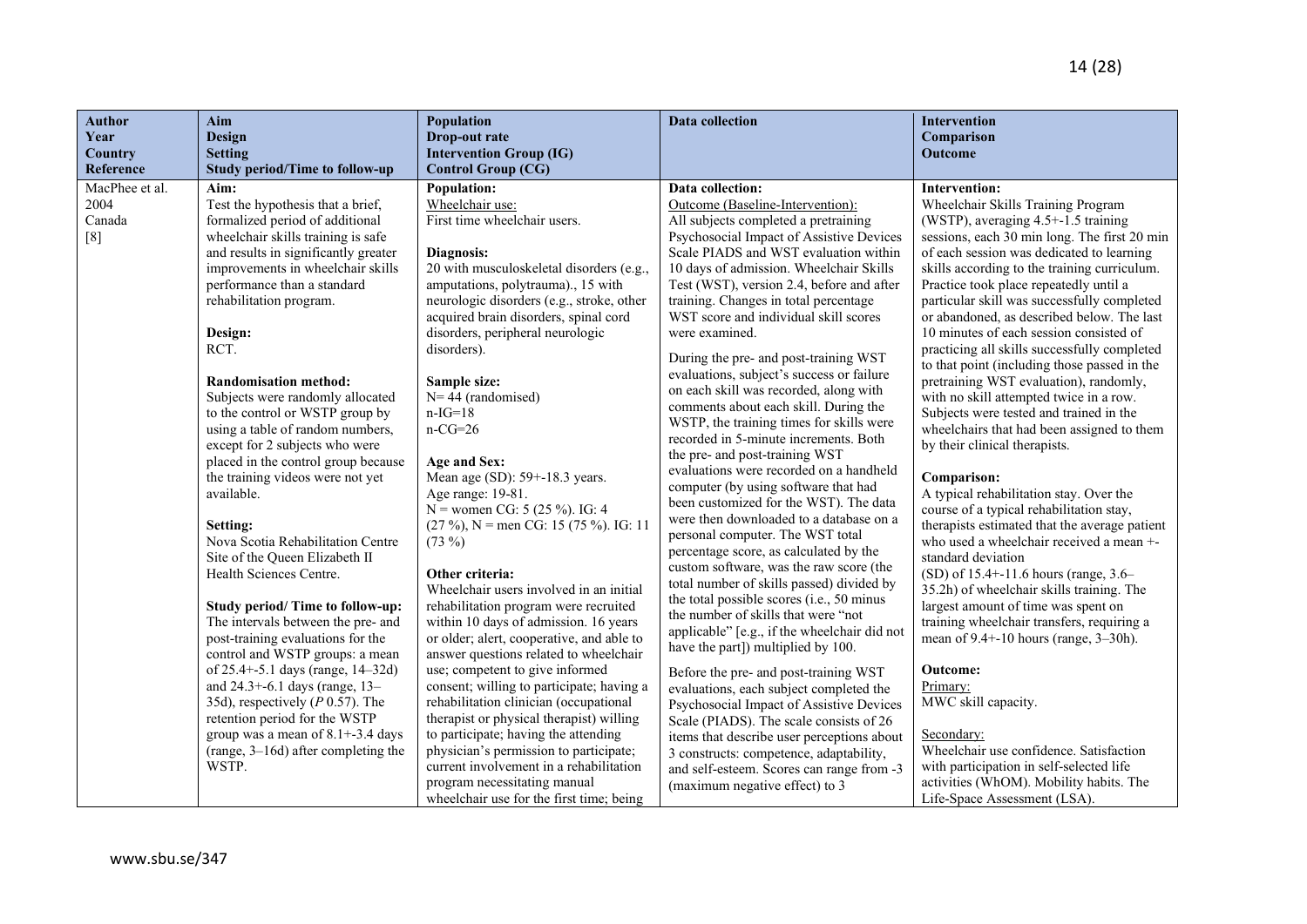| <b>Author</b><br>Year<br><b>Country</b> | Aim<br><b>Design</b><br><b>Setting</b>                                     | Population<br>Drop-out rate<br><b>Intervention Group (IG)</b>                      | <b>Data collection</b>                                                               | <b>Intervention</b><br>Comparison<br>Outcome                                              |
|-----------------------------------------|----------------------------------------------------------------------------|------------------------------------------------------------------------------------|--------------------------------------------------------------------------------------|-------------------------------------------------------------------------------------------|
| Reference                               | <b>Study period/Time to follow-up</b>                                      | <b>Control Group (CG)</b>                                                          |                                                                                      |                                                                                           |
| MacPhee et al.                          | Aim:                                                                       | <b>Population:</b>                                                                 | Data collection:                                                                     | <b>Intervention:</b>                                                                      |
| 2004                                    | Test the hypothesis that a brief,                                          | Wheelchair use:                                                                    | Outcome (Baseline-Intervention):                                                     | Wheelchair Skills Training Program                                                        |
| Canada                                  | formalized period of additional                                            | First time wheelchair users.                                                       | All subjects completed a pretraining                                                 | (WSTP), averaging 4.5+-1.5 training                                                       |
| [8]                                     | wheelchair skills training is safe<br>and results in significantly greater | Diagnosis:                                                                         | Psychosocial Impact of Assistive Devices<br>Scale PIADS and WST evaluation within    | sessions, each 30 min long. The first 20 min<br>of each session was dedicated to learning |
|                                         | improvements in wheelchair skills                                          | 20 with musculoskeletal disorders (e.g.,                                           | 10 days of admission. Wheelchair Skills                                              | skills according to the training curriculum.                                              |
|                                         | performance than a standard                                                | amputations, polytrauma)., 15 with                                                 | Test (WST), version 2.4, before and after                                            | Practice took place repeatedly until a                                                    |
|                                         | rehabilitation program.                                                    | neurologic disorders (e.g., stroke, other                                          | training. Changes in total percentage                                                | particular skill was successfully completed                                               |
|                                         |                                                                            | acquired brain disorders, spinal cord                                              | WST score and individual skill scores                                                | or abandoned, as described below. The last                                                |
|                                         | Design:                                                                    | disorders, peripheral neurologic                                                   | were examined.                                                                       | 10 minutes of each session consisted of                                                   |
|                                         | RCT.                                                                       | disorders).                                                                        |                                                                                      | practicing all skills successfully completed                                              |
|                                         |                                                                            |                                                                                    | During the pre- and post-training WST                                                | to that point (including those passed in the                                              |
|                                         | <b>Randomisation method:</b>                                               | Sample size:                                                                       | evaluations, subject's success or failure<br>on each skill was recorded, along with  | pretraining WST evaluation), randomly,                                                    |
|                                         | Subjects were randomly allocated                                           | $N = 44$ (randomised)                                                              | comments about each skill. During the                                                | with no skill attempted twice in a row.                                                   |
|                                         | to the control or WSTP group by                                            | $n-IG=18$                                                                          | WSTP, the training times for skills were                                             | Subjects were tested and trained in the                                                   |
|                                         | using a table of random numbers,                                           | $n-CG=26$                                                                          | recorded in 5-minute increments. Both                                                | wheelchairs that had been assigned to them                                                |
|                                         | except for 2 subjects who were                                             |                                                                                    | the pre- and post-training WST                                                       | by their clinical therapists.                                                             |
|                                         | placed in the control group because                                        | Age and Sex:                                                                       | evaluations were recorded on a handheld                                              |                                                                                           |
|                                         | the training videos were not yet<br>available.                             | Mean age (SD): 59+-18.3 years.                                                     | computer (by using software that had                                                 | Comparison:                                                                               |
|                                         |                                                                            | Age range: 19-81.<br>N = women CG: $5(25\%)$ . IG: 4                               | been customized for the WST). The data                                               | A typical rehabilitation stay. Over the<br>course of a typical rehabilitation stay,       |
|                                         | Setting:                                                                   | $(27\%)$ , N = men CG: 15 (75 %). IG: 11                                           | were then downloaded to a database on a                                              | therapists estimated that the average patient                                             |
|                                         | Nova Scotia Rehabilitation Centre                                          | $(73\%)$                                                                           | personal computer. The WST total                                                     | who used a wheelchair received a mean +-                                                  |
|                                         | Site of the Queen Elizabeth II                                             |                                                                                    | percentage score, as calculated by the                                               | standard deviation                                                                        |
|                                         | Health Sciences Centre.                                                    | Other criteria:                                                                    | custom software, was the raw score (the                                              | (SD) of 15.4+-11.6 hours (range, 3.6-                                                     |
|                                         |                                                                            | Wheelchair users involved in an initial                                            | total number of skills passed) divided by                                            | 35.2h) of wheelchair skills training. The                                                 |
|                                         | Study period/ Time to follow-up:                                           | rehabilitation program were recruited                                              | the total possible scores (i.e., 50 minus                                            | largest amount of time was spent on                                                       |
|                                         | The intervals between the pre- and                                         | within 10 days of admission. 16 years                                              | the number of skills that were "not<br>applicable" [e.g., if the wheelchair did not  | training wheelchair transfers, requiring a                                                |
|                                         | post-training evaluations for the                                          | or older; alert, cooperative, and able to                                          | have the part]) multiplied by 100.                                                   | mean of $9.4 + -10$ hours (range, $3 - 30$ h).                                            |
|                                         | control and WSTP groups: a mean                                            | answer questions related to wheelchair                                             |                                                                                      |                                                                                           |
|                                         | of 25.4+-5.1 days (range, 14-32d)                                          | use; competent to give informed                                                    | Before the pre- and post-training WST                                                | <b>Outcome:</b>                                                                           |
|                                         | and 24.3+-6.1 days (range, 13-                                             | consent; willing to participate; having a                                          | evaluations, each subject completed the                                              | Primary:                                                                                  |
|                                         | 35d), respectively ( $P$ 0.57). The<br>retention period for the WSTP       | rehabilitation clinician (occupational<br>therapist or physical therapist) willing | Psychosocial Impact of Assistive Devices                                             | MWC skill capacity.                                                                       |
|                                         | group was a mean of $8.1 + -3.4$ days                                      | to participate; having the attending                                               | Scale (PIADS). The scale consists of 26                                              | Secondary:                                                                                |
|                                         | (range, $3-16d$ ) after completing the                                     | physician's permission to participate;                                             | items that describe user perceptions about                                           | Wheelchair use confidence. Satisfaction                                                   |
|                                         | WSTP.                                                                      | current involvement in a rehabilitation                                            | 3 constructs: competence, adaptability,<br>and self-esteem. Scores can range from -3 | with participation in self-selected life                                                  |
|                                         |                                                                            | program necessitating manual                                                       | (maximum negative effect) to 3                                                       | activities (WhOM). Mobility habits. The                                                   |
|                                         |                                                                            | wheelchair use for the first time; being                                           |                                                                                      | Life-Space Assessment (LSA).                                                              |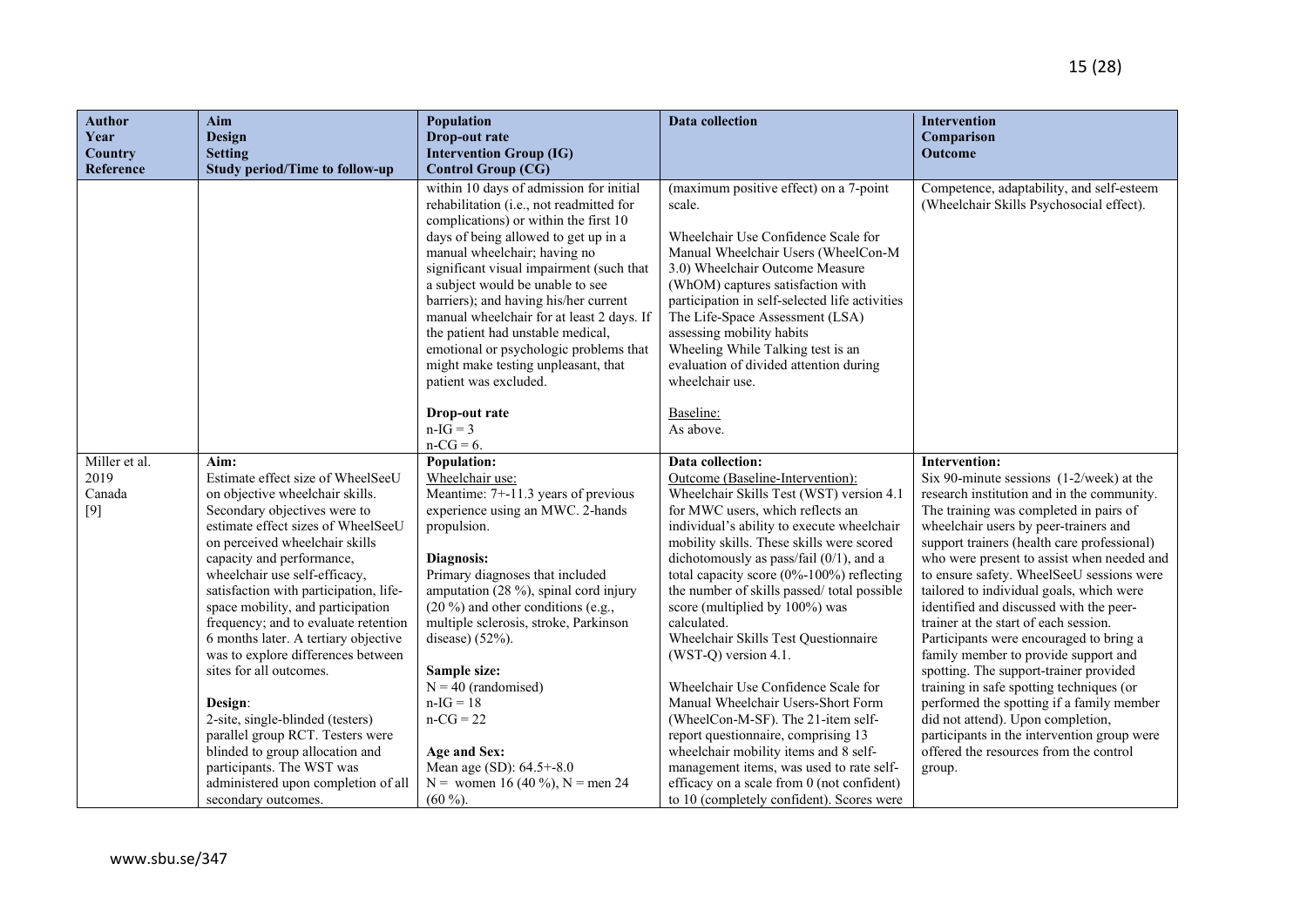| <b>Author</b><br>Year<br>Country         | Aim<br><b>Design</b><br><b>Setting</b>                                                                                                                                                                                                                                                                                                                                                                                                                                                                                                                                                                                                                                                              | <b>Population</b><br>Drop-out rate<br><b>Intervention Group (IG)</b>                                                                                                                                                                                                                                                                                                                                                                                                                                                                       | Data collection                                                                                                                                                                                                                                                                                                                                                                                                                                                                                                                                                                                                                                                                                                                                                                                                                      | <b>Intervention</b><br>Comparison<br><b>Outcome</b>                                                                                                                                                                                                                                                                                                                                                                                                                                                                                                                                                                                                                                                                                                                                                                                         |
|------------------------------------------|-----------------------------------------------------------------------------------------------------------------------------------------------------------------------------------------------------------------------------------------------------------------------------------------------------------------------------------------------------------------------------------------------------------------------------------------------------------------------------------------------------------------------------------------------------------------------------------------------------------------------------------------------------------------------------------------------------|--------------------------------------------------------------------------------------------------------------------------------------------------------------------------------------------------------------------------------------------------------------------------------------------------------------------------------------------------------------------------------------------------------------------------------------------------------------------------------------------------------------------------------------------|--------------------------------------------------------------------------------------------------------------------------------------------------------------------------------------------------------------------------------------------------------------------------------------------------------------------------------------------------------------------------------------------------------------------------------------------------------------------------------------------------------------------------------------------------------------------------------------------------------------------------------------------------------------------------------------------------------------------------------------------------------------------------------------------------------------------------------------|---------------------------------------------------------------------------------------------------------------------------------------------------------------------------------------------------------------------------------------------------------------------------------------------------------------------------------------------------------------------------------------------------------------------------------------------------------------------------------------------------------------------------------------------------------------------------------------------------------------------------------------------------------------------------------------------------------------------------------------------------------------------------------------------------------------------------------------------|
| Reference                                | <b>Study period/Time to follow-up</b>                                                                                                                                                                                                                                                                                                                                                                                                                                                                                                                                                                                                                                                               | <b>Control Group (CG)</b>                                                                                                                                                                                                                                                                                                                                                                                                                                                                                                                  |                                                                                                                                                                                                                                                                                                                                                                                                                                                                                                                                                                                                                                                                                                                                                                                                                                      |                                                                                                                                                                                                                                                                                                                                                                                                                                                                                                                                                                                                                                                                                                                                                                                                                                             |
|                                          |                                                                                                                                                                                                                                                                                                                                                                                                                                                                                                                                                                                                                                                                                                     | within 10 days of admission for initial<br>rehabilitation (i.e., not readmitted for<br>complications) or within the first 10<br>days of being allowed to get up in a<br>manual wheelchair; having no<br>significant visual impairment (such that<br>a subject would be unable to see<br>barriers); and having his/her current<br>manual wheelchair for at least 2 days. If<br>the patient had unstable medical,<br>emotional or psychologic problems that<br>might make testing unpleasant, that<br>patient was excluded.<br>Drop-out rate | (maximum positive effect) on a 7-point<br>scale.<br>Wheelchair Use Confidence Scale for<br>Manual Wheelchair Users (WheelCon-M<br>3.0) Wheelchair Outcome Measure<br>(WhOM) captures satisfaction with<br>participation in self-selected life activities<br>The Life-Space Assessment (LSA)<br>assessing mobility habits<br>Wheeling While Talking test is an<br>evaluation of divided attention during<br>wheelchair use.<br>Baseline:                                                                                                                                                                                                                                                                                                                                                                                              | Competence, adaptability, and self-esteem<br>(Wheelchair Skills Psychosocial effect).                                                                                                                                                                                                                                                                                                                                                                                                                                                                                                                                                                                                                                                                                                                                                       |
|                                          |                                                                                                                                                                                                                                                                                                                                                                                                                                                                                                                                                                                                                                                                                                     | $n-IG = 3$                                                                                                                                                                                                                                                                                                                                                                                                                                                                                                                                 | As above.                                                                                                                                                                                                                                                                                                                                                                                                                                                                                                                                                                                                                                                                                                                                                                                                                            |                                                                                                                                                                                                                                                                                                                                                                                                                                                                                                                                                                                                                                                                                                                                                                                                                                             |
|                                          |                                                                                                                                                                                                                                                                                                                                                                                                                                                                                                                                                                                                                                                                                                     | $n-CG = 6.$                                                                                                                                                                                                                                                                                                                                                                                                                                                                                                                                |                                                                                                                                                                                                                                                                                                                                                                                                                                                                                                                                                                                                                                                                                                                                                                                                                                      |                                                                                                                                                                                                                                                                                                                                                                                                                                                                                                                                                                                                                                                                                                                                                                                                                                             |
| Miller et al.<br>2019<br>Canada<br>$[9]$ | Aim:<br>Estimate effect size of WheelSeeU<br>on objective wheelchair skills.<br>Secondary objectives were to<br>estimate effect sizes of WheelSeeU<br>on perceived wheelchair skills<br>capacity and performance,<br>wheelchair use self-efficacy,<br>satisfaction with participation, life-<br>space mobility, and participation<br>frequency; and to evaluate retention<br>6 months later. A tertiary objective<br>was to explore differences between<br>sites for all outcomes.<br>Design:<br>2-site, single-blinded (testers)<br>parallel group RCT. Testers were<br>blinded to group allocation and<br>participants. The WST was<br>administered upon completion of all<br>secondary outcomes. | <b>Population:</b><br>Wheelchair use:<br>Meantime: 7+-11.3 years of previous<br>experience using an MWC. 2-hands<br>propulsion.<br>Diagnosis:<br>Primary diagnoses that included<br>amputation (28 %), spinal cord injury<br>$(20\%)$ and other conditions (e.g.,<br>multiple sclerosis, stroke, Parkinson<br>disease) $(52\%)$ .<br>Sample size:<br>$N = 40$ (randomised)<br>$n-IG = 18$<br>$n-CG = 22$<br>Age and Sex:<br>Mean age (SD): 64.5+-8.0<br>N = women 16 (40 %), N = men 24<br>$(60\%)$ .                                      | Data collection:<br>Outcome (Baseline-Intervention):<br>Wheelchair Skills Test (WST) version 4.1<br>for MWC users, which reflects an<br>individual's ability to execute wheelchair<br>mobility skills. These skills were scored<br>dichotomously as pass/fail $(0/1)$ , and a<br>total capacity score (0%-100%) reflecting<br>the number of skills passed/ total possible<br>score (multiplied by 100%) was<br>calculated.<br>Wheelchair Skills Test Questionnaire<br>(WST-Q) version 4.1.<br>Wheelchair Use Confidence Scale for<br>Manual Wheelchair Users-Short Form<br>(WheelCon-M-SF). The 21-item self-<br>report questionnaire, comprising 13<br>wheelchair mobility items and 8 self-<br>management items, was used to rate self-<br>efficacy on a scale from 0 (not confident)<br>to 10 (completely confident). Scores were | <b>Intervention:</b><br>Six 90-minute sessions $(1-2/week)$ at the<br>research institution and in the community.<br>The training was completed in pairs of<br>wheelchair users by peer-trainers and<br>support trainers (health care professional)<br>who were present to assist when needed and<br>to ensure safety. WheelSeeU sessions were<br>tailored to individual goals, which were<br>identified and discussed with the peer-<br>trainer at the start of each session.<br>Participants were encouraged to bring a<br>family member to provide support and<br>spotting. The support-trainer provided<br>training in safe spotting techniques (or<br>performed the spotting if a family member<br>did not attend). Upon completion,<br>participants in the intervention group were<br>offered the resources from the control<br>group. |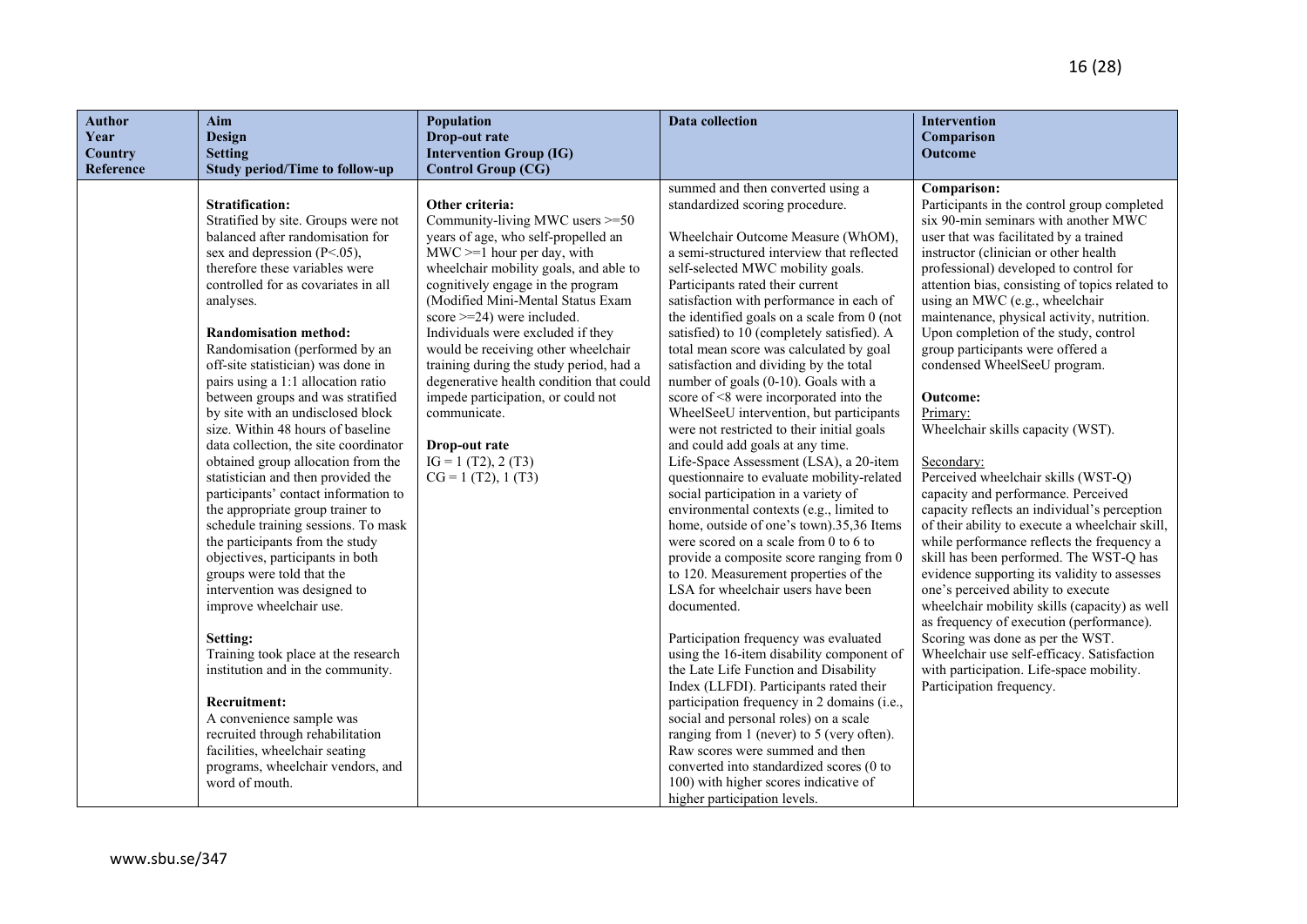| <b>Author</b> | Aim                                                                      | Population                               | <b>Data collection</b>                                                             | Intervention                                                                        |
|---------------|--------------------------------------------------------------------------|------------------------------------------|------------------------------------------------------------------------------------|-------------------------------------------------------------------------------------|
| Year          | <b>Design</b>                                                            | Drop-out rate                            |                                                                                    | Comparison                                                                          |
| Country       | <b>Setting</b>                                                           | <b>Intervention Group (IG)</b>           |                                                                                    | Outcome                                                                             |
| Reference     | <b>Study period/Time to follow-up</b>                                    | <b>Control Group (CG)</b>                |                                                                                    |                                                                                     |
|               | <b>Stratification:</b>                                                   | Other criteria:                          | summed and then converted using a<br>standardized scoring procedure.               | Comparison:                                                                         |
|               | Stratified by site. Groups were not                                      | Community-living MWC users >=50          |                                                                                    | Participants in the control group completed<br>six 90-min seminars with another MWC |
|               | balanced after randomisation for                                         | years of age, who self-propelled an      | Wheelchair Outcome Measure (WhOM),                                                 | user that was facilitated by a trained                                              |
|               | sex and depression $(P<.05)$ ,                                           | $MWC \geq 1$ hour per day, with          | a semi-structured interview that reflected                                         | instructor (clinician or other health                                               |
|               | therefore these variables were                                           | wheelchair mobility goals, and able to   | self-selected MWC mobility goals.                                                  | professional) developed to control for                                              |
|               | controlled for as covariates in all                                      | cognitively engage in the program        | Participants rated their current                                                   | attention bias, consisting of topics related to                                     |
|               | analyses.                                                                | (Modified Mini-Mental Status Exam        | satisfaction with performance in each of                                           | using an MWC (e.g., wheelchair                                                      |
|               |                                                                          | score $>=$ 24) were included.            | the identified goals on a scale from 0 (not                                        | maintenance, physical activity, nutrition.                                          |
|               | <b>Randomisation method:</b>                                             | Individuals were excluded if they        | satisfied) to 10 (completely satisfied). A                                         | Upon completion of the study, control                                               |
|               | Randomisation (performed by an                                           | would be receiving other wheelchair      | total mean score was calculated by goal                                            | group participants were offered a                                                   |
|               | off-site statistician) was done in                                       | training during the study period, had a  | satisfaction and dividing by the total                                             | condensed WheelSeeU program.                                                        |
|               | pairs using a 1:1 allocation ratio                                       | degenerative health condition that could | number of goals (0-10). Goals with a                                               |                                                                                     |
|               | between groups and was stratified                                        | impede participation, or could not       | score of <8 were incorporated into the                                             | Outcome:                                                                            |
|               | by site with an undisclosed block                                        | communicate.                             | WheelSeeU intervention, but participants                                           | Primary:                                                                            |
|               | size. Within 48 hours of baseline                                        |                                          | were not restricted to their initial goals                                         | Wheelchair skills capacity (WST).                                                   |
|               | data collection, the site coordinator                                    | Drop-out rate                            | and could add goals at any time.                                                   |                                                                                     |
|               | obtained group allocation from the                                       | $IG = 1 (T2), 2 (T3)$                    | Life-Space Assessment (LSA), a 20-item                                             | Secondary:                                                                          |
|               | statistician and then provided the                                       | $CG = 1 (T2), 1 (T3)$                    | questionnaire to evaluate mobility-related                                         | Perceived wheelchair skills (WST-Q)                                                 |
|               | participants' contact information to<br>the appropriate group trainer to |                                          | social participation in a variety of<br>environmental contexts (e.g., limited to   | capacity and performance. Perceived<br>capacity reflects an individual's perception |
|               | schedule training sessions. To mask                                      |                                          | home, outside of one's town).35,36 Items                                           | of their ability to execute a wheelchair skill,                                     |
|               | the participants from the study                                          |                                          | were scored on a scale from 0 to 6 to                                              | while performance reflects the frequency a                                          |
|               | objectives, participants in both                                         |                                          | provide a composite score ranging from 0                                           | skill has been performed. The WST-Q has                                             |
|               | groups were told that the                                                |                                          | to 120. Measurement properties of the                                              | evidence supporting its validity to assesses                                        |
|               | intervention was designed to                                             |                                          | LSA for wheelchair users have been                                                 | one's perceived ability to execute                                                  |
|               | improve wheelchair use.                                                  |                                          | documented.                                                                        | wheelchair mobility skills (capacity) as well                                       |
|               |                                                                          |                                          |                                                                                    | as frequency of execution (performance).                                            |
|               | Setting:                                                                 |                                          | Participation frequency was evaluated                                              | Scoring was done as per the WST.                                                    |
|               | Training took place at the research                                      |                                          | using the 16-item disability component of                                          | Wheelchair use self-efficacy. Satisfaction                                          |
|               | institution and in the community.                                        |                                          | the Late Life Function and Disability                                              | with participation. Life-space mobility.                                            |
|               |                                                                          |                                          | Index (LLFDI). Participants rated their                                            | Participation frequency.                                                            |
|               | <b>Recruitment:</b>                                                      |                                          | participation frequency in 2 domains (i.e.,                                        |                                                                                     |
|               | A convenience sample was<br>recruited through rehabilitation             |                                          | social and personal roles) on a scale<br>ranging from 1 (never) to 5 (very often). |                                                                                     |
|               | facilities, wheelchair seating                                           |                                          | Raw scores were summed and then                                                    |                                                                                     |
|               | programs, wheelchair vendors, and                                        |                                          | converted into standardized scores (0 to                                           |                                                                                     |
|               | word of mouth.                                                           |                                          | 100) with higher scores indicative of                                              |                                                                                     |
|               |                                                                          |                                          | higher participation levels.                                                       |                                                                                     |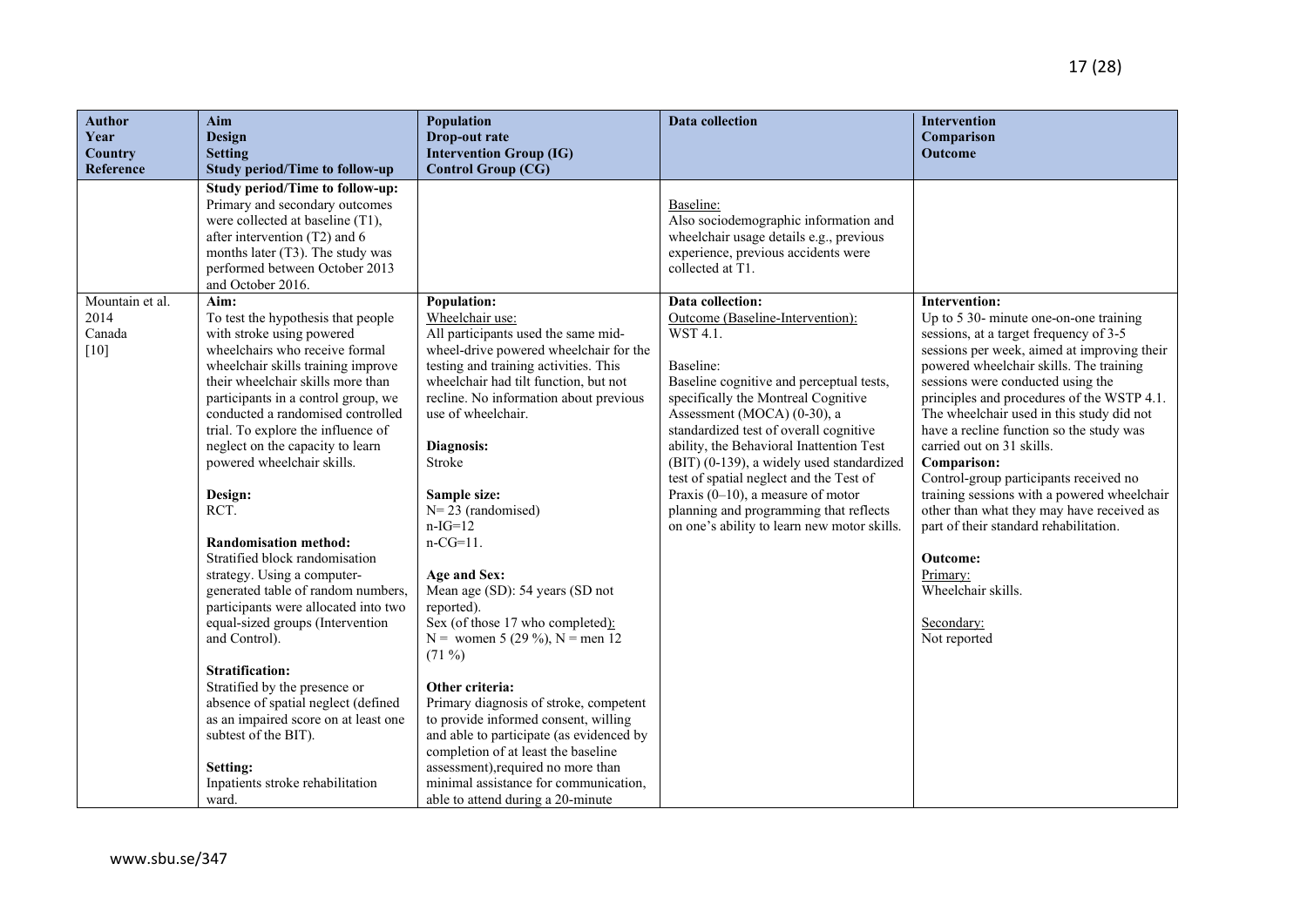| <b>Author</b><br>Year<br>Country            | Aim<br>Design<br><b>Setting</b>                                                                                                                                                                                                                                                                                                                                                                                                                                                                                                                                                                                                                                                                                                                                                                                                                            | <b>Population</b><br>Drop-out rate<br><b>Intervention Group (IG)</b>                                                                                                                                                                                                                                                                                                                                                                                                                                                                                                                                                                                                                                                                                                                                                        | Data collection                                                                                                                                                                                                                                                                                                                                                                                                                                                                                                | <b>Intervention</b><br>Comparison<br><b>Outcome</b>                                                                                                                                                                                                                                                                                                                                                                                                                                                                                                                                                                                                                                    |
|---------------------------------------------|------------------------------------------------------------------------------------------------------------------------------------------------------------------------------------------------------------------------------------------------------------------------------------------------------------------------------------------------------------------------------------------------------------------------------------------------------------------------------------------------------------------------------------------------------------------------------------------------------------------------------------------------------------------------------------------------------------------------------------------------------------------------------------------------------------------------------------------------------------|-----------------------------------------------------------------------------------------------------------------------------------------------------------------------------------------------------------------------------------------------------------------------------------------------------------------------------------------------------------------------------------------------------------------------------------------------------------------------------------------------------------------------------------------------------------------------------------------------------------------------------------------------------------------------------------------------------------------------------------------------------------------------------------------------------------------------------|----------------------------------------------------------------------------------------------------------------------------------------------------------------------------------------------------------------------------------------------------------------------------------------------------------------------------------------------------------------------------------------------------------------------------------------------------------------------------------------------------------------|----------------------------------------------------------------------------------------------------------------------------------------------------------------------------------------------------------------------------------------------------------------------------------------------------------------------------------------------------------------------------------------------------------------------------------------------------------------------------------------------------------------------------------------------------------------------------------------------------------------------------------------------------------------------------------------|
| Reference                                   | <b>Study period/Time to follow-up</b>                                                                                                                                                                                                                                                                                                                                                                                                                                                                                                                                                                                                                                                                                                                                                                                                                      | <b>Control Group (CG)</b>                                                                                                                                                                                                                                                                                                                                                                                                                                                                                                                                                                                                                                                                                                                                                                                                   |                                                                                                                                                                                                                                                                                                                                                                                                                                                                                                                |                                                                                                                                                                                                                                                                                                                                                                                                                                                                                                                                                                                                                                                                                        |
|                                             | <b>Study period/Time to follow-up:</b><br>Primary and secondary outcomes<br>were collected at baseline (T1),<br>after intervention (T2) and 6<br>months later (T3). The study was<br>performed between October 2013<br>and October 2016.                                                                                                                                                                                                                                                                                                                                                                                                                                                                                                                                                                                                                   |                                                                                                                                                                                                                                                                                                                                                                                                                                                                                                                                                                                                                                                                                                                                                                                                                             | Baseline:<br>Also sociodemographic information and<br>wheelchair usage details e.g., previous<br>experience, previous accidents were<br>collected at T1.                                                                                                                                                                                                                                                                                                                                                       |                                                                                                                                                                                                                                                                                                                                                                                                                                                                                                                                                                                                                                                                                        |
| Mountain et al.<br>2014<br>Canada<br>$[10]$ | Aim:<br>To test the hypothesis that people<br>with stroke using powered<br>wheelchairs who receive formal<br>wheelchair skills training improve<br>their wheelchair skills more than<br>participants in a control group, we<br>conducted a randomised controlled<br>trial. To explore the influence of<br>neglect on the capacity to learn<br>powered wheelchair skills.<br>Design:<br>RCT.<br><b>Randomisation method:</b><br>Stratified block randomisation<br>strategy. Using a computer-<br>generated table of random numbers,<br>participants were allocated into two<br>equal-sized groups (Intervention<br>and Control).<br><b>Stratification:</b><br>Stratified by the presence or<br>absence of spatial neglect (defined<br>as an impaired score on at least one<br>subtest of the BIT).<br>Setting:<br>Inpatients stroke rehabilitation<br>ward. | Population:<br>Wheelchair use:<br>All participants used the same mid-<br>wheel-drive powered wheelchair for the<br>testing and training activities. This<br>wheelchair had tilt function, but not<br>recline. No information about previous<br>use of wheelchair.<br>Diagnosis:<br>Stroke<br>Sample size:<br>$N=23$ (randomised)<br>$n-IG=12$<br>$n-CG=11$ .<br>Age and Sex:<br>Mean age (SD): 54 years (SD not<br>reported).<br>Sex (of those 17 who completed):<br>N = women 5 (29 %), N = men 12<br>$(71\%)$<br>Other criteria:<br>Primary diagnosis of stroke, competent<br>to provide informed consent, willing<br>and able to participate (as evidenced by<br>completion of at least the baseline<br>assessment), required no more than<br>minimal assistance for communication,<br>able to attend during a 20-minute | Data collection:<br>Outcome (Baseline-Intervention):<br>WST 4.1.<br>Baseline:<br>Baseline cognitive and perceptual tests,<br>specifically the Montreal Cognitive<br>Assessment (MOCA) (0-30), a<br>standardized test of overall cognitive<br>ability, the Behavioral Inattention Test<br>(BIT) (0-139), a widely used standardized<br>test of spatial neglect and the Test of<br>Praxis $(0-10)$ , a measure of motor<br>planning and programming that reflects<br>on one's ability to learn new motor skills. | <b>Intervention:</b><br>Up to 5 30- minute one-on-one training<br>sessions, at a target frequency of 3-5<br>sessions per week, aimed at improving their<br>powered wheelchair skills. The training<br>sessions were conducted using the<br>principles and procedures of the WSTP 4.1.<br>The wheelchair used in this study did not<br>have a recline function so the study was<br>carried out on 31 skills.<br>Comparison:<br>Control-group participants received no<br>training sessions with a powered wheelchair<br>other than what they may have received as<br>part of their standard rehabilitation.<br>Outcome:<br>Primary:<br>Wheelchair skills.<br>Secondary:<br>Not reported |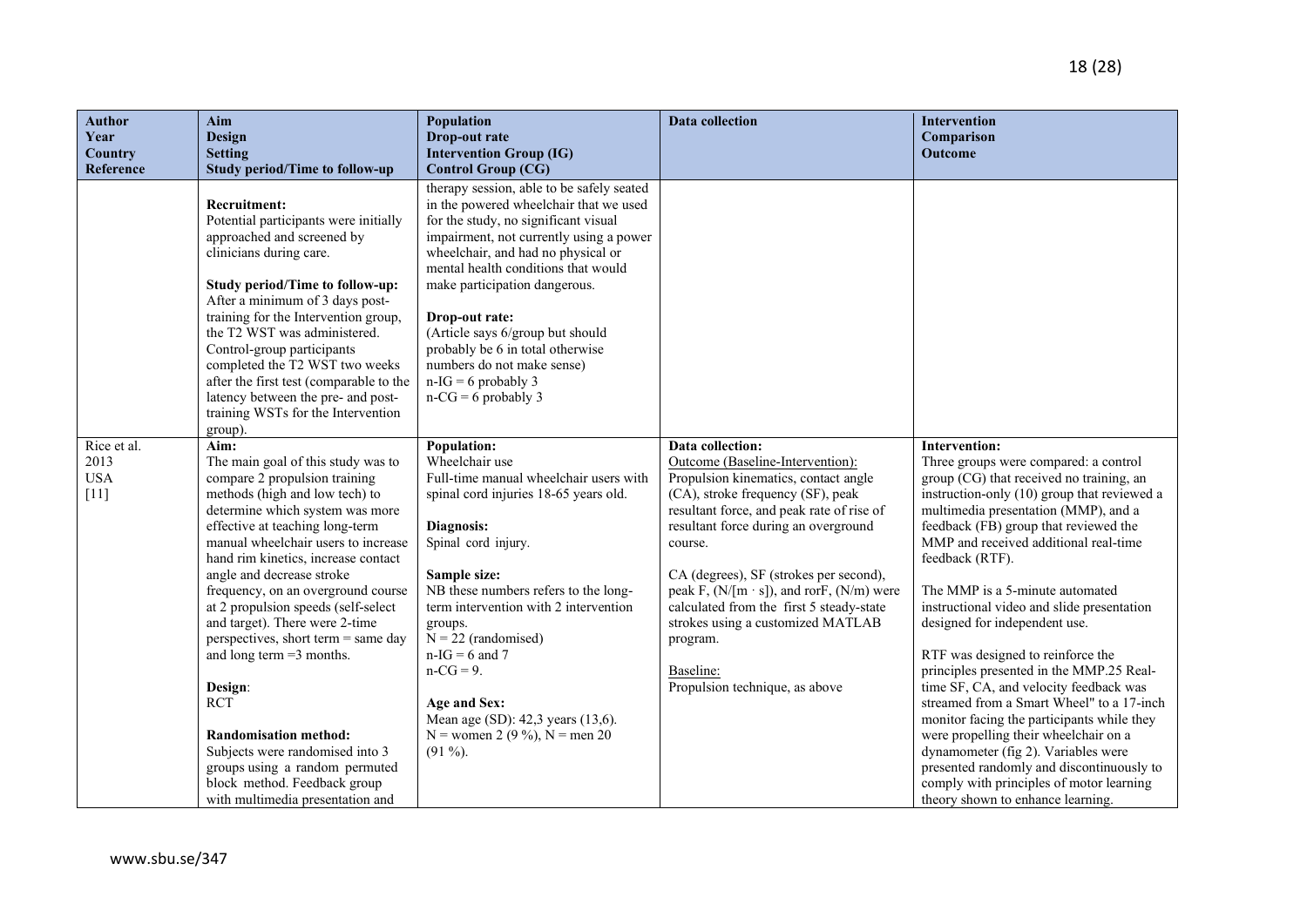| <b>Author</b><br>Year<br><b>Country</b> | Aim<br><b>Design</b><br><b>Setting</b>                                                                                                                                                                                                                                                                                                                                                                                                                                                                                                                                                                                                                                       | Population<br>Drop-out rate<br><b>Intervention Group (IG)</b>                                                                                                                                                                                                                                                                                                                                                                                                                                                     | <b>Data collection</b>                                                                                                                                                                                                                                                                                                                                                                                                                                    | Intervention<br>Comparison<br><b>Outcome</b>                                                                                                                                                                                                                                                                                                                                                                                                                                                                                                                                                                                                                                                                                                                                                                                        |
|-----------------------------------------|------------------------------------------------------------------------------------------------------------------------------------------------------------------------------------------------------------------------------------------------------------------------------------------------------------------------------------------------------------------------------------------------------------------------------------------------------------------------------------------------------------------------------------------------------------------------------------------------------------------------------------------------------------------------------|-------------------------------------------------------------------------------------------------------------------------------------------------------------------------------------------------------------------------------------------------------------------------------------------------------------------------------------------------------------------------------------------------------------------------------------------------------------------------------------------------------------------|-----------------------------------------------------------------------------------------------------------------------------------------------------------------------------------------------------------------------------------------------------------------------------------------------------------------------------------------------------------------------------------------------------------------------------------------------------------|-------------------------------------------------------------------------------------------------------------------------------------------------------------------------------------------------------------------------------------------------------------------------------------------------------------------------------------------------------------------------------------------------------------------------------------------------------------------------------------------------------------------------------------------------------------------------------------------------------------------------------------------------------------------------------------------------------------------------------------------------------------------------------------------------------------------------------------|
| Reference<br>Rice et al.                | <b>Study period/Time to follow-up</b><br><b>Recruitment:</b><br>Potential participants were initially<br>approached and screened by<br>clinicians during care.<br><b>Study period/Time to follow-up:</b><br>After a minimum of 3 days post-<br>training for the Intervention group,<br>the T2 WST was administered.<br>Control-group participants<br>completed the T2 WST two weeks<br>after the first test (comparable to the<br>latency between the pre- and post-<br>training WSTs for the Intervention<br>group).<br>Aim:                                                                                                                                                | <b>Control Group (CG)</b><br>therapy session, able to be safely seated<br>in the powered wheelchair that we used<br>for the study, no significant visual<br>impairment, not currently using a power<br>wheelchair, and had no physical or<br>mental health conditions that would<br>make participation dangerous.<br>Drop-out rate:<br>(Article says 6/group but should<br>probably be 6 in total otherwise<br>numbers do not make sense)<br>$n-IG = 6$ probably 3<br>$n-CG = 6$ probably 3<br><b>Population:</b> | Data collection:                                                                                                                                                                                                                                                                                                                                                                                                                                          | <b>Intervention:</b>                                                                                                                                                                                                                                                                                                                                                                                                                                                                                                                                                                                                                                                                                                                                                                                                                |
| 2013<br><b>USA</b><br>$[11]$            | The main goal of this study was to<br>compare 2 propulsion training<br>methods (high and low tech) to<br>determine which system was more<br>effective at teaching long-term<br>manual wheelchair users to increase<br>hand rim kinetics, increase contact<br>angle and decrease stroke<br>frequency, on an overground course<br>at 2 propulsion speeds (self-select<br>and target). There were 2-time<br>perspectives, short term = same day<br>and long term $=3$ months.<br>Design:<br><b>RCT</b><br><b>Randomisation method:</b><br>Subjects were randomised into 3<br>groups using a random permuted<br>block method. Feedback group<br>with multimedia presentation and | Wheelchair use<br>Full-time manual wheelchair users with<br>spinal cord injuries 18-65 years old.<br>Diagnosis:<br>Spinal cord injury.<br>Sample size:<br>NB these numbers refers to the long-<br>term intervention with 2 intervention<br>groups.<br>$N = 22$ (randomised)<br>$n-IG = 6$ and 7<br>$n-CG = 9$ .<br>Age and Sex:<br>Mean age (SD): 42,3 years (13,6).<br>N = women 2 (9 %), N = men 20<br>$(91\%).$                                                                                                | Outcome (Baseline-Intervention):<br>Propulsion kinematics, contact angle<br>(CA), stroke frequency (SF), peak<br>resultant force, and peak rate of rise of<br>resultant force during an overground<br>course.<br>CA (degrees), SF (strokes per second),<br>peak F, $(N/[m \cdot s])$ , and rorF, $(N/m)$ were<br>calculated from the first 5 steady-state<br>strokes using a customized MATLAB<br>program.<br>Baseline:<br>Propulsion technique, as above | Three groups were compared: a control<br>group (CG) that received no training, an<br>instruction-only (10) group that reviewed a<br>multimedia presentation (MMP), and a<br>feedback (FB) group that reviewed the<br>MMP and received additional real-time<br>feedback (RTF).<br>The MMP is a 5-minute automated<br>instructional video and slide presentation<br>designed for independent use.<br>RTF was designed to reinforce the<br>principles presented in the MMP.25 Real-<br>time SF, CA, and velocity feedback was<br>streamed from a Smart Wheel" to a 17-inch<br>monitor facing the participants while they<br>were propelling their wheelchair on a<br>dynamometer (fig 2). Variables were<br>presented randomly and discontinuously to<br>comply with principles of motor learning<br>theory shown to enhance learning. |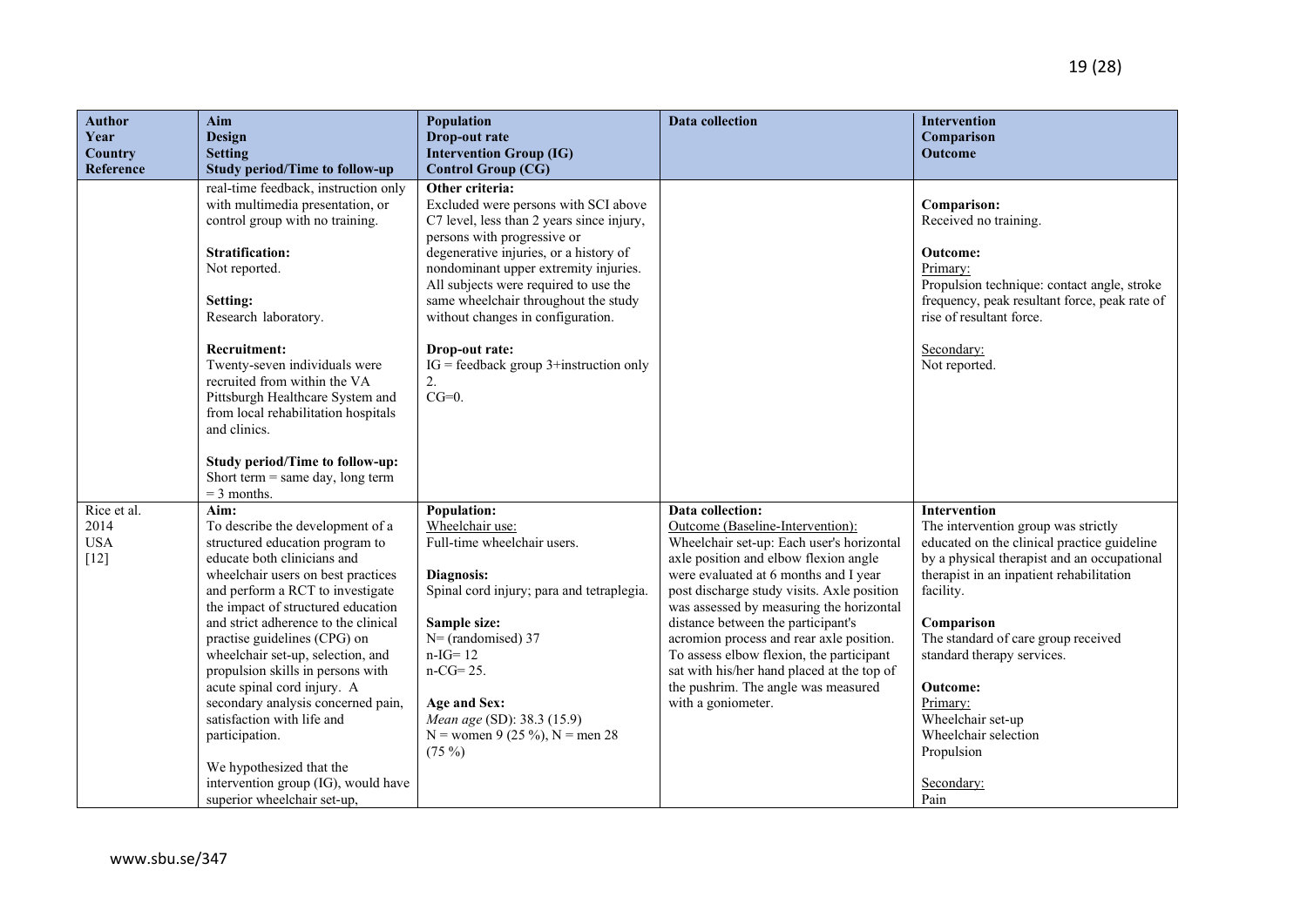| <b>Author</b><br>Year<br>Country            | Aim<br><b>Design</b><br><b>Setting</b>                                                                                                                                                                                                                                                                                                                                                                                                                                                                                                                                                              | Population<br>Drop-out rate<br><b>Intervention Group (IG)</b>                                                                                                                                                                                                                                                                                                                                                                 | <b>Data collection</b>                                                                                                                                                                                                                                                                                                                                                                                                                                                                                                 | <b>Intervention</b><br>Comparison<br>Outcome                                                                                                                                                                                                                                                                                                                                                                  |
|---------------------------------------------|-----------------------------------------------------------------------------------------------------------------------------------------------------------------------------------------------------------------------------------------------------------------------------------------------------------------------------------------------------------------------------------------------------------------------------------------------------------------------------------------------------------------------------------------------------------------------------------------------------|-------------------------------------------------------------------------------------------------------------------------------------------------------------------------------------------------------------------------------------------------------------------------------------------------------------------------------------------------------------------------------------------------------------------------------|------------------------------------------------------------------------------------------------------------------------------------------------------------------------------------------------------------------------------------------------------------------------------------------------------------------------------------------------------------------------------------------------------------------------------------------------------------------------------------------------------------------------|---------------------------------------------------------------------------------------------------------------------------------------------------------------------------------------------------------------------------------------------------------------------------------------------------------------------------------------------------------------------------------------------------------------|
| Reference                                   | <b>Study period/Time to follow-up</b>                                                                                                                                                                                                                                                                                                                                                                                                                                                                                                                                                               | <b>Control Group (CG)</b>                                                                                                                                                                                                                                                                                                                                                                                                     |                                                                                                                                                                                                                                                                                                                                                                                                                                                                                                                        |                                                                                                                                                                                                                                                                                                                                                                                                               |
|                                             | real-time feedback, instruction only<br>with multimedia presentation, or<br>control group with no training.<br><b>Stratification:</b><br>Not reported.<br>Setting:<br>Research laboratory.<br><b>Recruitment:</b><br>Twenty-seven individuals were<br>recruited from within the VA<br>Pittsburgh Healthcare System and<br>from local rehabilitation hospitals<br>and clinics.                                                                                                                                                                                                                       | Other criteria:<br>Excluded were persons with SCI above<br>C7 level, less than 2 years since injury,<br>persons with progressive or<br>degenerative injuries, or a history of<br>nondominant upper extremity injuries.<br>All subjects were required to use the<br>same wheelchair throughout the study<br>without changes in configuration.<br>Drop-out rate:<br>$IG = feedback group 3+ instruction only$<br>2.<br>$CG=0$ . |                                                                                                                                                                                                                                                                                                                                                                                                                                                                                                                        | Comparison:<br>Received no training.<br>Outcome:<br>Primary:<br>Propulsion technique: contact angle, stroke<br>frequency, peak resultant force, peak rate of<br>rise of resultant force.<br>Secondary:<br>Not reported.                                                                                                                                                                                       |
|                                             | <b>Study period/Time to follow-up:</b><br>Short term $=$ same day, long term<br>$=$ 3 months.                                                                                                                                                                                                                                                                                                                                                                                                                                                                                                       |                                                                                                                                                                                                                                                                                                                                                                                                                               |                                                                                                                                                                                                                                                                                                                                                                                                                                                                                                                        |                                                                                                                                                                                                                                                                                                                                                                                                               |
| Rice et al.<br>2014<br><b>USA</b><br>$[12]$ | Aim:<br>To describe the development of a<br>structured education program to<br>educate both clinicians and<br>wheelchair users on best practices<br>and perform a RCT to investigate<br>the impact of structured education<br>and strict adherence to the clinical<br>practise guidelines (CPG) on<br>wheelchair set-up, selection, and<br>propulsion skills in persons with<br>acute spinal cord injury. A<br>secondary analysis concerned pain,<br>satisfaction with life and<br>participation.<br>We hypothesized that the<br>intervention group (IG), would have<br>superior wheelchair set-up, | <b>Population:</b><br>Wheelchair use:<br>Full-time wheelchair users.<br>Diagnosis:<br>Spinal cord injury; para and tetraplegia.<br>Sample size:<br>$N=$ (randomised) 37<br>$n-IG = 12$<br>$n-CG = 25.$<br>Age and Sex:<br>Mean age (SD): 38.3 (15.9)<br>N = women 9 (25 %), N = men 28<br>$(75\%)$                                                                                                                            | Data collection:<br>Outcome (Baseline-Intervention):<br>Wheelchair set-up: Each user's horizontal<br>axle position and elbow flexion angle<br>were evaluated at 6 months and I year<br>post discharge study visits. Axle position<br>was assessed by measuring the horizontal<br>distance between the participant's<br>acromion process and rear axle position.<br>To assess elbow flexion, the participant<br>sat with his/her hand placed at the top of<br>the pushrim. The angle was measured<br>with a goniometer. | Intervention<br>The intervention group was strictly<br>educated on the clinical practice guideline<br>by a physical therapist and an occupational<br>therapist in an inpatient rehabilitation<br>facility.<br>Comparison<br>The standard of care group received<br>standard therapy services.<br><b>Outcome:</b><br>Primary:<br>Wheelchair set-up<br>Wheelchair selection<br>Propulsion<br>Secondary:<br>Pain |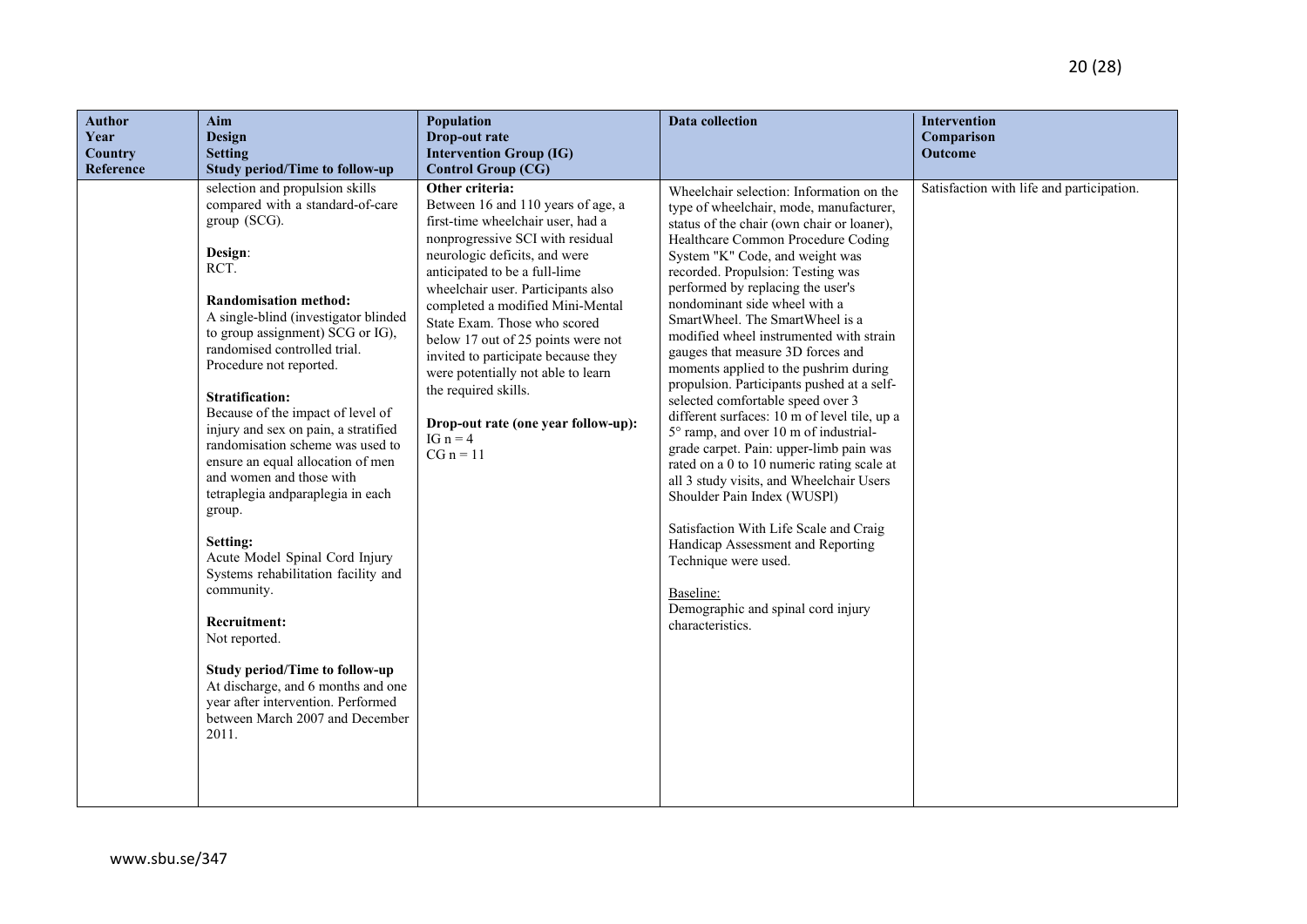| <b>Author</b><br>Year<br>Country<br>Reference | Aim<br>Design<br><b>Setting</b><br><b>Study period/Time to follow-up</b>                                                                                                                                                                                                                                                                                                                                                                                                                                                                                                                                                                                                                                                                                                                                                                      | Population<br>Drop-out rate<br><b>Intervention Group (IG)</b><br><b>Control Group (CG)</b>                                                                                                                                                                                                                                                                                                                                                                                                                                | <b>Data collection</b>                                                                                                                                                                                                                                                                                                                                                                                                                                                                                                                                                                                                                                                                                                                                                                                                                                                                                                                                                                                          | <b>Intervention</b><br>Comparison<br>Outcome |
|-----------------------------------------------|-----------------------------------------------------------------------------------------------------------------------------------------------------------------------------------------------------------------------------------------------------------------------------------------------------------------------------------------------------------------------------------------------------------------------------------------------------------------------------------------------------------------------------------------------------------------------------------------------------------------------------------------------------------------------------------------------------------------------------------------------------------------------------------------------------------------------------------------------|---------------------------------------------------------------------------------------------------------------------------------------------------------------------------------------------------------------------------------------------------------------------------------------------------------------------------------------------------------------------------------------------------------------------------------------------------------------------------------------------------------------------------|-----------------------------------------------------------------------------------------------------------------------------------------------------------------------------------------------------------------------------------------------------------------------------------------------------------------------------------------------------------------------------------------------------------------------------------------------------------------------------------------------------------------------------------------------------------------------------------------------------------------------------------------------------------------------------------------------------------------------------------------------------------------------------------------------------------------------------------------------------------------------------------------------------------------------------------------------------------------------------------------------------------------|----------------------------------------------|
|                                               | selection and propulsion skills<br>compared with a standard-of-care<br>group (SCG).<br>Design:<br>RCT.<br><b>Randomisation method:</b><br>A single-blind (investigator blinded<br>to group assignment) SCG or IG),<br>randomised controlled trial.<br>Procedure not reported.<br><b>Stratification:</b><br>Because of the impact of level of<br>injury and sex on pain, a stratified<br>randomisation scheme was used to<br>ensure an equal allocation of men<br>and women and those with<br>tetraplegia andparaplegia in each<br>group.<br>Setting:<br>Acute Model Spinal Cord Injury<br>Systems rehabilitation facility and<br>community.<br>Recruitment:<br>Not reported.<br><b>Study period/Time to follow-up</b><br>At discharge, and 6 months and one<br>year after intervention. Performed<br>between March 2007 and December<br>2011. | Other criteria:<br>Between 16 and 110 years of age, a<br>first-time wheelchair user, had a<br>nonprogressive SCI with residual<br>neurologic deficits, and were<br>anticipated to be a full-lime<br>wheelchair user. Participants also<br>completed a modified Mini-Mental<br>State Exam. Those who scored<br>below 17 out of 25 points were not<br>invited to participate because they<br>were potentially not able to learn<br>the required skills.<br>Drop-out rate (one year follow-up):<br>IG $n = 4$<br>$CG n = 11$ | Wheelchair selection: Information on the<br>type of wheelchair, mode, manufacturer,<br>status of the chair (own chair or loaner),<br>Healthcare Common Procedure Coding<br>System "K" Code, and weight was<br>recorded. Propulsion: Testing was<br>performed by replacing the user's<br>nondominant side wheel with a<br>SmartWheel. The SmartWheel is a<br>modified wheel instrumented with strain<br>gauges that measure 3D forces and<br>moments applied to the pushrim during<br>propulsion. Participants pushed at a self-<br>selected comfortable speed over 3<br>different surfaces: 10 m of level tile, up a<br>5° ramp, and over 10 m of industrial-<br>grade carpet. Pain: upper-limb pain was<br>rated on a 0 to 10 numeric rating scale at<br>all 3 study visits, and Wheelchair Users<br>Shoulder Pain Index (WUSPl)<br>Satisfaction With Life Scale and Craig<br>Handicap Assessment and Reporting<br>Technique were used.<br>Baseline:<br>Demographic and spinal cord injury<br>characteristics. | Satisfaction with life and participation.    |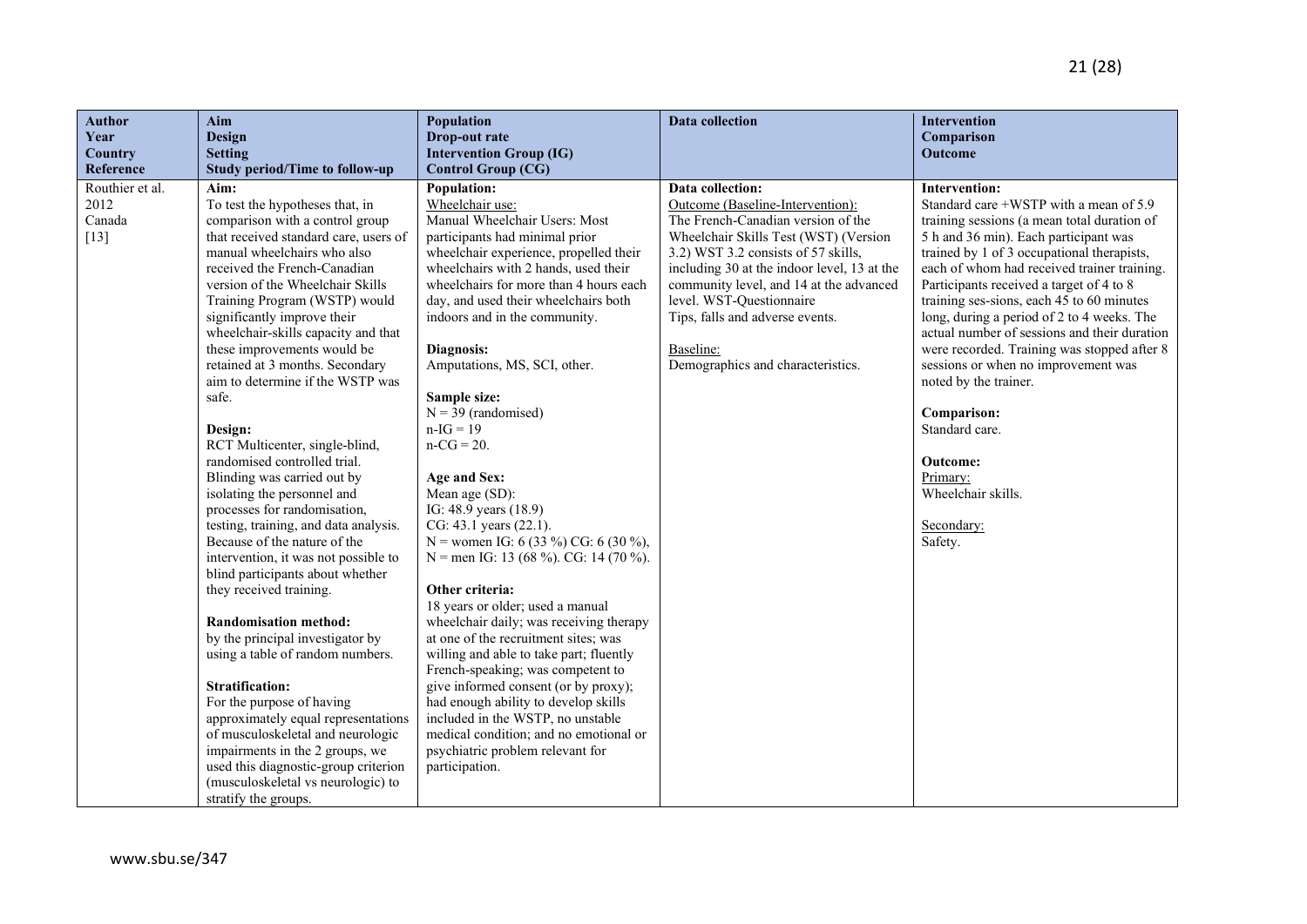| <b>Author</b>          | Aim                                                                      | <b>Population</b>                                                           | Data collection                             | Intervention                                                                               |
|------------------------|--------------------------------------------------------------------------|-----------------------------------------------------------------------------|---------------------------------------------|--------------------------------------------------------------------------------------------|
| Year<br><b>Country</b> | <b>Design</b><br><b>Setting</b>                                          | Drop-out rate<br><b>Intervention Group (IG)</b>                             |                                             | Comparison<br>Outcome                                                                      |
| Reference              | <b>Study period/Time to follow-up</b>                                    | <b>Control Group (CG)</b>                                                   |                                             |                                                                                            |
| Routhier et al.        | Aim:                                                                     | Population:                                                                 | Data collection:                            | <b>Intervention:</b>                                                                       |
| 2012                   | To test the hypotheses that, in                                          | Wheelchair use:                                                             | Outcome (Baseline-Intervention):            | Standard care +WSTP with a mean of 5.9                                                     |
| Canada                 | comparison with a control group                                          | Manual Wheelchair Users: Most                                               | The French-Canadian version of the          | training sessions (a mean total duration of                                                |
| $[13]$                 | that received standard care, users of                                    | participants had minimal prior                                              | Wheelchair Skills Test (WST) (Version       | 5 h and 36 min). Each participant was                                                      |
|                        | manual wheelchairs who also                                              | wheelchair experience, propelled their                                      | 3.2) WST 3.2 consists of 57 skills,         | trained by 1 of 3 occupational therapists,                                                 |
|                        | received the French-Canadian                                             | wheelchairs with 2 hands, used their                                        | including 30 at the indoor level, 13 at the | each of whom had received trainer training.                                                |
|                        | version of the Wheelchair Skills                                         | wheelchairs for more than 4 hours each                                      | community level, and 14 at the advanced     | Participants received a target of 4 to 8                                                   |
|                        | Training Program (WSTP) would                                            | day, and used their wheelchairs both                                        | level. WST-Questionnaire                    | training ses-sions, each 45 to 60 minutes                                                  |
|                        | significantly improve their<br>wheelchair-skills capacity and that       | indoors and in the community.                                               | Tips, falls and adverse events.             | long, during a period of 2 to 4 weeks. The<br>actual number of sessions and their duration |
|                        | these improvements would be                                              | Diagnosis:                                                                  | Baseline:                                   | were recorded. Training was stopped after 8                                                |
|                        | retained at 3 months. Secondary                                          | Amputations, MS, SCI, other.                                                | Demographics and characteristics.           | sessions or when no improvement was                                                        |
|                        | aim to determine if the WSTP was                                         |                                                                             |                                             | noted by the trainer.                                                                      |
|                        | safe.                                                                    | Sample size:                                                                |                                             |                                                                                            |
|                        |                                                                          | $N = 39$ (randomised)                                                       |                                             | Comparison:                                                                                |
|                        | Design:                                                                  | $n-IG = 19$                                                                 |                                             | Standard care.                                                                             |
|                        | RCT Multicenter, single-blind,                                           | $n-CG = 20.$                                                                |                                             |                                                                                            |
|                        | randomised controlled trial.                                             |                                                                             |                                             | Outcome:                                                                                   |
|                        | Blinding was carried out by                                              | Age and Sex:                                                                |                                             | Primary:<br>Wheelchair skills.                                                             |
|                        | isolating the personnel and<br>processes for randomisation,              | Mean age (SD):<br>IG: 48.9 years (18.9)                                     |                                             |                                                                                            |
|                        | testing, training, and data analysis.                                    | CG: 43.1 years (22.1).                                                      |                                             | Secondary:                                                                                 |
|                        | Because of the nature of the                                             | N = women IG: 6 (33 %) CG: 6 (30 %),                                        |                                             | Safety.                                                                                    |
|                        | intervention, it was not possible to                                     | N = men IG: 13 (68 %). CG: 14 (70 %).                                       |                                             |                                                                                            |
|                        | blind participants about whether                                         |                                                                             |                                             |                                                                                            |
|                        | they received training.                                                  | Other criteria:                                                             |                                             |                                                                                            |
|                        |                                                                          | 18 years or older; used a manual                                            |                                             |                                                                                            |
|                        | <b>Randomisation method:</b>                                             | wheelchair daily; was receiving therapy                                     |                                             |                                                                                            |
|                        | by the principal investigator by                                         | at one of the recruitment sites; was                                        |                                             |                                                                                            |
|                        | using a table of random numbers.                                         | willing and able to take part; fluently                                     |                                             |                                                                                            |
|                        |                                                                          | French-speaking; was competent to                                           |                                             |                                                                                            |
|                        | <b>Stratification:</b>                                                   | give informed consent (or by proxy);                                        |                                             |                                                                                            |
|                        | For the purpose of having                                                | had enough ability to develop skills                                        |                                             |                                                                                            |
|                        | approximately equal representations<br>of musculoskeletal and neurologic | included in the WSTP, no unstable<br>medical condition; and no emotional or |                                             |                                                                                            |
|                        | impairments in the 2 groups, we                                          | psychiatric problem relevant for                                            |                                             |                                                                                            |
|                        | used this diagnostic-group criterion                                     | participation.                                                              |                                             |                                                                                            |
|                        | (musculoskeletal vs neurologic) to                                       |                                                                             |                                             |                                                                                            |
|                        | stratify the groups.                                                     |                                                                             |                                             |                                                                                            |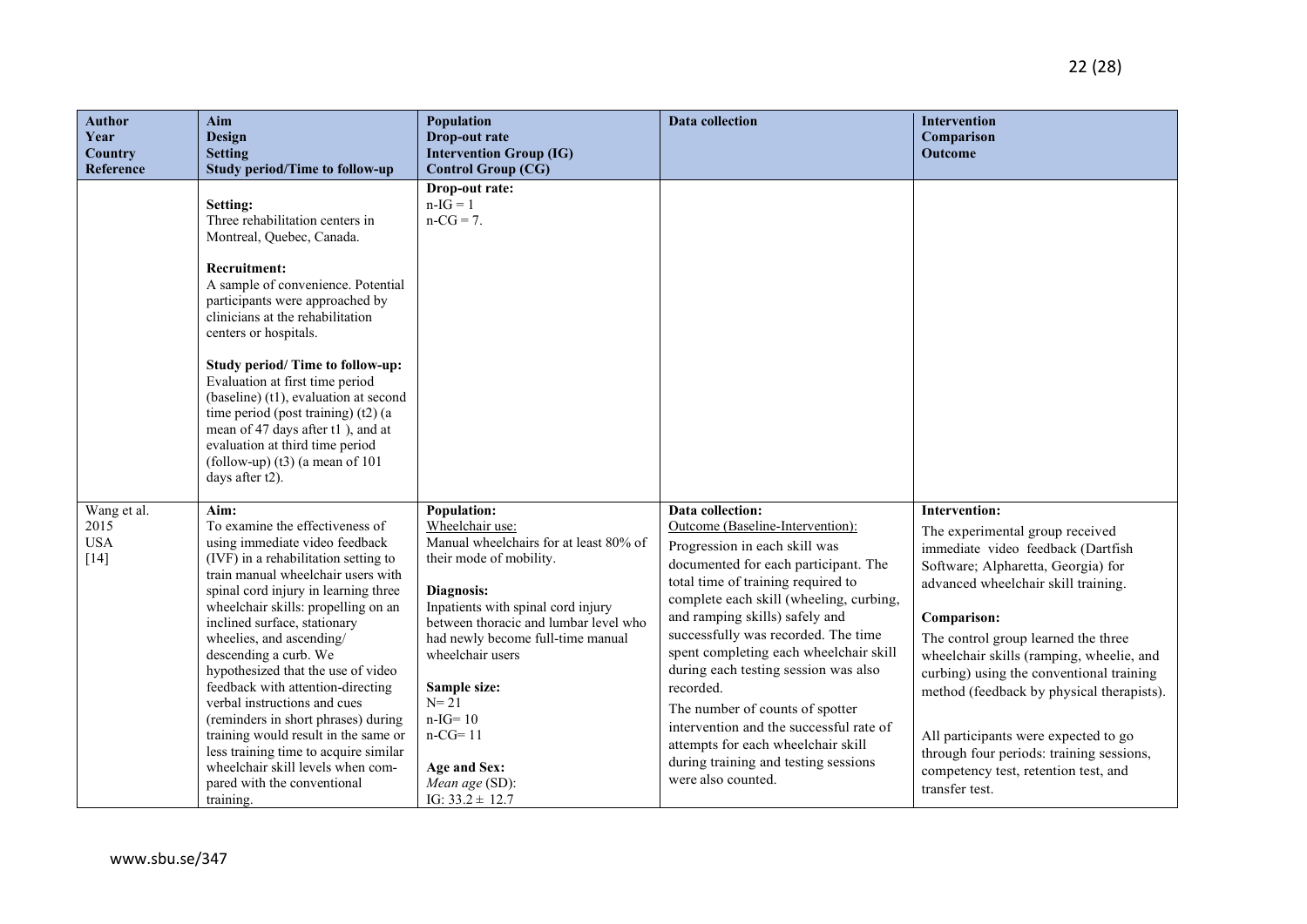| <b>Author</b><br>Year<br>Country            | Aim<br><b>Design</b><br><b>Setting</b>                                                                                                                                                                                                                                                                                                                                                                                                                                                                                                                                                                                                          | Population<br>Drop-out rate<br><b>Intervention Group (IG)</b>                                                                                                                                                                                                                                                                                                              | <b>Data collection</b>                                                                                                                                                                                                                                                                                                                                                                                                                                                                                                                                                   | Intervention<br>Comparison<br>Outcome                                                                                                                                                                                                                                                                                                                                                                                                                                                                        |
|---------------------------------------------|-------------------------------------------------------------------------------------------------------------------------------------------------------------------------------------------------------------------------------------------------------------------------------------------------------------------------------------------------------------------------------------------------------------------------------------------------------------------------------------------------------------------------------------------------------------------------------------------------------------------------------------------------|----------------------------------------------------------------------------------------------------------------------------------------------------------------------------------------------------------------------------------------------------------------------------------------------------------------------------------------------------------------------------|--------------------------------------------------------------------------------------------------------------------------------------------------------------------------------------------------------------------------------------------------------------------------------------------------------------------------------------------------------------------------------------------------------------------------------------------------------------------------------------------------------------------------------------------------------------------------|--------------------------------------------------------------------------------------------------------------------------------------------------------------------------------------------------------------------------------------------------------------------------------------------------------------------------------------------------------------------------------------------------------------------------------------------------------------------------------------------------------------|
| Reference                                   | <b>Study period/Time to follow-up</b><br>Setting:<br>Three rehabilitation centers in<br>Montreal, Quebec, Canada.<br><b>Recruitment:</b><br>A sample of convenience. Potential<br>participants were approached by<br>clinicians at the rehabilitation<br>centers or hospitals.<br>Study period/ Time to follow-up:<br>Evaluation at first time period<br>(baseline) (t1), evaluation at second<br>time period (post training) (t2) (a<br>mean of 47 days after t1), and at<br>evaluation at third time period<br>(follow-up) $(t3)$ (a mean of 101<br>days after t2).                                                                           | <b>Control Group (CG)</b><br>Drop-out rate:<br>$n-IG = 1$<br>$n-CG = 7$ .                                                                                                                                                                                                                                                                                                  |                                                                                                                                                                                                                                                                                                                                                                                                                                                                                                                                                                          |                                                                                                                                                                                                                                                                                                                                                                                                                                                                                                              |
| Wang et al.<br>2015<br><b>USA</b><br>$[14]$ | Aim:<br>To examine the effectiveness of<br>using immediate video feedback<br>(IVF) in a rehabilitation setting to<br>train manual wheelchair users with<br>spinal cord injury in learning three<br>wheelchair skills: propelling on an<br>inclined surface, stationary<br>wheelies, and ascending/<br>descending a curb. We<br>hypothesized that the use of video<br>feedback with attention-directing<br>verbal instructions and cues<br>(reminders in short phrases) during<br>training would result in the same or<br>less training time to acquire similar<br>wheelchair skill levels when com-<br>pared with the conventional<br>training. | Population:<br>Wheelchair use:<br>Manual wheelchairs for at least 80% of<br>their mode of mobility.<br>Diagnosis:<br>Inpatients with spinal cord injury<br>between thoracic and lumbar level who<br>had newly become full-time manual<br>wheelchair users<br>Sample size:<br>$N = 21$<br>$n-IG = 10$<br>$n-CG=11$<br>Age and Sex:<br>Mean age (SD):<br>IG: $33.2 \pm 12.7$ | Data collection:<br>Outcome (Baseline-Intervention):<br>Progression in each skill was<br>documented for each participant. The<br>total time of training required to<br>complete each skill (wheeling, curbing,<br>and ramping skills) safely and<br>successfully was recorded. The time<br>spent completing each wheelchair skill<br>during each testing session was also<br>recorded.<br>The number of counts of spotter<br>intervention and the successful rate of<br>attempts for each wheelchair skill<br>during training and testing sessions<br>were also counted. | Intervention:<br>The experimental group received<br>immediate video feedback (Dartfish<br>Software; Alpharetta, Georgia) for<br>advanced wheelchair skill training.<br>Comparison:<br>The control group learned the three<br>wheelchair skills (ramping, wheelie, and<br>curbing) using the conventional training<br>method (feedback by physical therapists).<br>All participants were expected to go<br>through four periods: training sessions,<br>competency test, retention test, and<br>transfer test. |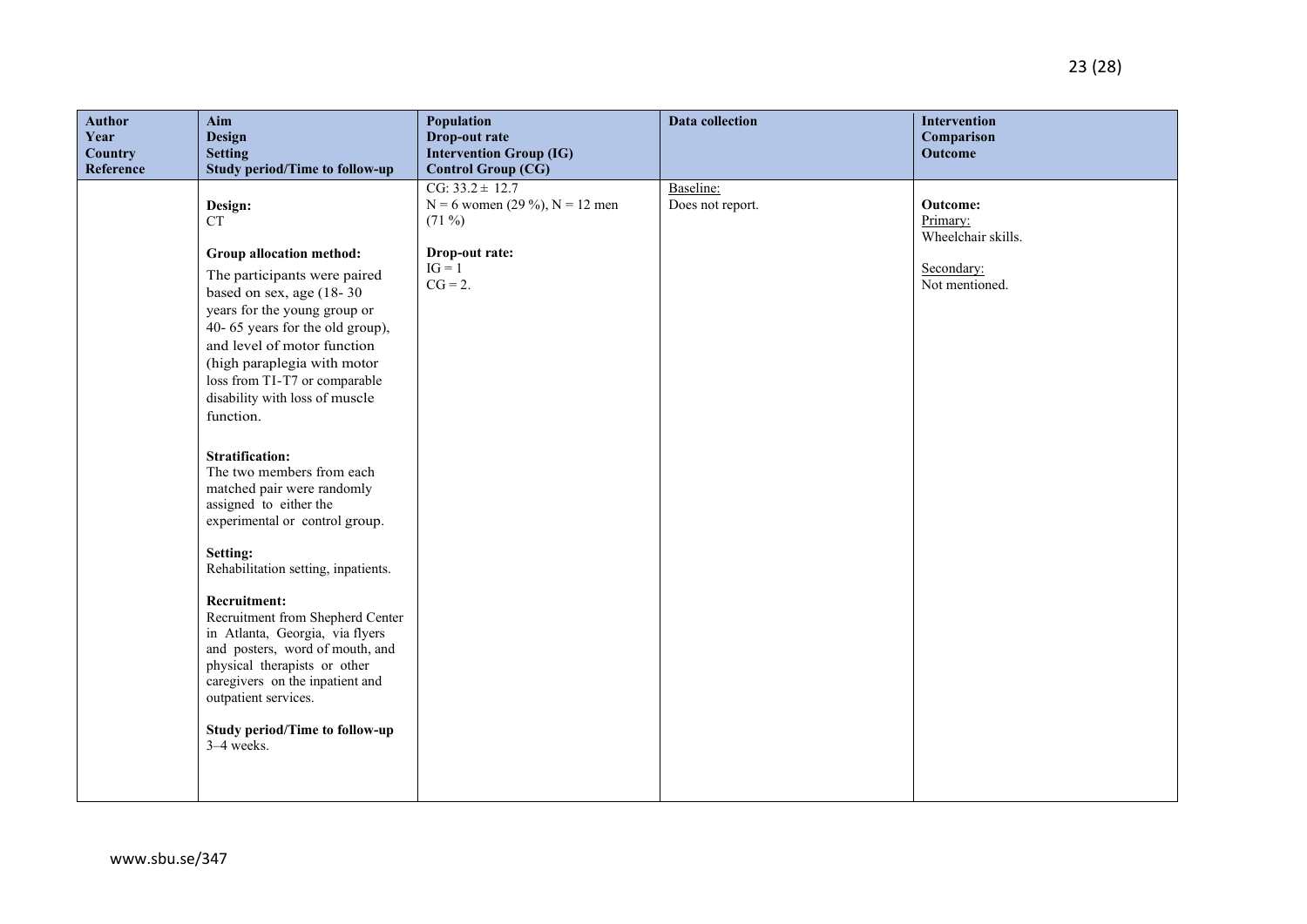| <b>Author</b><br>Year<br>Country<br>Reference | Aim<br>Design<br><b>Setting</b><br><b>Study period/Time to follow-up</b>                                                                                                                                                                                                                                                                                                                                                                                                                                                                                                                                                                                                                                                                                                                                       | Population<br>Drop-out rate<br><b>Intervention Group (IG)</b><br><b>Control Group (CG)</b>                        | Data collection               | Intervention<br>Comparison<br>Outcome                                             |
|-----------------------------------------------|----------------------------------------------------------------------------------------------------------------------------------------------------------------------------------------------------------------------------------------------------------------------------------------------------------------------------------------------------------------------------------------------------------------------------------------------------------------------------------------------------------------------------------------------------------------------------------------------------------------------------------------------------------------------------------------------------------------------------------------------------------------------------------------------------------------|-------------------------------------------------------------------------------------------------------------------|-------------------------------|-----------------------------------------------------------------------------------|
|                                               | Design:<br><b>CT</b><br>Group allocation method:<br>The participants were paired<br>based on sex, age (18-30)<br>years for the young group or<br>40-65 years for the old group),<br>and level of motor function<br>(high paraplegia with motor<br>loss from TI-T7 or comparable<br>disability with loss of muscle<br>function.<br><b>Stratification:</b><br>The two members from each<br>matched pair were randomly<br>assigned to either the<br>experimental or control group.<br>Setting:<br>Rehabilitation setting, inpatients.<br>Recruitment:<br>Recruitment from Shepherd Center<br>in Atlanta, Georgia, via flyers<br>and posters, word of mouth, and<br>physical therapists or other<br>caregivers on the inpatient and<br>outpatient services.<br><b>Study period/Time to follow-up</b><br>3-4 weeks. | $CG: 33.2 \pm 12.7$<br>$N = 6$ women (29 %), $N = 12$ men<br>$(71\%)$<br>Drop-out rate:<br>$IG = 1$<br>$CG = 2$ . | Baseline:<br>Does not report. | <b>Outcome:</b><br>Primary:<br>Wheelchair skills.<br>Secondary:<br>Not mentioned. |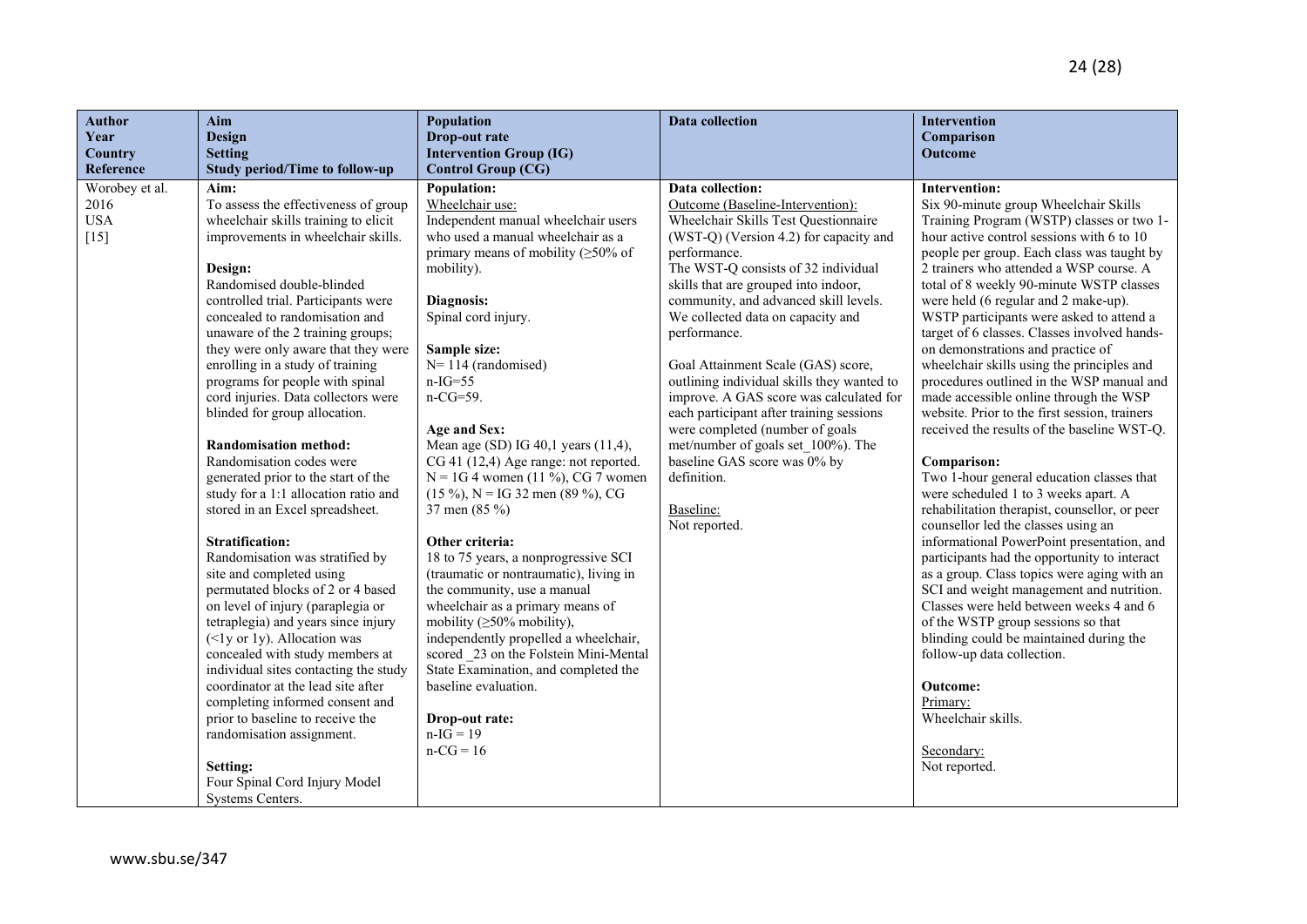| <b>Author</b><br>Aim<br>Year<br><b>Design</b>          |                                                                                                                                                                                                                                                                                                                                                                                                                                                                                                                                                                                                                                                                                                                                                                                                                                                                                                                                                                                                                                                                                                                                                                                    | Population<br>Drop-out rate                                                                                                                                                                                                                                                                                                                                                                                                                                                                                                                                                                                                                                                                                                                                                                                                                                                                       | <b>Data collection</b>                                                                                                                                                                                                                                                                                                                                                                                                                                                                                                                                                                                                                                               | Intervention<br>Comparison                                                                                                                                                                                                                                                                                                                                                                                                                                                                                                                                                                                                                                                                                                                                                                                                                                                                                                                                                                                                                                                                                                                                                                                                                                                                                                                    |
|--------------------------------------------------------|------------------------------------------------------------------------------------------------------------------------------------------------------------------------------------------------------------------------------------------------------------------------------------------------------------------------------------------------------------------------------------------------------------------------------------------------------------------------------------------------------------------------------------------------------------------------------------------------------------------------------------------------------------------------------------------------------------------------------------------------------------------------------------------------------------------------------------------------------------------------------------------------------------------------------------------------------------------------------------------------------------------------------------------------------------------------------------------------------------------------------------------------------------------------------------|---------------------------------------------------------------------------------------------------------------------------------------------------------------------------------------------------------------------------------------------------------------------------------------------------------------------------------------------------------------------------------------------------------------------------------------------------------------------------------------------------------------------------------------------------------------------------------------------------------------------------------------------------------------------------------------------------------------------------------------------------------------------------------------------------------------------------------------------------------------------------------------------------|----------------------------------------------------------------------------------------------------------------------------------------------------------------------------------------------------------------------------------------------------------------------------------------------------------------------------------------------------------------------------------------------------------------------------------------------------------------------------------------------------------------------------------------------------------------------------------------------------------------------------------------------------------------------|-----------------------------------------------------------------------------------------------------------------------------------------------------------------------------------------------------------------------------------------------------------------------------------------------------------------------------------------------------------------------------------------------------------------------------------------------------------------------------------------------------------------------------------------------------------------------------------------------------------------------------------------------------------------------------------------------------------------------------------------------------------------------------------------------------------------------------------------------------------------------------------------------------------------------------------------------------------------------------------------------------------------------------------------------------------------------------------------------------------------------------------------------------------------------------------------------------------------------------------------------------------------------------------------------------------------------------------------------|
| <b>Country</b><br>Reference                            | <b>Setting</b><br><b>Study period/Time to follow-up</b>                                                                                                                                                                                                                                                                                                                                                                                                                                                                                                                                                                                                                                                                                                                                                                                                                                                                                                                                                                                                                                                                                                                            | <b>Intervention Group (IG)</b><br><b>Control Group (CG)</b>                                                                                                                                                                                                                                                                                                                                                                                                                                                                                                                                                                                                                                                                                                                                                                                                                                       |                                                                                                                                                                                                                                                                                                                                                                                                                                                                                                                                                                                                                                                                      | Outcome                                                                                                                                                                                                                                                                                                                                                                                                                                                                                                                                                                                                                                                                                                                                                                                                                                                                                                                                                                                                                                                                                                                                                                                                                                                                                                                                       |
| Worobey et al.<br>Aim:<br>2016<br><b>USA</b><br>$[15]$ | To assess the effectiveness of group<br>wheelchair skills training to elicit<br>improvements in wheelchair skills.<br>Design:<br>Randomised double-blinded<br>controlled trial. Participants were<br>concealed to randomisation and<br>unaware of the 2 training groups;<br>they were only aware that they were<br>enrolling in a study of training<br>programs for people with spinal<br>cord injuries. Data collectors were<br>blinded for group allocation.<br><b>Randomisation method:</b><br>Randomisation codes were<br>generated prior to the start of the<br>study for a 1:1 allocation ratio and<br>stored in an Excel spreadsheet.<br><b>Stratification:</b><br>Randomisation was stratified by<br>site and completed using<br>permutated blocks of 2 or 4 based<br>on level of injury (paraplegia or<br>tetraplegia) and years since injury<br>$(\leq$ ly or 1y). Allocation was<br>concealed with study members at<br>individual sites contacting the study<br>coordinator at the lead site after<br>completing informed consent and<br>prior to baseline to receive the<br>randomisation assignment.<br>Setting:<br>Four Spinal Cord Injury Model<br>Systems Centers. | Population:<br>Wheelchair use:<br>Independent manual wheelchair users<br>who used a manual wheelchair as a<br>primary means of mobility $( \geq 50\% \text{ of }$<br>mobility).<br>Diagnosis:<br>Spinal cord injury.<br>Sample size:<br>$N=114$ (randomised)<br>$n-IG=55$<br>$n-CG=59$ .<br>Age and Sex:<br>Mean age (SD) IG 40,1 years (11,4),<br>CG 41 (12,4) Age range: not reported.<br>$N = 1G4$ women (11 %), CG 7 women<br>$(15\%)$ , N = IG 32 men (89 %), CG<br>37 men $(85\%)$<br>Other criteria:<br>18 to 75 years, a nonprogressive SCI<br>(traumatic or nontraumatic), living in<br>the community, use a manual<br>wheelchair as a primary means of<br>mobility $(≥50%$ mobility),<br>independently propelled a wheelchair,<br>scored 23 on the Folstein Mini-Mental<br>State Examination, and completed the<br>baseline evaluation.<br>Drop-out rate:<br>$n-IG = 19$<br>$n-CG = 16$ | Data collection:<br>Outcome (Baseline-Intervention):<br>Wheelchair Skills Test Questionnaire<br>(WST-Q) (Version 4.2) for capacity and<br>performance.<br>The WST-Q consists of 32 individual<br>skills that are grouped into indoor,<br>community, and advanced skill levels.<br>We collected data on capacity and<br>performance.<br>Goal Attainment Scale (GAS) score,<br>outlining individual skills they wanted to<br>improve. A GAS score was calculated for<br>each participant after training sessions<br>were completed (number of goals<br>met/number of goals set 100%). The<br>baseline GAS score was 0% by<br>definition.<br>Baseline:<br>Not reported. | <b>Intervention:</b><br>Six 90-minute group Wheelchair Skills<br>Training Program (WSTP) classes or two 1-<br>hour active control sessions with 6 to 10<br>people per group. Each class was taught by<br>2 trainers who attended a WSP course. A<br>total of 8 weekly 90-minute WSTP classes<br>were held (6 regular and 2 make-up).<br>WSTP participants were asked to attend a<br>target of 6 classes. Classes involved hands-<br>on demonstrations and practice of<br>wheelchair skills using the principles and<br>procedures outlined in the WSP manual and<br>made accessible online through the WSP<br>website. Prior to the first session, trainers<br>received the results of the baseline WST-Q.<br>Comparison:<br>Two 1-hour general education classes that<br>were scheduled 1 to 3 weeks apart. A<br>rehabilitation therapist, counsellor, or peer<br>counsellor led the classes using an<br>informational PowerPoint presentation, and<br>participants had the opportunity to interact<br>as a group. Class topics were aging with an<br>SCI and weight management and nutrition.<br>Classes were held between weeks 4 and 6<br>of the WSTP group sessions so that<br>blinding could be maintained during the<br>follow-up data collection.<br><b>Outcome:</b><br>Primary:<br>Wheelchair skills.<br>Secondary:<br>Not reported. |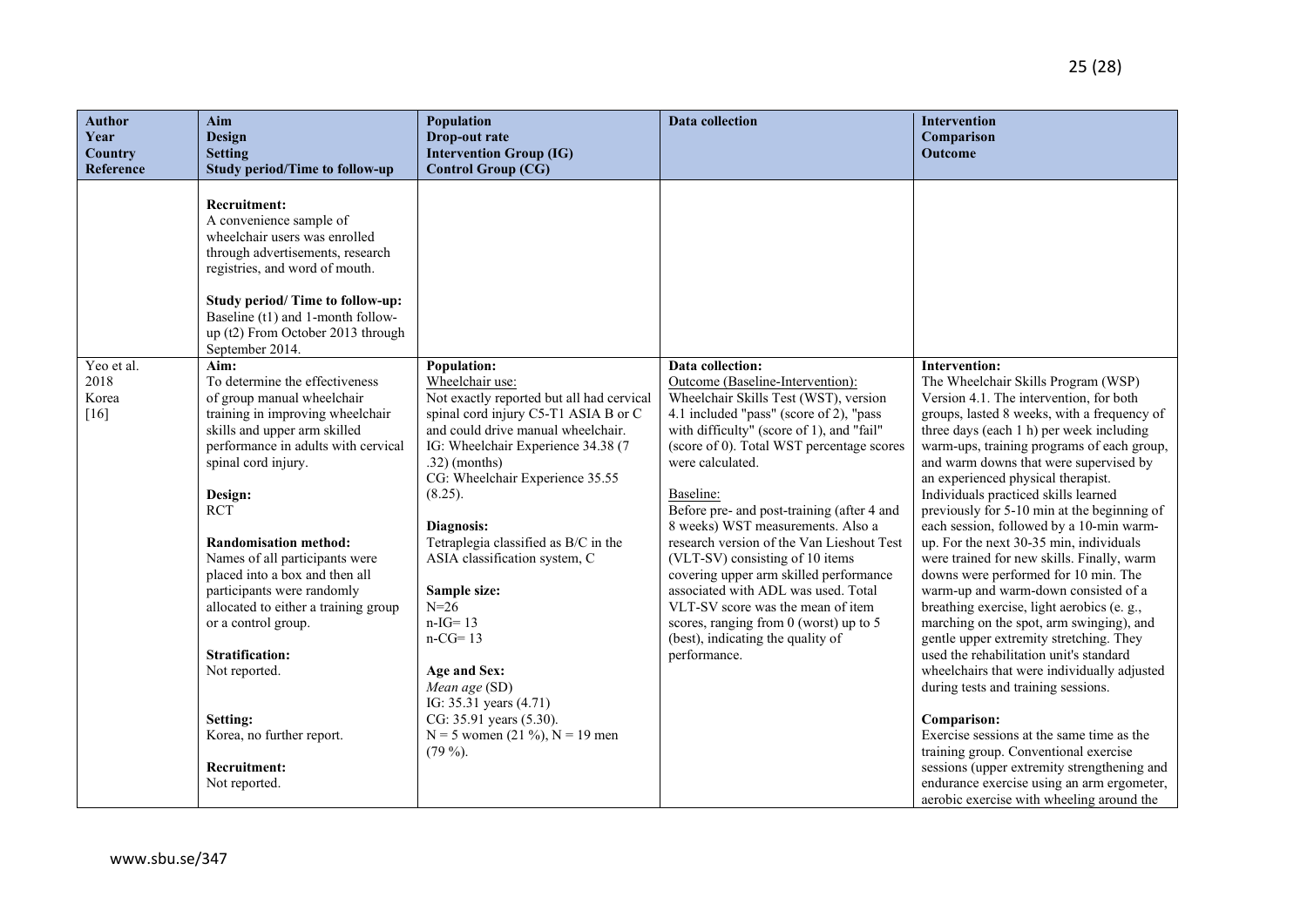| <b>Author</b><br>Year<br>Country<br>Reference | Aim<br>Design<br><b>Setting</b><br><b>Study period/Time to follow-up</b>                                                                                                                                                                                                                                                                                                                                                                                                                                                                                                                                                                                    | <b>Population</b><br>Drop-out rate<br><b>Intervention Group (IG)</b><br><b>Control Group (CG)</b>                                                                                                                                                                                                                                                                              | <b>Data collection</b>                                                                                                                                                                                                                                                                                                                                                                                                                                                                                                  | Intervention<br>Comparison<br>Outcome                                                                                                                                                                                                                                                                                                                                                                                                                                                                                                                                                                                                       |
|-----------------------------------------------|-------------------------------------------------------------------------------------------------------------------------------------------------------------------------------------------------------------------------------------------------------------------------------------------------------------------------------------------------------------------------------------------------------------------------------------------------------------------------------------------------------------------------------------------------------------------------------------------------------------------------------------------------------------|--------------------------------------------------------------------------------------------------------------------------------------------------------------------------------------------------------------------------------------------------------------------------------------------------------------------------------------------------------------------------------|-------------------------------------------------------------------------------------------------------------------------------------------------------------------------------------------------------------------------------------------------------------------------------------------------------------------------------------------------------------------------------------------------------------------------------------------------------------------------------------------------------------------------|---------------------------------------------------------------------------------------------------------------------------------------------------------------------------------------------------------------------------------------------------------------------------------------------------------------------------------------------------------------------------------------------------------------------------------------------------------------------------------------------------------------------------------------------------------------------------------------------------------------------------------------------|
| Yeo et al.<br>2018<br>Korea<br>$[16]$         | <b>Recruitment:</b><br>A convenience sample of<br>wheelchair users was enrolled<br>through advertisements, research<br>registries, and word of mouth.<br>Study period/ Time to follow-up:<br>Baseline (t1) and 1-month follow-<br>up (t2) From October 2013 through<br>September 2014.<br>Aim:<br>To determine the effectiveness<br>of group manual wheelchair<br>training in improving wheelchair<br>skills and upper arm skilled<br>performance in adults with cervical<br>spinal cord injury.<br>Design:<br><b>RCT</b><br><b>Randomisation method:</b><br>Names of all participants were<br>placed into a box and then all<br>participants were randomly | <b>Population:</b><br>Wheelchair use:<br>Not exactly reported but all had cervical<br>spinal cord injury C5-T1 ASIA B or C<br>and could drive manual wheelchair.<br>IG: Wheelchair Experience 34.38 (7<br>$.32)$ (months)<br>CG: Wheelchair Experience 35.55<br>(8.25).<br>Diagnosis:<br>Tetraplegia classified as B/C in the<br>ASIA classification system, C<br>Sample size: | Data collection:<br>Outcome (Baseline-Intervention):<br>Wheelchair Skills Test (WST), version<br>4.1 included "pass" (score of 2), "pass<br>with difficulty" (score of 1), and "fail"<br>(score of 0). Total WST percentage scores<br>were calculated.<br>Baseline:<br>Before pre- and post-training (after 4 and<br>8 weeks) WST measurements. Also a<br>research version of the Van Lieshout Test<br>(VLT-SV) consisting of 10 items<br>covering upper arm skilled performance<br>associated with ADL was used. Total | <b>Intervention:</b><br>The Wheelchair Skills Program (WSP)<br>Version 4.1. The intervention, for both<br>groups, lasted 8 weeks, with a frequency of<br>three days (each 1 h) per week including<br>warm-ups, training programs of each group,<br>and warm downs that were supervised by<br>an experienced physical therapist.<br>Individuals practiced skills learned<br>previously for 5-10 min at the beginning of<br>each session, followed by a 10-min warm-<br>up. For the next 30-35 min, individuals<br>were trained for new skills. Finally, warm<br>downs were performed for 10 min. The<br>warm-up and warm-down consisted of a |
|                                               | allocated to either a training group<br>or a control group.                                                                                                                                                                                                                                                                                                                                                                                                                                                                                                                                                                                                 | $N = 26$<br>$n-IG=13$<br>$n-CG=13$                                                                                                                                                                                                                                                                                                                                             | VLT-SV score was the mean of item<br>scores, ranging from $0$ (worst) up to $5$<br>(best), indicating the quality of                                                                                                                                                                                                                                                                                                                                                                                                    | breathing exercise, light aerobics (e. g.,<br>marching on the spot, arm swinging), and<br>gentle upper extremity stretching. They                                                                                                                                                                                                                                                                                                                                                                                                                                                                                                           |
|                                               | <b>Stratification:</b>                                                                                                                                                                                                                                                                                                                                                                                                                                                                                                                                                                                                                                      |                                                                                                                                                                                                                                                                                                                                                                                | performance.                                                                                                                                                                                                                                                                                                                                                                                                                                                                                                            | used the rehabilitation unit's standard                                                                                                                                                                                                                                                                                                                                                                                                                                                                                                                                                                                                     |
|                                               | Not reported.                                                                                                                                                                                                                                                                                                                                                                                                                                                                                                                                                                                                                                               | Age and Sex:<br>Mean age (SD)<br>IG: 35.31 years (4.71)                                                                                                                                                                                                                                                                                                                        |                                                                                                                                                                                                                                                                                                                                                                                                                                                                                                                         | wheelchairs that were individually adjusted<br>during tests and training sessions.                                                                                                                                                                                                                                                                                                                                                                                                                                                                                                                                                          |
|                                               | Setting:                                                                                                                                                                                                                                                                                                                                                                                                                                                                                                                                                                                                                                                    | CG: 35.91 years (5.30).                                                                                                                                                                                                                                                                                                                                                        |                                                                                                                                                                                                                                                                                                                                                                                                                                                                                                                         | Comparison:                                                                                                                                                                                                                                                                                                                                                                                                                                                                                                                                                                                                                                 |
|                                               | Korea, no further report.                                                                                                                                                                                                                                                                                                                                                                                                                                                                                                                                                                                                                                   | $N = 5$ women (21 %), $N = 19$ men                                                                                                                                                                                                                                                                                                                                             |                                                                                                                                                                                                                                                                                                                                                                                                                                                                                                                         | Exercise sessions at the same time as the                                                                                                                                                                                                                                                                                                                                                                                                                                                                                                                                                                                                   |
|                                               |                                                                                                                                                                                                                                                                                                                                                                                                                                                                                                                                                                                                                                                             | $(79\%)$ .                                                                                                                                                                                                                                                                                                                                                                     |                                                                                                                                                                                                                                                                                                                                                                                                                                                                                                                         | training group. Conventional exercise                                                                                                                                                                                                                                                                                                                                                                                                                                                                                                                                                                                                       |
|                                               | Recruitment:                                                                                                                                                                                                                                                                                                                                                                                                                                                                                                                                                                                                                                                |                                                                                                                                                                                                                                                                                                                                                                                |                                                                                                                                                                                                                                                                                                                                                                                                                                                                                                                         | sessions (upper extremity strengthening and                                                                                                                                                                                                                                                                                                                                                                                                                                                                                                                                                                                                 |
|                                               | Not reported.                                                                                                                                                                                                                                                                                                                                                                                                                                                                                                                                                                                                                                               |                                                                                                                                                                                                                                                                                                                                                                                |                                                                                                                                                                                                                                                                                                                                                                                                                                                                                                                         | endurance exercise using an arm ergometer,                                                                                                                                                                                                                                                                                                                                                                                                                                                                                                                                                                                                  |
|                                               |                                                                                                                                                                                                                                                                                                                                                                                                                                                                                                                                                                                                                                                             |                                                                                                                                                                                                                                                                                                                                                                                |                                                                                                                                                                                                                                                                                                                                                                                                                                                                                                                         | aerobic exercise with wheeling around the                                                                                                                                                                                                                                                                                                                                                                                                                                                                                                                                                                                                   |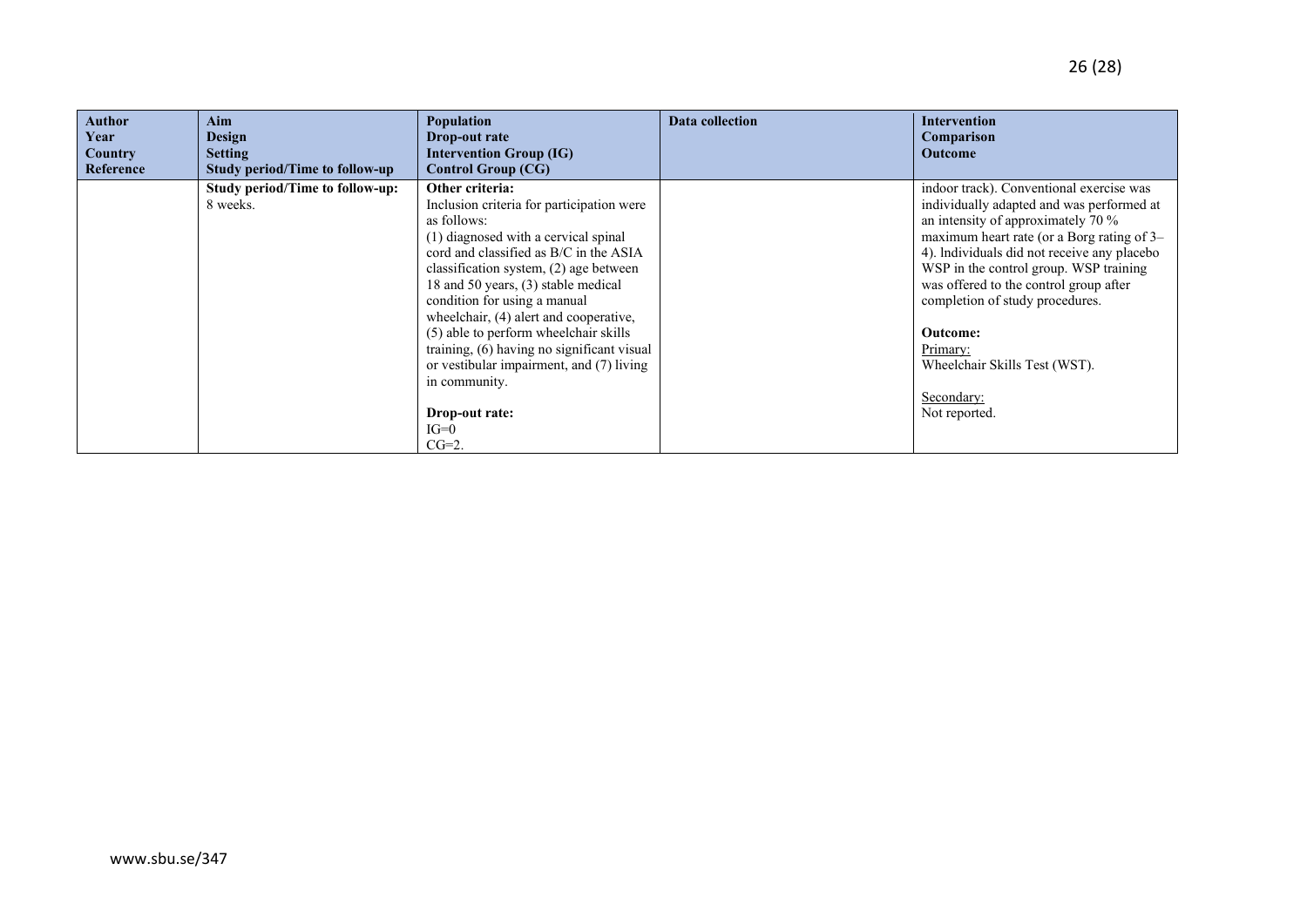| <b>Author</b><br>Year<br><b>Country</b><br>Reference | Aim<br><b>Design</b><br><b>Setting</b><br><b>Study period/Time to follow-up</b> | Population<br>Drop-out rate<br><b>Intervention Group (IG)</b><br><b>Control Group (CG)</b> | Data collection | Intervention<br>Comparison<br><b>Outcome</b> |
|------------------------------------------------------|---------------------------------------------------------------------------------|--------------------------------------------------------------------------------------------|-----------------|----------------------------------------------|
|                                                      | <b>Study period/Time to follow-up:</b>                                          | Other criteria:                                                                            |                 | indoor track). Conventional exercise was     |
|                                                      | 8 weeks.                                                                        | Inclusion criteria for participation were                                                  |                 | individually adapted and was performed at    |
|                                                      |                                                                                 | as follows:                                                                                |                 | an intensity of approximately 70 %           |
|                                                      |                                                                                 | (1) diagnosed with a cervical spinal                                                       |                 | maximum heart rate (or a Borg rating of 3–   |
|                                                      |                                                                                 | cord and classified as B/C in the ASIA                                                     |                 | 4). Individuals did not receive any placebo  |
|                                                      |                                                                                 | classification system, (2) age between                                                     |                 | WSP in the control group. WSP training       |
|                                                      |                                                                                 | 18 and 50 years, (3) stable medical                                                        |                 | was offered to the control group after       |
|                                                      |                                                                                 | condition for using a manual                                                               |                 | completion of study procedures.              |
|                                                      |                                                                                 | wheelchair, (4) alert and cooperative,                                                     |                 |                                              |
|                                                      |                                                                                 | (5) able to perform wheelchair skills                                                      |                 | Outcome:                                     |
|                                                      |                                                                                 | training, (6) having no significant visual                                                 |                 | Primary:                                     |
|                                                      |                                                                                 | or vestibular impairment, and (7) living                                                   |                 | Wheelchair Skills Test (WST).                |
|                                                      |                                                                                 | in community.                                                                              |                 |                                              |
|                                                      |                                                                                 |                                                                                            |                 | Secondary:                                   |
|                                                      |                                                                                 | Drop-out rate:                                                                             |                 | Not reported.                                |
|                                                      |                                                                                 | $IG=0$                                                                                     |                 |                                              |
|                                                      |                                                                                 | $CG=2$ .                                                                                   |                 |                                              |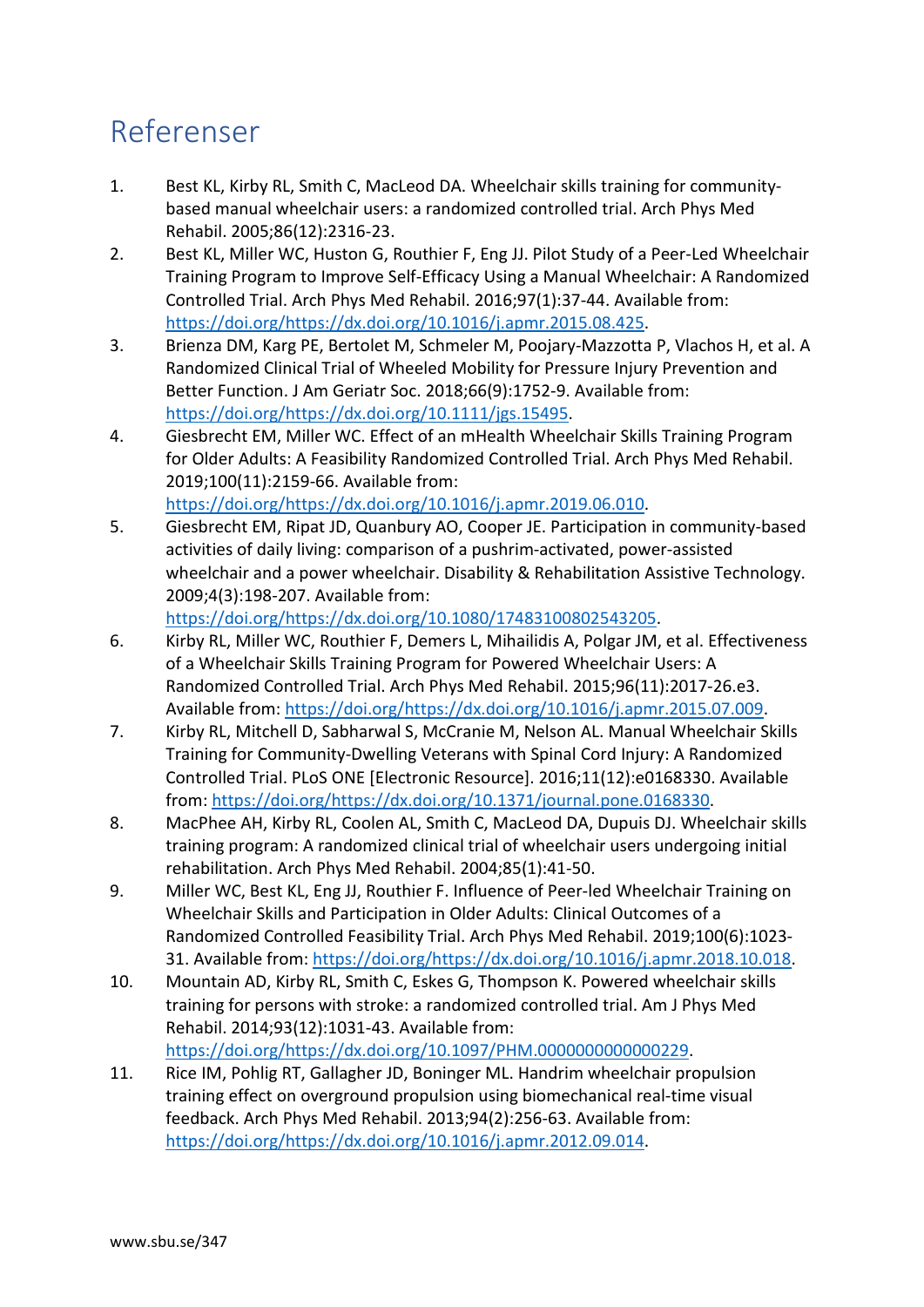## Referenser

- 1. Best KL, Kirby RL, Smith C, MacLeod DA. Wheelchair skills training for communitybased manual wheelchair users: a randomized controlled trial. Arch Phys Med Rehabil. 2005;86(12):2316-23.
- 2. Best KL, Miller WC, Huston G, Routhier F, Eng JJ. Pilot Study of a Peer-Led Wheelchair Training Program to Improve Self-Efficacy Using a Manual Wheelchair: A Randomized Controlled Trial. Arch Phys Med Rehabil. 2016;97(1):37-44. Available from: [https://doi.org/https://dx.doi.org/10.1016/j.apmr.2015.08.425.](https://doi.org/https:/dx.doi.org/10.1016/j.apmr.2015.08.425)
- 3. Brienza DM, Karg PE, Bertolet M, Schmeler M, Poojary-Mazzotta P, Vlachos H, et al. A Randomized Clinical Trial of Wheeled Mobility for Pressure Injury Prevention and Better Function. J Am Geriatr Soc. 2018;66(9):1752-9. Available from: [https://doi.org/https://dx.doi.org/10.1111/jgs.15495.](https://doi.org/https:/dx.doi.org/10.1111/jgs.15495)
- 4. Giesbrecht EM, Miller WC. Effect of an mHealth Wheelchair Skills Training Program for Older Adults: A Feasibility Randomized Controlled Trial. Arch Phys Med Rehabil. 2019;100(11):2159-66. Available from: [https://doi.org/https://dx.doi.org/10.1016/j.apmr.2019.06.010.](https://doi.org/https:/dx.doi.org/10.1016/j.apmr.2019.06.010)
- 5. Giesbrecht EM, Ripat JD, Quanbury AO, Cooper JE. Participation in community-based activities of daily living: comparison of a pushrim-activated, power-assisted wheelchair and a power wheelchair. Disability & Rehabilitation Assistive Technology. 2009;4(3):198-207. Available from:

[https://doi.org/https://dx.doi.org/10.1080/17483100802543205.](https://doi.org/https:/dx.doi.org/10.1080/17483100802543205)

- 6. Kirby RL, Miller WC, Routhier F, Demers L, Mihailidis A, Polgar JM, et al. Effectiveness of a Wheelchair Skills Training Program for Powered Wheelchair Users: A Randomized Controlled Trial. Arch Phys Med Rehabil. 2015;96(11):2017-26.e3. Available from: [https://doi.org/https://dx.doi.org/10.1016/j.apmr.2015.07.009.](https://doi.org/https:/dx.doi.org/10.1016/j.apmr.2015.07.009)
- 7. Kirby RL, Mitchell D, Sabharwal S, McCranie M, Nelson AL. Manual Wheelchair Skills Training for Community-Dwelling Veterans with Spinal Cord Injury: A Randomized Controlled Trial. PLoS ONE [Electronic Resource]. 2016;11(12):e0168330. Available from: [https://doi.org/https://dx.doi.org/10.1371/journal.pone.0168330.](https://doi.org/https:/dx.doi.org/10.1371/journal.pone.0168330)
- 8. MacPhee AH, Kirby RL, Coolen AL, Smith C, MacLeod DA, Dupuis DJ. Wheelchair skills training program: A randomized clinical trial of wheelchair users undergoing initial rehabilitation. Arch Phys Med Rehabil. 2004;85(1):41-50.
- 9. Miller WC, Best KL, Eng JJ, Routhier F. Influence of Peer-led Wheelchair Training on Wheelchair Skills and Participation in Older Adults: Clinical Outcomes of a Randomized Controlled Feasibility Trial. Arch Phys Med Rehabil. 2019;100(6):1023- 31. Available from: [https://doi.org/https://dx.doi.org/10.1016/j.apmr.2018.10.018.](https://doi.org/https:/dx.doi.org/10.1016/j.apmr.2018.10.018)
- 10. Mountain AD, Kirby RL, Smith C, Eskes G, Thompson K. Powered wheelchair skills training for persons with stroke: a randomized controlled trial. Am J Phys Med Rehabil. 2014;93(12):1031-43. Available from: [https://doi.org/https://dx.doi.org/10.1097/PHM.0000000000000229.](https://doi.org/https:/dx.doi.org/10.1097/PHM.0000000000000229)
- 11. Rice IM, Pohlig RT, Gallagher JD, Boninger ML. Handrim wheelchair propulsion training effect on overground propulsion using biomechanical real-time visual feedback. Arch Phys Med Rehabil. 2013;94(2):256-63. Available from: [https://doi.org/https://dx.doi.org/10.1016/j.apmr.2012.09.014.](https://doi.org/https:/dx.doi.org/10.1016/j.apmr.2012.09.014)